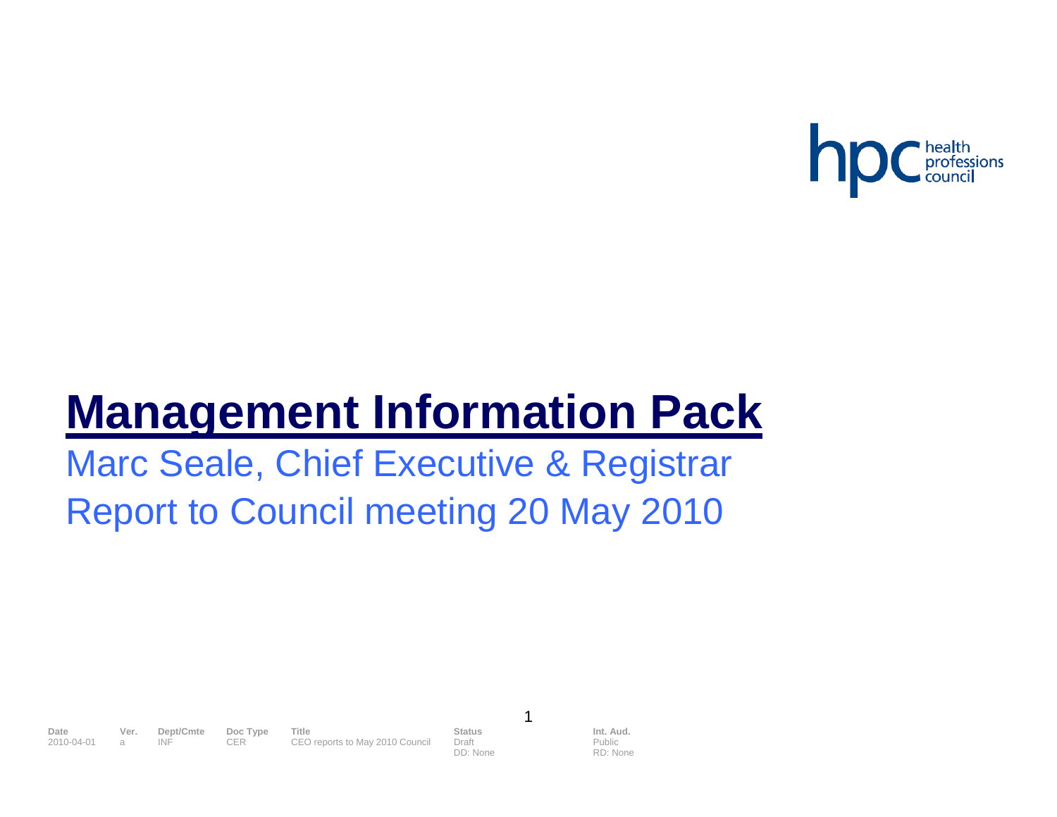

# **Management Information Pack**

Marc Seale, Chief Executive & Registrar Report to Council meeting 20 May 2010

**Date Ver. Dept/Cmte Doc Type Title Status Status Int. Aud.**<br>1999-04-01 a INF CER CEO reports to May 2010 Council Draft Public Public 2010 COUNT CER CEO reports to May 2010 Council Draft

DD: None

1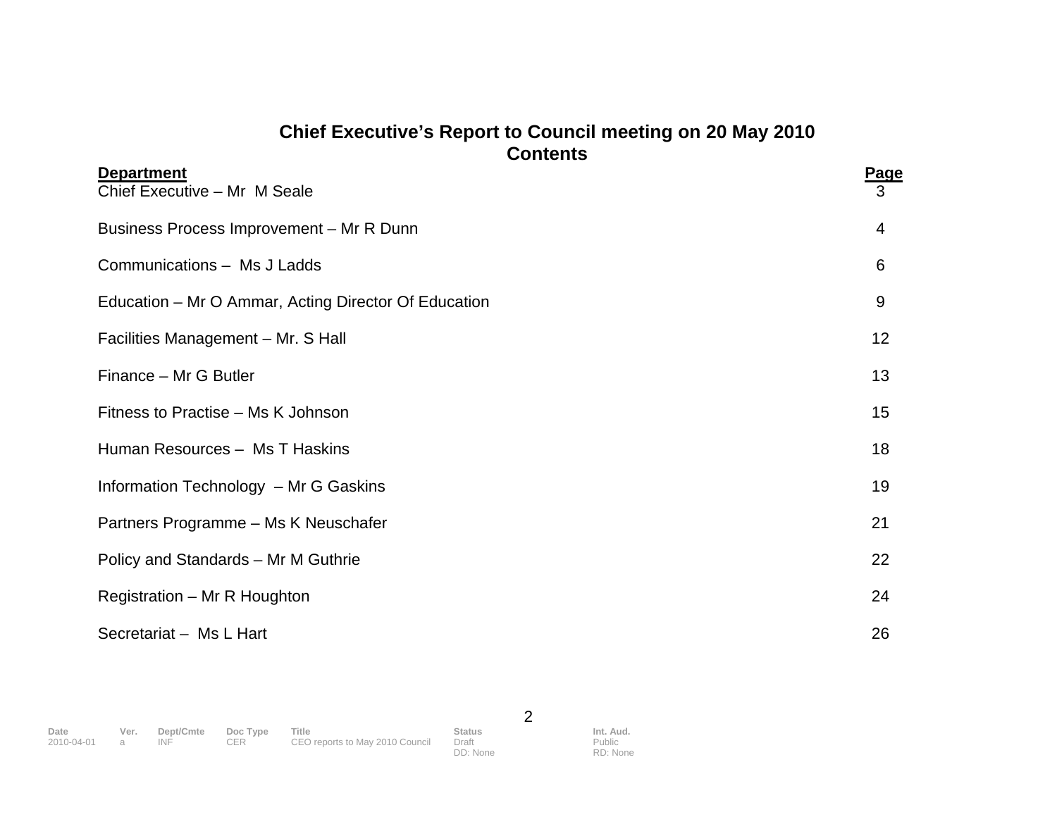# **Chief Executive's Report to Council meeting on 20 May 2010 Contents**

| <b>Department</b><br>Chief Executive - Mr M Seale    | <b>Page</b><br>3 |
|------------------------------------------------------|------------------|
| Business Process Improvement - Mr R Dunn             | 4                |
| Communications - Ms J Ladds                          | 6                |
| Education – Mr O Ammar, Acting Director Of Education | 9                |
| Facilities Management - Mr. S Hall                   | 12               |
| Finance - Mr G Butler                                | 13               |
| Fitness to Practise – Ms K Johnson                   | 15               |
| Human Resources - Ms T Haskins                       | 18               |
| Information Technology - Mr G Gaskins                | 19               |
| Partners Programme - Ms K Neuschafer                 | 21               |
| Policy and Standards - Mr M Guthrie                  | 22               |
| Registration - Mr R Houghton                         | 24               |
| Secretariat - Ms L Hart                              | 26               |

2

DD: None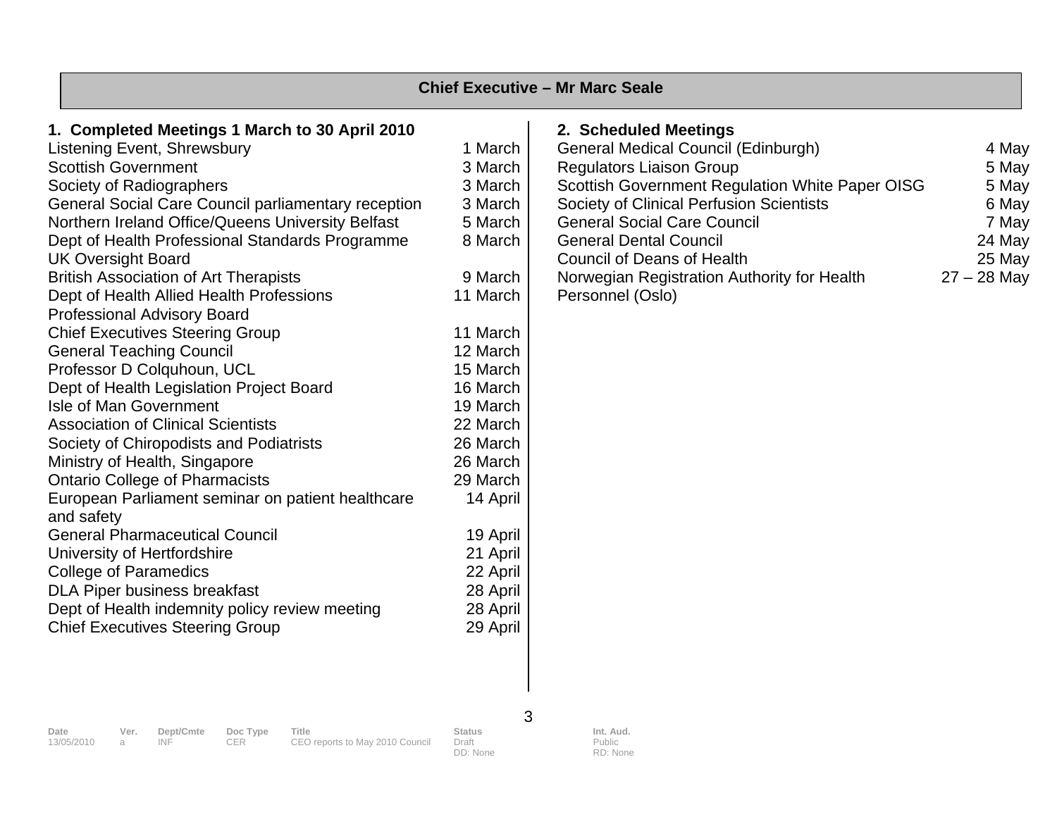|                                                                                                                                                                                                                                                                                                                                                                                                                                                                                                                                                                                                                                                                                                                                                                                                                                                                                                                                                                                                                                                                                                                                               |                                                                                                                                                                                                                                                                                       | <b>Chief Executive - Mr Marc Seale</b>                                                                                                                                                                                                                                                                                                                                               |                                                                                |
|-----------------------------------------------------------------------------------------------------------------------------------------------------------------------------------------------------------------------------------------------------------------------------------------------------------------------------------------------------------------------------------------------------------------------------------------------------------------------------------------------------------------------------------------------------------------------------------------------------------------------------------------------------------------------------------------------------------------------------------------------------------------------------------------------------------------------------------------------------------------------------------------------------------------------------------------------------------------------------------------------------------------------------------------------------------------------------------------------------------------------------------------------|---------------------------------------------------------------------------------------------------------------------------------------------------------------------------------------------------------------------------------------------------------------------------------------|--------------------------------------------------------------------------------------------------------------------------------------------------------------------------------------------------------------------------------------------------------------------------------------------------------------------------------------------------------------------------------------|--------------------------------------------------------------------------------|
| 1. Completed Meetings 1 March to 30 April 2010<br>Listening Event, Shrewsbury<br><b>Scottish Government</b><br>Society of Radiographers<br>General Social Care Council parliamentary reception<br>Northern Ireland Office/Queens University Belfast<br>Dept of Health Professional Standards Programme<br><b>UK Oversight Board</b><br><b>British Association of Art Therapists</b><br>Dept of Health Allied Health Professions<br><b>Professional Advisory Board</b><br><b>Chief Executives Steering Group</b><br><b>General Teaching Council</b><br>Professor D Colquhoun, UCL<br>Dept of Health Legislation Project Board<br><b>Isle of Man Government</b><br><b>Association of Clinical Scientists</b><br>Society of Chiropodists and Podiatrists<br>Ministry of Health, Singapore<br><b>Ontario College of Pharmacists</b><br>European Parliament seminar on patient healthcare<br>and safety<br><b>General Pharmaceutical Council</b><br>University of Hertfordshire<br><b>College of Paramedics</b><br><b>DLA Piper business breakfast</b><br>Dept of Health indemnity policy review meeting<br><b>Chief Executives Steering Group</b> | 1 March<br>3 March<br>3 March<br>3 March<br>5 March<br>8 March<br>9 March<br>11 March<br>11 March<br>12 March<br>15 March<br>16 March<br>19 March<br>22 March<br>26 March<br>26 March<br>29 March<br>14 April<br>19 April<br>21 April<br>22 April<br>28 April<br>28 April<br>29 April | 2. Scheduled Meetings<br><b>General Medical Council (Edinburgh)</b><br><b>Regulators Liaison Group</b><br>Scottish Government Regulation White Paper OISG<br>Society of Clinical Perfusion Scientists<br><b>General Social Care Council</b><br><b>General Dental Council</b><br><b>Council of Deans of Health</b><br>Norwegian Registration Authority for Health<br>Personnel (Oslo) | 4 May<br>5 May<br>5 May<br>6 May<br>7 May<br>24 May<br>25 May<br>$27 - 28$ May |

**Date Ver. Dept/Cmte Doc Type Title Status Int. Aud.** 

13/05/2010 a INF CER CEO reports to May 2010 Council Draft

DD: None

3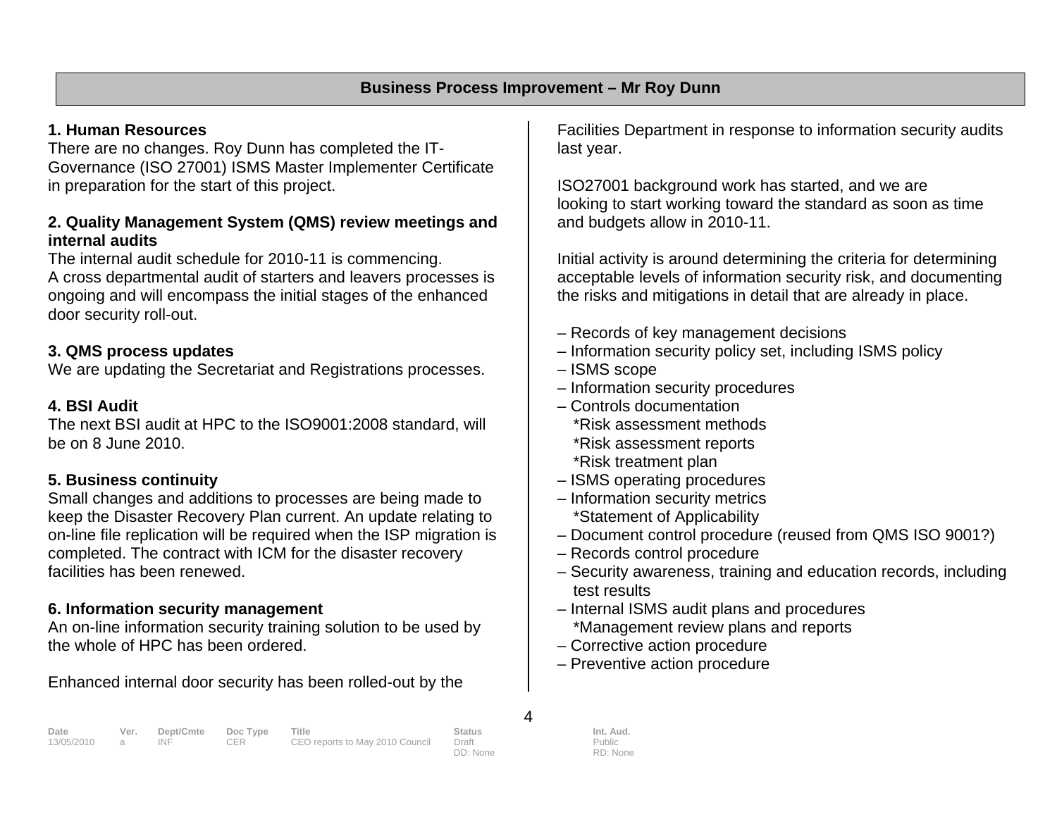# **1. Human Resources**

There are no changes. Roy Dunn has completed the IT-Governance (ISO 27001) ISMS Master Implementer Certificate in preparation for the start of this project.

#### **2. Quality Management System (QMS) review meetings and internal audits**

The internal audit schedule for 2010-11 is commencing. A cross departmental audit of starters and leavers processes is ongoing and will encompass the initial stages of the enhanced door security roll-out.

### **3. QMS process updates**

We are updating the Secretariat and Registrations processes.

# **4. BSI Audit**

The next BSI audit at HPC to the ISO9001:2008 standard, will be on 8 June 2010.

# **5. Business continuity**

Small changes and additions to processes are being made to keep the Disaster Recovery Plan current. An update relating to on-line file replication will be required when the ISP migration is completed. The contract with ICM for the disaster recovery facilities has been renewed.

### **6. Information security management**

An on-line information security training solution to be used by the whole of HPC has been ordered.

Enhanced internal door security has been rolled-out by the

Facilities Department in response to information security audits last year.

ISO27001 background work has started, and we are looking to start working toward the standard as soon as time and budgets allow in 2010-11.

Initial activity is around determining the criteria for determining acceptable levels of information security risk, and documenting the risks and mitigations in detail that are already in place.

- Records of key management decisions
- Information security policy set, including ISMS policy
- ISMS scope
- Information security procedures
- Controls documentation \*Risk assessment methods \*Risk assessment reports \*Risk treatment plan
- ISMS operating procedures
- Information security metrics \*Statement of Applicability
- Document control procedure (reused from QMS ISO 9001?)
- Records control procedure
- Security awareness, training and education records, including test results
- Internal ISMS audit plans and procedures \*Management review plans and reports
- Corrective action procedure
- Preventive action procedure

| Date         | Ver. | Dept/Cmte Doc Type |      | Title                           | <b>Status</b> | Int. Aud. |
|--------------|------|--------------------|------|---------------------------------|---------------|-----------|
| 13/05/2010 a |      | INE                | CER. | CEO reports to May 2010 Council | Draft         | Public    |
|              |      |                    |      |                                 | DD: None      | RD: None  |

4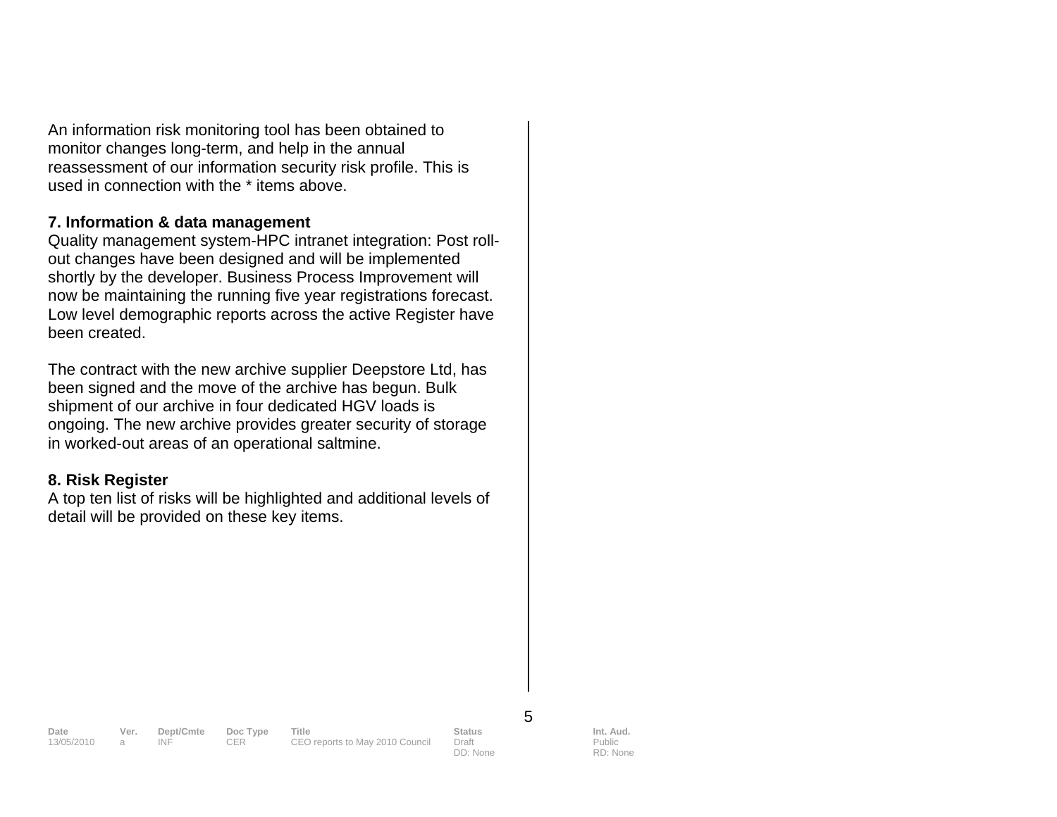An information risk monitoring tool has been obtained to monitor changes long-term, and help in the annual reassessment of our information security risk profile. This is used in connection with the \* items above.

#### **7. Information & data management**

Quality management system-HPC intranet integration: Post rollout changes have been designed and will be implemented shortly by the developer. Business Process Improvement will now be maintaining the running five year registrations forecast. Low level demographic reports across the active Register have been created.

The contract with the new archive supplier Deepstore Ltd, has been signed and the move of the archive has begun. Bulk shipment of our archive in four dedicated HGV loads is ongoing. The new archive provides greater security of storage in worked-out areas of an operational saltmine.

#### **8. Risk Register**

A top ten list of risks will be highlighted and additional levels of detail will be provided on these key items.

13/05/2010 a INF CER CEO reports to May 2010 Council Draft

**Date Ver. Dept/Cmte Doc Type Title Status Status Int. Aud.**<br>13/05/2010 a INF CER CEO reports to May 2010 Council Draft Public Public

DD: None

5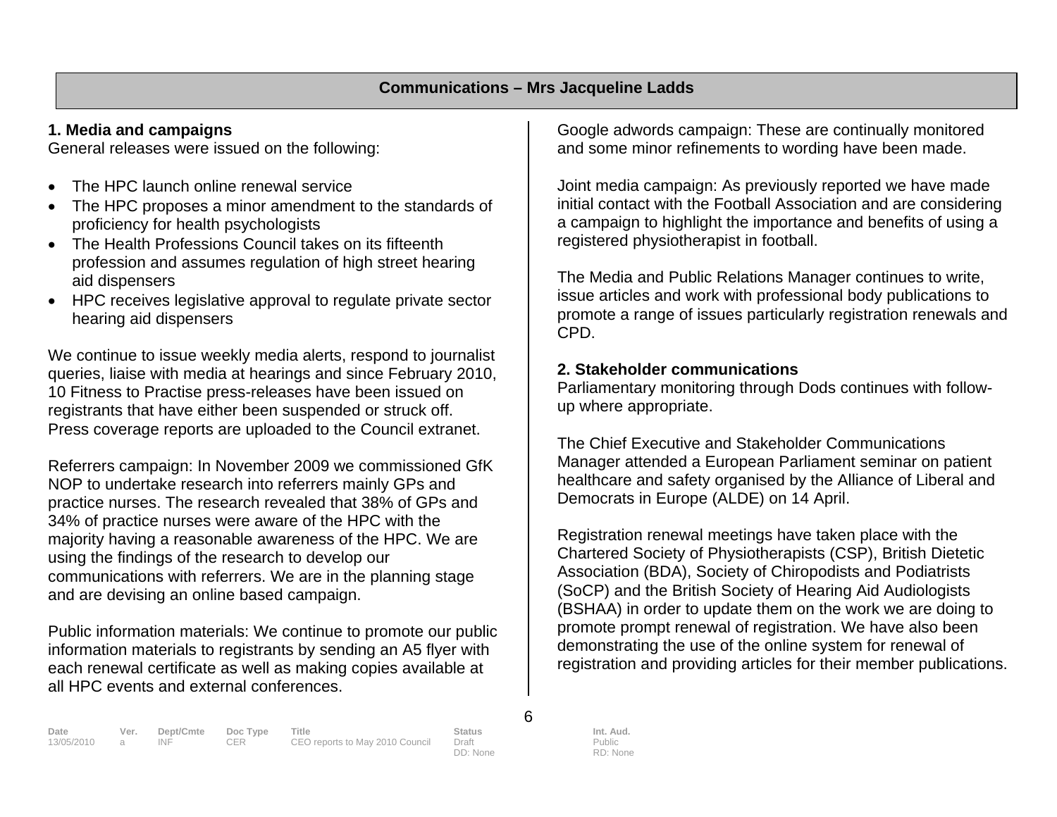#### **1. Media and campaigns**

General releases were issued on the following:

- The HPC launch online renewal service
- The HPC proposes a minor amendment to the standards of proficiency for health psychologists
- The Health Professions Council takes on its fifteenth profession and assumes regulation of high street hearing aid dispensers
- HPC receives legislative approval to regulate private sector hearing aid dispensers

We continue to issue weekly media alerts, respond to journalist queries, liaise with media at hearings and since February 2010, 10 Fitness to Practise press-releases have been issued on registrants that have either been suspended or struck off. Press coverage reports are uploaded to the Council extranet.

Referrers campaign: In November 2009 we commissioned GfK NOP to undertake research into referrers mainly GPs and practice nurses. The research revealed that 38% of GPs and 34% of practice nurses were aware of the HPC with the majority having a reasonable awareness of the HPC. We are using the findings of the research to develop our communications with referrers. We are in the planning stage and are devising an online based campaign.

Public information materials: We continue to promote our public information materials to registrants by sending an A5 flyer with each renewal certificate as well as making copies available at all HPC events and external conferences.

Google adwords campaign: These are continually monitored and some minor refinements to wording have been made.

Joint media campaign: As previously reported we have made initial contact with the Football Association and are considering a campaign to highlight the importance and benefits of using a registered physiotherapist in football.

The Media and Public Relations Manager continues to write, issue articles and work with professional body publications to promote a range of issues particularly registration renewals and CPD.

### **2. Stakeholder communications**

Parliamentary monitoring through Dods continues with followup where appropriate.

The Chief Executive and Stakeholder Communications Manager attended a European Parliament seminar on patient healthcare and safety organised by the Alliance of Liberal and Democrats in Europe (ALDE) on 14 April.

Registration renewal meetings have taken place with the Chartered Society of Physiotherapists (CSP), British Dietetic Association (BDA), Society of Chiropodists and Podiatrists (SoCP) and the British Society of Hearing Aid Audiologists (BSHAA) in order to update them on the work we are doing to promote prompt renewal of registration. We have also been demonstrating the use of the online system for renewal of registration and providing articles for their member publications.

6

DD: None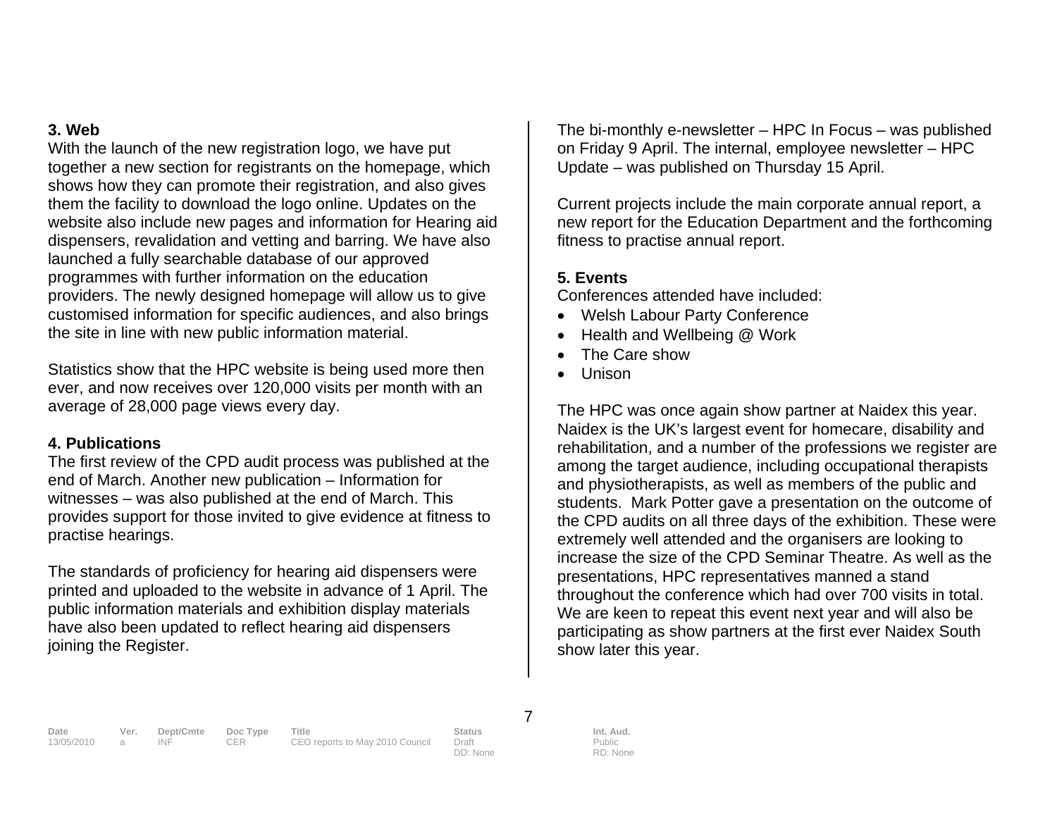#### **3. Web**

With the launch of the new registration logo, we have put together a new section for registrants on the homepage, which shows how they can promote their registration, and also gives them the facility to download the logo online. Updates on the website also include new pages and information for Hearing aid dispensers, revalidation and vetting and barring. We have also launched a fully searchable database of our approved programmes with further information on the education providers. The newly designed homepage will allow us to give customised information for specific audiences, and also brings the site in line with new public information material.

Statistics show that the HPC website is being used more then ever, and now receives over 120,000 visits per month with an average of 28,000 page views every day.

#### **4. Publications**

The first review of the CPD audit process was published at the end of March. Another new publication – Information for witnesses – was also published at the end of March. This provides support for those invited to give evidence at fitness to practise hearings.

The standards of proficiency for hearing aid dispensers were printed and uploaded to the website in advance of 1 April. The public information materials and exhibition display materials have also been updated to reflect hearing aid dispensers joining the Register.

The bi-monthly e-newsletter – HPC In Focus – was published on Friday 9 April. The internal, employee newsletter – HPC Update – was published on Thursday 15 April.

Current projects include the main corporate annual report, a new report for the Education Department and the forthcoming fitness to practise annual report.

# **5. Events**

Conferences attended have included:

- Welsh Labour Party Conference
- Health and Wellbeing @ Work
- The Care show
- Unison

The HPC was once again show partner at Naidex this year. Naidex is the UK's largest event for homecare, disability and rehabilitation, and a number of the professions we register are among the target audience, including occupational therapists and physiotherapists, as well as members of the public and students. Mark Potter gave a presentation on the outcome of the CPD audits on all three days of the exhibition. These were extremely well attended and the organisers are looking to increase the size of the CPD Seminar Theatre. As well as the presentations, HPC representatives manned a stand throughout the conference which had over 700 visits in total. We are keen to repeat this event next year and will also be participating as show partners at the first ever Naidex South show later this year.

7

**Date Ver. Dept/Cmte Doc Type Title Status Int. Aud.**  13/05/2010 a INF CER CEO reports to May 2010 Council Draft

DD: None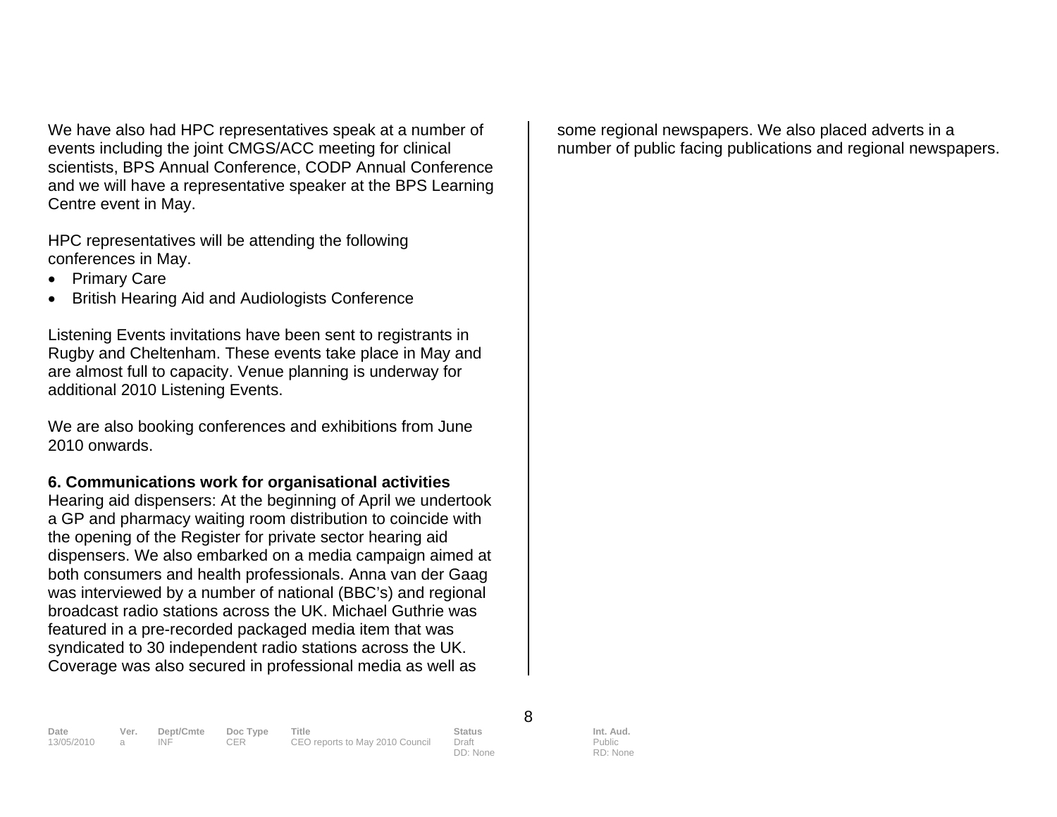We have also had HPC representatives speak at a number of events including the joint CMGS/ACC meeting for clinical scientists, BPS Annual Conference, CODP Annual Conference and we will have a representative speaker at the BPS Learning Centre event in May.

HPC representatives will be attending the following conferences in May.

- Primary Care
- British Hearing Aid and Audiologists Conference

Listening Events invitations have been sent to registrants in Rugby and Cheltenham. These events take place in May and are almost full to capacity. Venue planning is underway for additional 2010 Listening Events.

We are also booking conferences and exhibitions from June 2010 onwards.

#### **6. Communications work for organisational activities**

Hearing aid dispensers: At the beginning of April we undertook a GP and pharmacy waiting room distribution to coincide with the opening of the Register for private sector hearing aid dispensers. We also embarked on a media campaign aimed at both consumers and health professionals. Anna van der Gaag was interviewed by a number of national (BBC's) and regional broadcast radio stations across the UK. Michael Guthrie was featured in a pre-recorded packaged media item that was syndicated to 30 independent radio stations across the UK. Coverage was also secured in professional media as well as

some regional newspapers. We also placed adverts in a number of public facing publications and regional newspapers.

**Date Ver. Dept/Cmte Doc Type Title Status Status Int. Aud.**<br>13/05/2010 a INF CER CEO reports to May 2010 Council Draft Public Public CEO reports to May 2010 Council

DD: None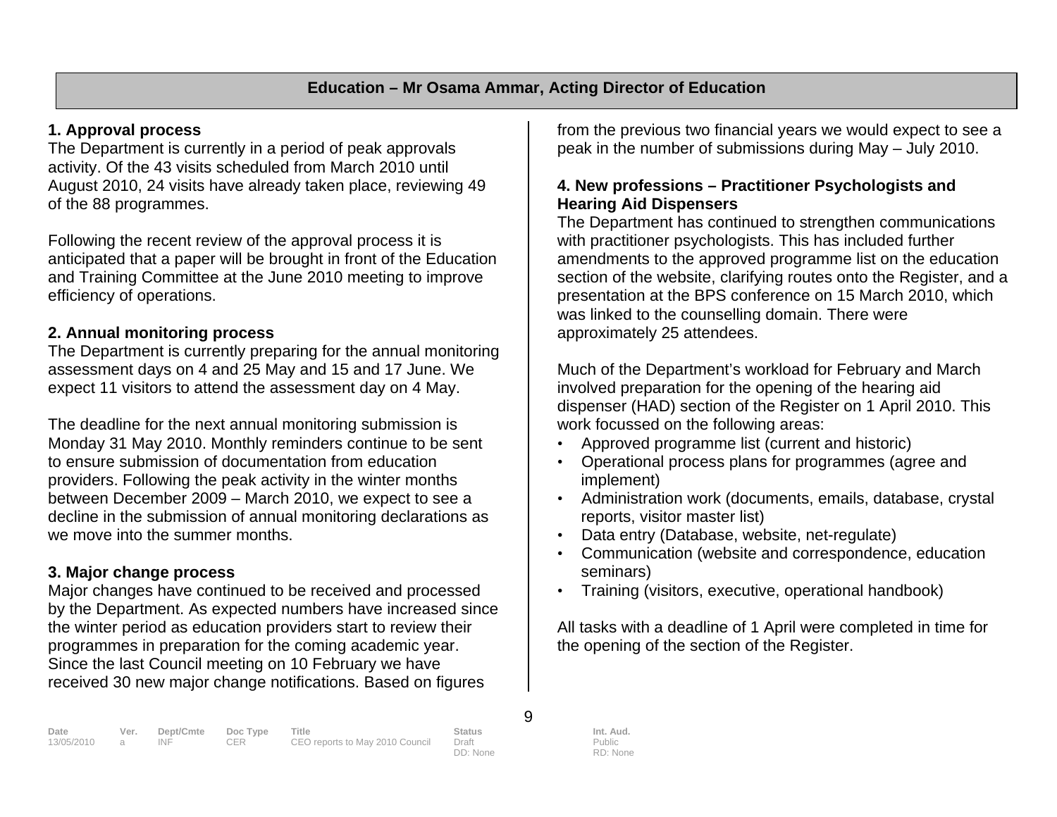# **1. Approval process**

The Department is currently in a period of peak approvals activity. Of the 43 visits scheduled from March 2010 until August 2010, 24 visits have already taken place, reviewing 49 of the 88 programmes.

Following the recent review of the approval process it is anticipated that a paper will be brought in front of the Education and Training Committee at the June 2010 meeting to improve efficiency of operations.

# **2. Annual monitoring process**

The Department is currently preparing for the annual monitoring assessment days on 4 and 25 May and 15 and 17 June. We expect 11 visitors to attend the assessment day on 4 May.

The deadline for the next annual monitoring submission is Monday 31 May 2010. Monthly reminders continue to be sent to ensure submission of documentation from education providers. Following the peak activity in the winter months between December 2009 – March 2010, we expect to see a decline in the submission of annual monitoring declarations as we move into the summer months.

# **3. Major change process**

Major changes have continued to be received and processed by the Department. As expected numbers have increased since the winter period as education providers start to review their programmes in preparation for the coming academic year. Since the last Council meeting on 10 February we have received 30 new major change notifications. Based on figures

from the previous two financial years we would expect to see a peak in the number of submissions during May – July 2010.

#### **4. New professions – Practitioner Psychologists and Hearing Aid Dispensers**

The Department has continued to strengthen communications with practitioner psychologists. This has included further amendments to the approved programme list on the education section of the website, clarifying routes onto the Register, and a presentation at the BPS conference on 15 March 2010, which was linked to the counselling domain. There were approximately 25 attendees.

Much of the Department's workload for February and March involved preparation for the opening of the hearing aid dispenser (HAD) section of the Register on 1 April 2010. This work focussed on the following areas:

- Approved programme list (current and historic)
- Operational process plans for programmes (agree and implement)
- Administration work (documents, emails, database, crystal reports, visitor master list)
- Data entry (Database, website, net-regulate)
- Communication (website and correspondence, education seminars)
- Training (visitors, executive, operational handbook)

All tasks with a deadline of 1 April were completed in time for the opening of the section of the Register.

9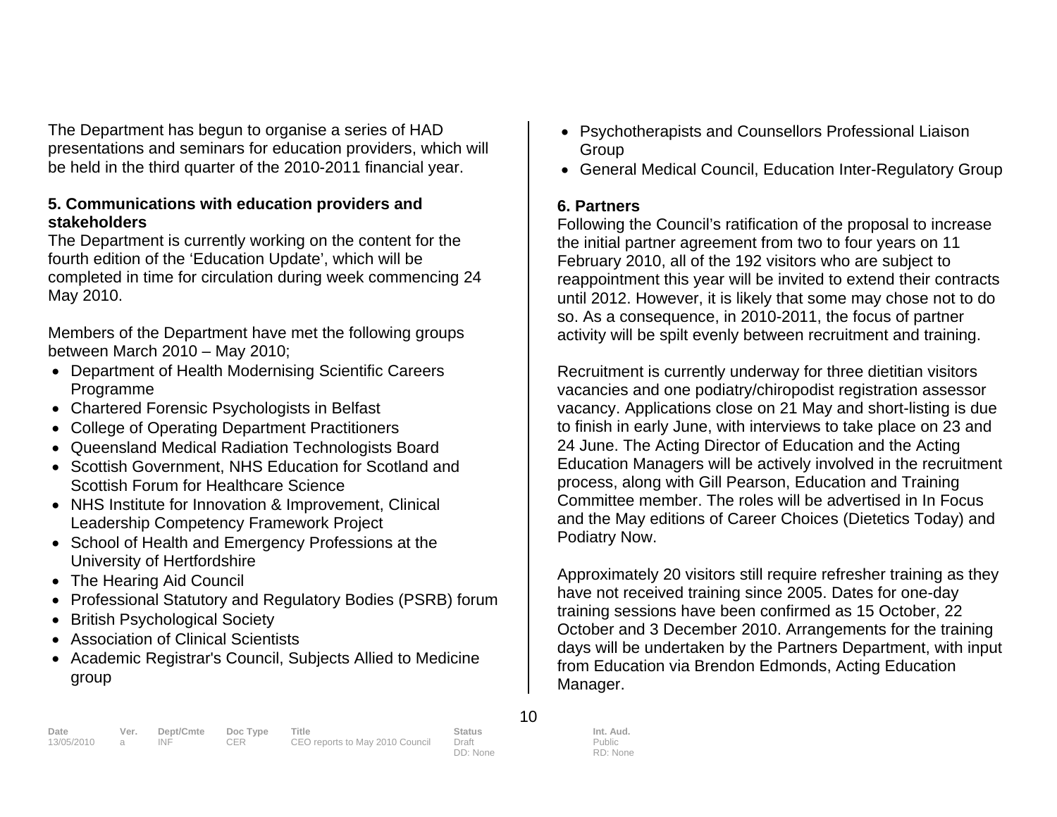The Department has begun to organise a series of HAD presentations and seminars for education providers, which will be held in the third quarter of the 2010-2011 financial year.

#### **5. Communications with education providers and stakeholders**

The Department is currently working on the content for the fourth edition of the 'Education Update', which will be completed in time for circulation during week commencing 24 May 2010.

Members of the Department have met the following groups between March 2010 – May 2010;

- Department of Health Modernising Scientific Careers Programme
- Chartered Forensic Psychologists in Belfast
- College of Operating Department Practitioners
- Queensland Medical Radiation Technologists Board
- Scottish Government, NHS Education for Scotland and Scottish Forum for Healthcare Science
- NHS Institute for Innovation & Improvement, Clinical Leadership Competency Framework Project
- School of Health and Emergency Professions at the University of Hertfordshire
- The Hearing Aid Council
- Professional Statutory and Regulatory Bodies (PSRB) forum
- British Psychological Society
- Association of Clinical Scientists
- Academic Registrar's Council, Subjects Allied to Medicine group
- Psychotherapists and Counsellors Professional Liaison **Group**
- General Medical Council, Education Inter-Regulatory Group

### **6. Partners**

Following the Council's ratification of the proposal to increase the initial partner agreement from two to four years on 11 February 2010, all of the 192 visitors who are subject to reappointment this year will be invited to extend their contracts until 2012. However, it is likely that some may chose not to do so. As a consequence, in 2010-2011, the focus of partner activity will be spilt evenly between recruitment and training.

Recruitment is currently underway for three dietitian visitors vacancies and one podiatry/chiropodist registration assessor vacancy. Applications close on 21 May and short-listing is due to finish in early June, with interviews to take place on 23 and 24 June. The Acting Director of Education and the Acting Education Managers will be actively involved in the recruitment process, along with Gill Pearson, Education and Training Committee member. The roles will be advertised in In Focus and the May editions of Career Choices (Dietetics Today) and Podiatry Now.

Approximately 20 visitors still require refresher training as they have not received training since 2005. Dates for one-day training sessions have been confirmed as 15 October, 22 October and 3 December 2010. Arrangements for the training days will be undertaken by the Partners Department, with input from Education via Brendon Edmonds, Acting Education Manager.

| Date         | Ver. Dept/Cmte Doc Type |     | Title                           | <b>Status</b> | Int. Aud. |
|--------------|-------------------------|-----|---------------------------------|---------------|-----------|
| 13/05/2010 a | INE                     | CER | CEO reports to May 2010 Council | Draft         | Public    |
|              |                         |     |                                 | DD: None      | RD: None  |

10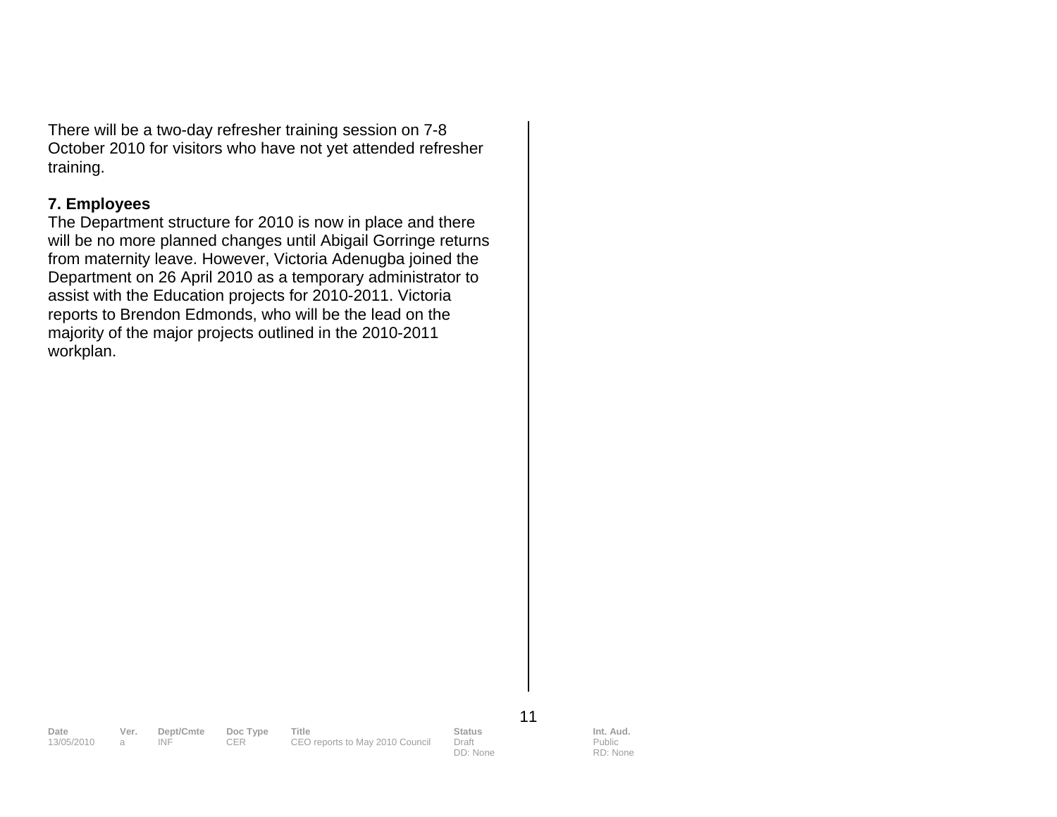There will be a two-day refresher training session on 7-8 October 2010 for visitors who have not yet attended refresher training.

#### **7. Employees**

The Department structure for 2010 is now in place and there will be no more planned changes until Abigail Gorringe returns from maternity leave. However, Victoria Adenugba joined the Department on 26 April 2010 as a temporary administrator to assist with the Education projects for 2010-2011. Victoria reports to Brendon Edmonds, who will be the lead on the majority of the major projects outlined in the 2010-2011 workplan.

11

13. INF CER CEO reports to May 2010 Council

**Date Ver. Dept/Cmte Doc Type Title Status Status Int. Aud.**<br>13/05/2010 a INF CER CEO reports to May 2010 Council Draft Public Public

DD: None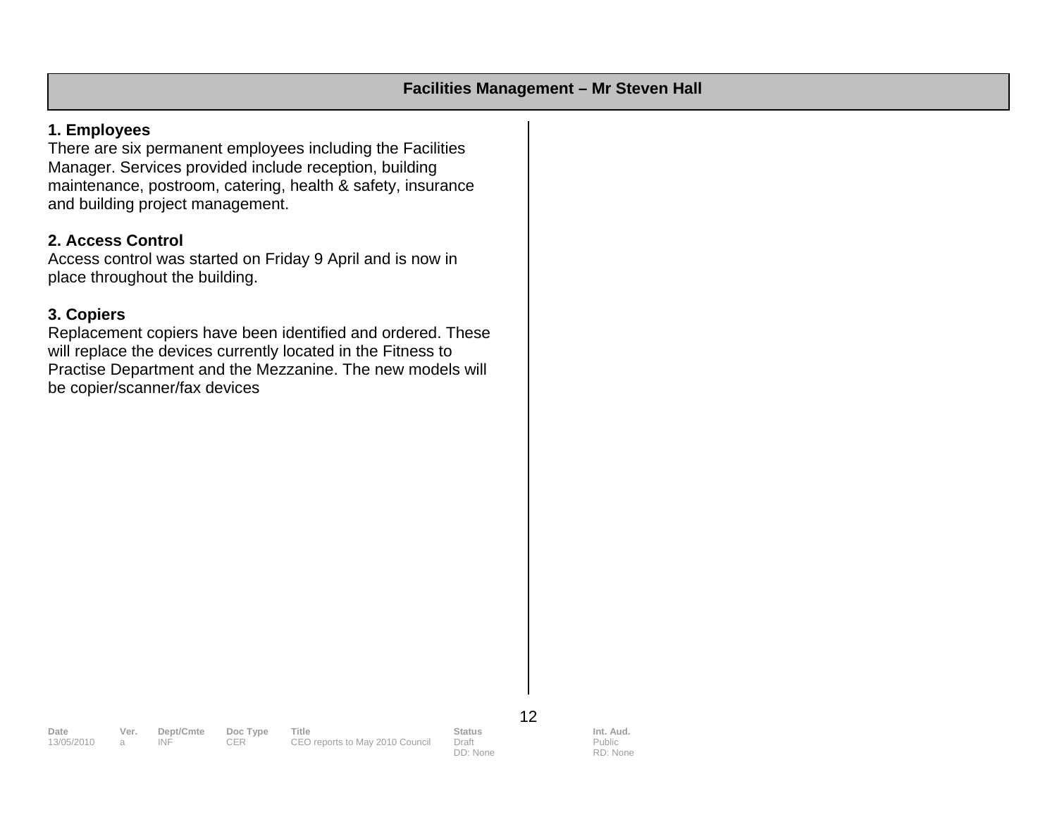#### **1. Employees**

There are six permanent employees including the Facilities Manager. Services provided include reception, building maintenance, postroom, catering, health & safety, insurance and building project management.

#### **2. Access Control**

Access control was started on Friday 9 April and is now in place throughout the building.

#### **3. Copiers**

Replacement copiers have been identified and ordered. These will replace the devices currently located in the Fitness to Practise Department and the Mezzanine. The new models will be copier/scanner/fax devices

12

**Date Ver. Dept/Cmte Doc Type Title Status Status Int. Aud.**<br>13/05/2010 a INF CER CEO reports to May 2010 Council Draft Public Public

CEO reports to May 2010 Council DD: None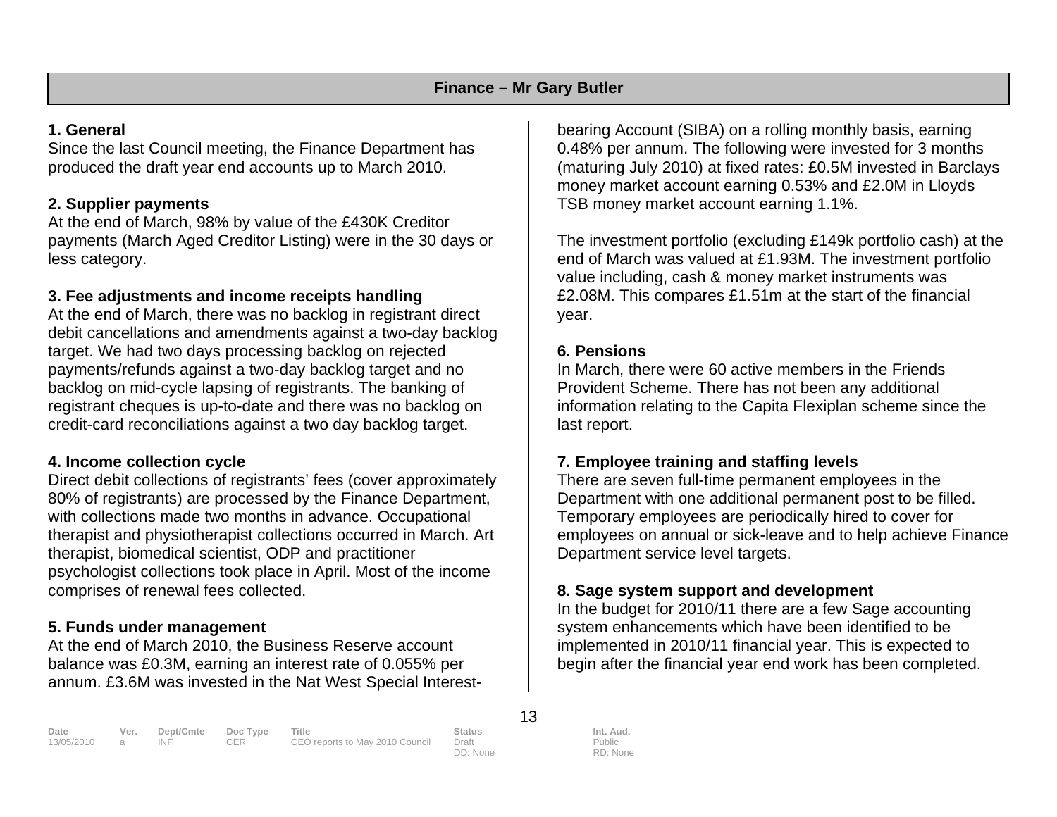### **1. General**

Since the last Council meeting, the Finance Department has produced the draft year end accounts up to March 2010.

# **2. Supplier payments**

At the end of March, 98% by value of the £430K Creditor payments (March Aged Creditor Listing) were in the 30 days or less category.

# **3. Fee adjustments and income receipts handling**

At the end of March, there was no backlog in registrant direct debit cancellations and amendments against a two-day backlog target. We had two days processing backlog on rejected payments/refunds against a two-day backlog target and no backlog on mid-cycle lapsing of registrants. The banking of registrant cheques is up-to-date and there was no backlog on credit-card reconciliations against a two day backlog target.

### **4. Income collection cycle**

Direct debit collections of registrants' fees (cover approximately 80% of registrants) are processed by the Finance Department, with collections made two months in advance. Occupational therapist and physiotherapist collections occurred in March. Art therapist, biomedical scientist, ODP and practitioner psychologist collections took place in April. Most of the income comprises of renewal fees collected.

# **5. Funds under management**

At the end of March 2010, the Business Reserve account balance was £0.3M, earning an interest rate of 0.055% per annum. £3.6M was invested in the Nat West Special Interest-

bearing Account (SIBA) on a rolling monthly basis, earning<br>0.48% per annum. The following were invested for 3 months<br>(maturing July 2010) at fixed rates: £0.5M invested in Barclays<br>money market account earning 0.53% and £2

### **6. Pensions**

In March, there were 60 active members in the Friends Provident Scheme. There has not been any additional information relating to the Capita Flexiplan scheme since the last report.

**7. Employee training and staffing levels** Department with one additional permanent post to be filled.<br>Temporary employees are periodically hired to cover for<br>employees on annual or sick-leave and to help achieve Finance<br>Department service level targets.

# **8. Sage system support and development**

In the budget for 2010/11 there are a few Sage accounting<br>system enhancements which have been identified to be<br>implemented in 2010/11 financial year. This is expected to<br>begin after the financial year end work has been com

| Date         | Ver. |      | Dept/Cmte Doc Type | Title                           | <b>Status</b> | Int. Aud. |
|--------------|------|------|--------------------|---------------------------------|---------------|-----------|
| 13/05/2010 a |      | INE. | CER.               | CEO reports to May 2010 Council | Draft         | Public    |
|              |      |      |                    |                                 | DD: None      | RD: None  |

Public RD: None

13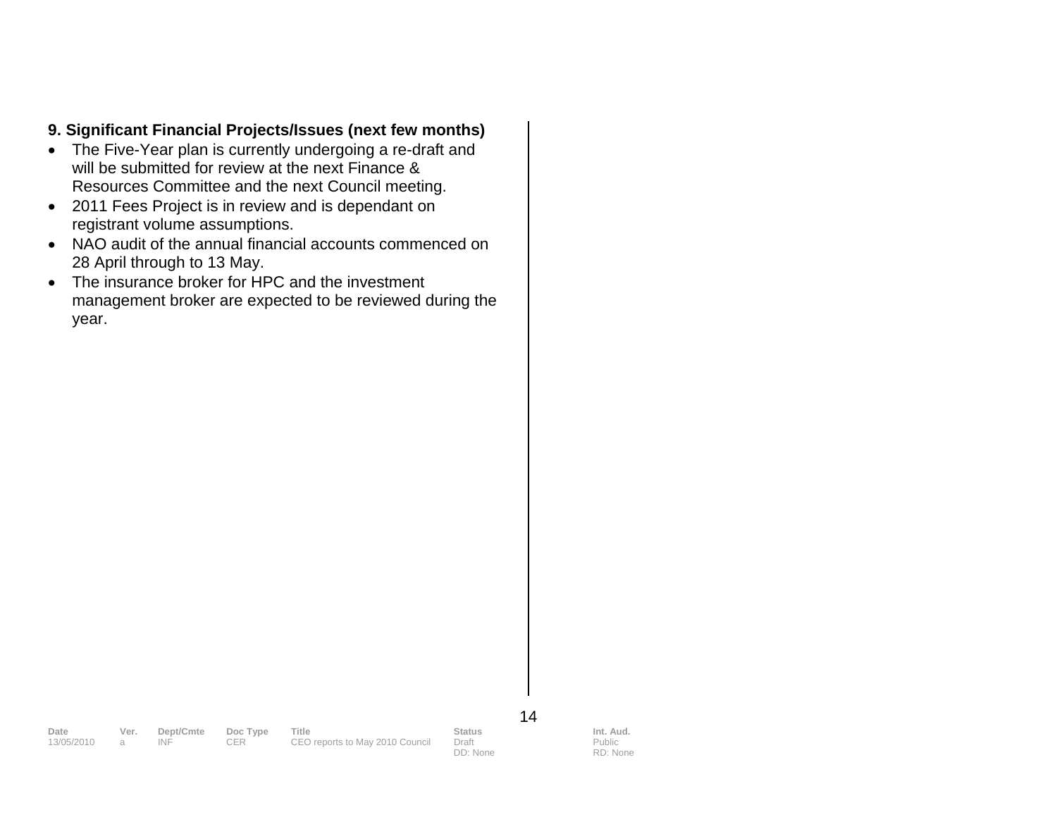### **9. Significant Financial Projects/Issues (next few months)**

- The Five-Year plan is currently undergoing a re-draft and will be submitted for review at the next Finance & Resources Committee and the next Council meeting.
- 2011 Fees Project is in review and is dependant on registrant volume assumptions.
- NAO audit of the annual financial accounts commenced on 28 April through to 13 May.
- The insurance broker for HPC and the investment management broker are expected to be reviewed during the year.

14

**Date Ver. Dept/Cmte Doc Type Title Status Status Int. Aud.**<br>13/05/2010 a INF CER CEO reports to May 2010 Council Draft Public Public

DD: None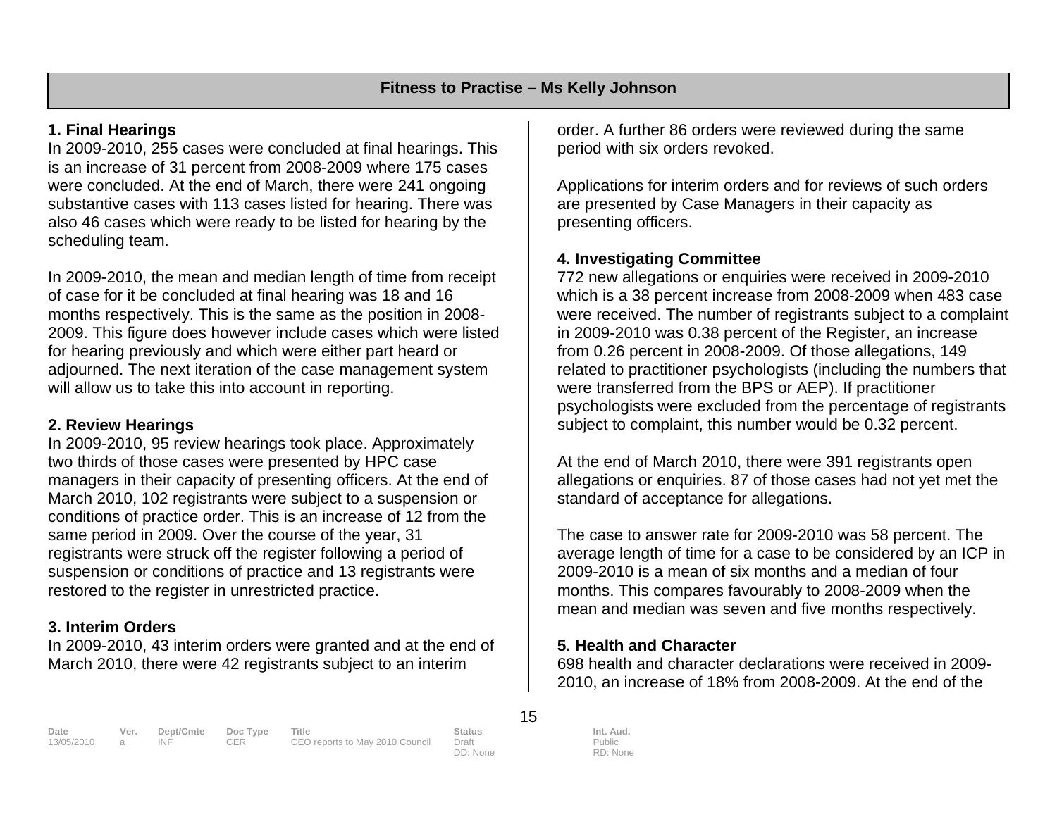### **1. Final Hearings**

In 2009-2010, 255 cases were concluded at final hearings. This is an increase of 31 percent from 2008-2009 where 175 cases were concluded. At the end of March, there were 241 ongoing substantive cases with 113 cases listed for hearing. There was also 46 cases which were ready to be listed for hearing by the scheduling team.

In 2009-2010, the mean and median length of time from receipt of case for it be concluded at final hearing was 18 and 16 months respectively. This is the same as the position in 2008- 2009. This figure does however include cases which were listed for hearing previously and which were either part heard or adjourned. The next iteration of the case management system will allow us to take this into account in reporting.

### **2. Review Hearings**

In 2009-2010, 95 review hearings took place. Approximately two thirds of those cases were presented by HPC case managers in their capacity of presenting officers. At the end of March 2010, 102 registrants were subject to a suspension or conditions of practice order. This is an increase of 12 from the same period in 2009. Over the course of the year, 31 registrants were struck off the register following a period of suspension or conditions of practice and 13 registrants were restored to the register in unrestricted practice.

### **3. Interim Orders**

In 2009-2010, 43 interim orders were granted and at the end of March 2010, there were 42 registrants subject to an interim

order. A further 86 orders were reviewed during the same period with six orders revoked.

Applications for interim orders and for reviews of such orders are presented by Case Managers in their capacity as presenting officers.

# **4. Investigating Committee**

772 new allegations or enquiries were received in 2009-2010 which is a 38 percent increase from 2008-2009 when 483 case were received. The number of registrants subject to a complaint in 2009-2010 was 0.38 percent of the Register, an increase from 0.26 percent in 2008-2009. Of those allegations, 149 related to practitioner psychologists (including the numbers that were transferred from the BPS or AEP). If practitioner psychologists were excluded from the percentage of registrants subject to complaint, this number would be 0.32 percent.

At the end of March 2010, there were 391 registrants open allegations or enquiries. 87 of those cases had not yet met the standard of acceptance for allegations.

The case to answer rate for 2009-2010 was 58 percent. The average length of time for a case to be considered by an ICP in 2009-2010 is a mean of six months and a median of four months. This compares favourably to 2008-2009 when the mean and median was seven and five months respectively.

### **5. Health and Character**

698 health and character declarations were received in 2009-2010, an increase of 18% from 2008-2009. At the end of the

**Date Ver. Dept/Cmte Doc Type Title Status Int. Aud.**  13/05/2010 a INF CER CEO reports to May 2010 Council Draft

DD: None

15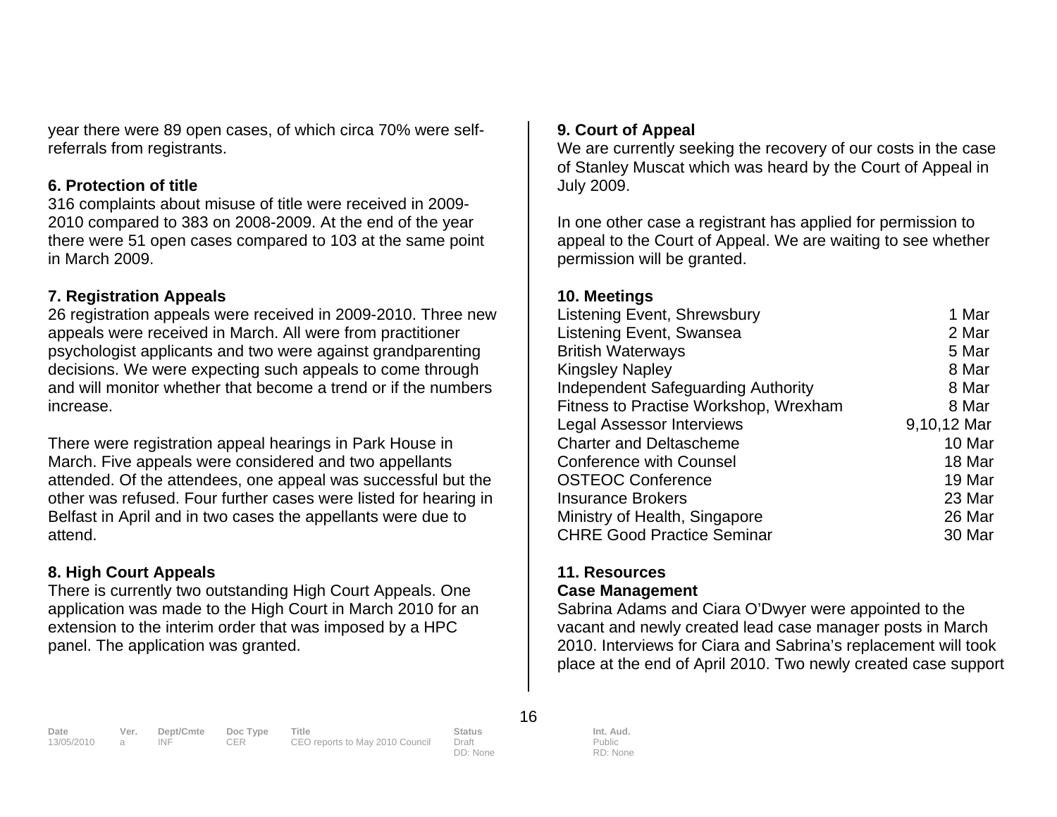year there were 89 open cases, of which circa 70% were selfreferrals from registrants.

#### **6. Protection of title**

316 complaints about misuse of title were received in 2009- 2010 compared to 383 on 2008-2009. At the end of the year there were 51 open cases compared to 103 at the same point in March 2009.

#### **7. Registration Appeals**

26 registration appeals were received in 2009-2010. Three new appeals were received in March. All were from practitioner psychologist applicants and two were against grandparenting decisions. We were expecting such appeals to come through and will monitor whether that become a trend or if the numbers increase.

There were registration appeal hearings in Park House in March. Five appeals were considered and two appellants attended. Of the attendees, one appeal was successful but the other was refused. Four further cases were listed for hearing in Belfast in April and in two cases the appellants were due to attend.

#### **8. High Court Appeals**

There is currently two outstanding High Court Appeals. One application was made to the High Court in March 2010 for an extension to the interim order that was imposed by a HPC panel. The application was granted.

#### **9. Court of Appeal**

We are currently seeking the recovery of our costs in the case of Stanley Muscat which was heard by the Court of Appeal in July 2009.

In one other case a registrant has applied for permission to appeal to the Court of Appeal. We are waiting to see whether permission will be granted.

#### **10. Meetings**

| Listening Event, Shrewsbury               | 1 Mar       |
|-------------------------------------------|-------------|
| Listening Event, Swansea                  | 2 Mar       |
| <b>British Waterways</b>                  | 5 Mar       |
| <b>Kingsley Napley</b>                    | 8 Mar       |
| <b>Independent Safeguarding Authority</b> | 8 Mar       |
| Fitness to Practise Workshop, Wrexham     | 8 Mar       |
| <b>Legal Assessor Interviews</b>          | 9,10,12 Mar |
| <b>Charter and Deltascheme</b>            | 10 Mar      |
| <b>Conference with Counsel</b>            | 18 Mar      |
| <b>OSTEOC Conference</b>                  | 19 Mar      |
| <b>Insurance Brokers</b>                  | 23 Mar      |
| Ministry of Health, Singapore             | 26 Mar      |
| <b>CHRE Good Practice Seminar</b>         | 30 Mar      |
|                                           |             |

# **11. Resources**

#### **Case Management**

Sabrina Adams and Ciara O'Dwyer were appointed to the vacant and newly created lead case manager posts in March 2010. Interviews for Ciara and Sabrina's replacement will took place at the end of April 2010. Two newly created case support

#### 16

**Date Ver. Dept/Cmte Doc Type Title Status Status Int. Aud.**<br>13/05/2010 a INF CER CEO reports to May 2010 Council Draft Public Public

CEO reports to May 2010 Council Draft

DD: None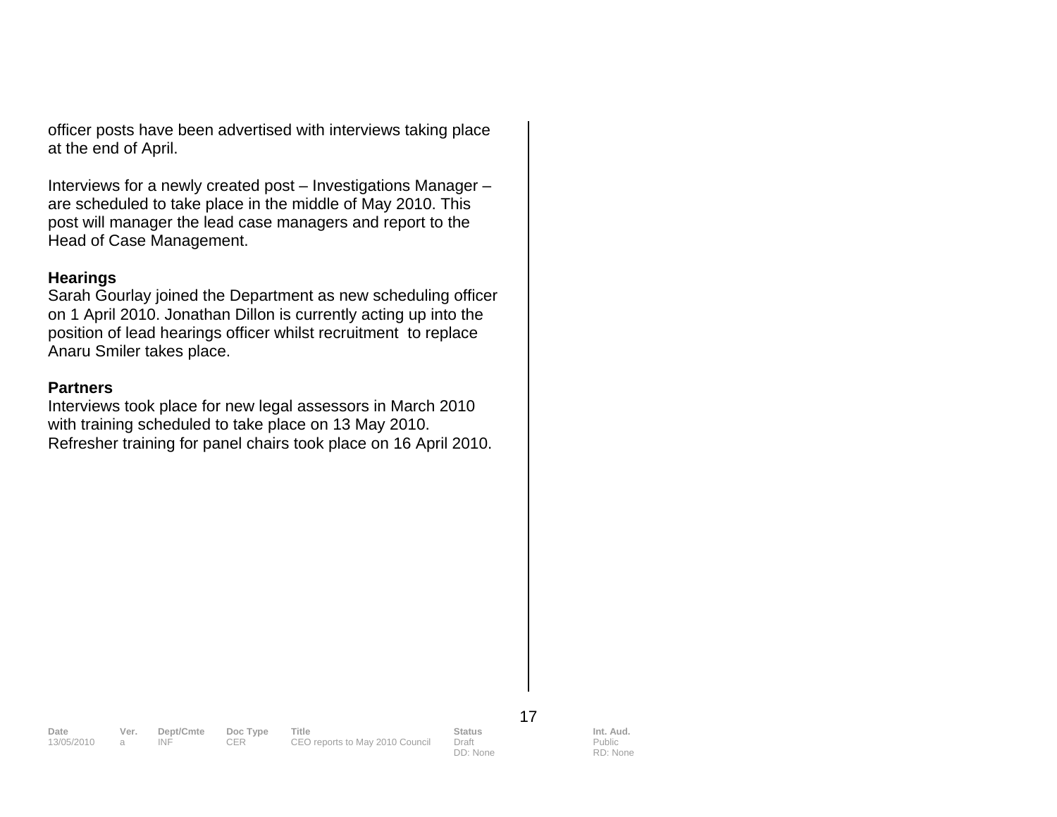officer posts have been advertised with interviews taking place at the end of April.

Interviews for a newly created post – Investigations Manager – are scheduled to take place in the middle of May 2010. This post will manager the lead case managers and report to the Head of Case Management.

#### **Hearings**

Sarah Gourlay joined the Department as new scheduling officer on 1 April 2010. Jonathan Dillon is currently acting up into the position of lead hearings officer whilst recruitment to replace Anaru Smiler takes place.

#### **Partners**

Interviews took place for new legal assessors in March 2010 with training scheduled to take place on 13 May 2010. Refresher training for panel chairs took place on 16 April 2010.

17

DD: None

**Date Ver. Dept/Cmte Doc Type Title Status Status Int. Aud.**<br>13/05/2010 a INF CER CEO reports to May 2010 Council Draft Public Public 13. INF CER CEO reports to May 2010 Council

Public

RD: None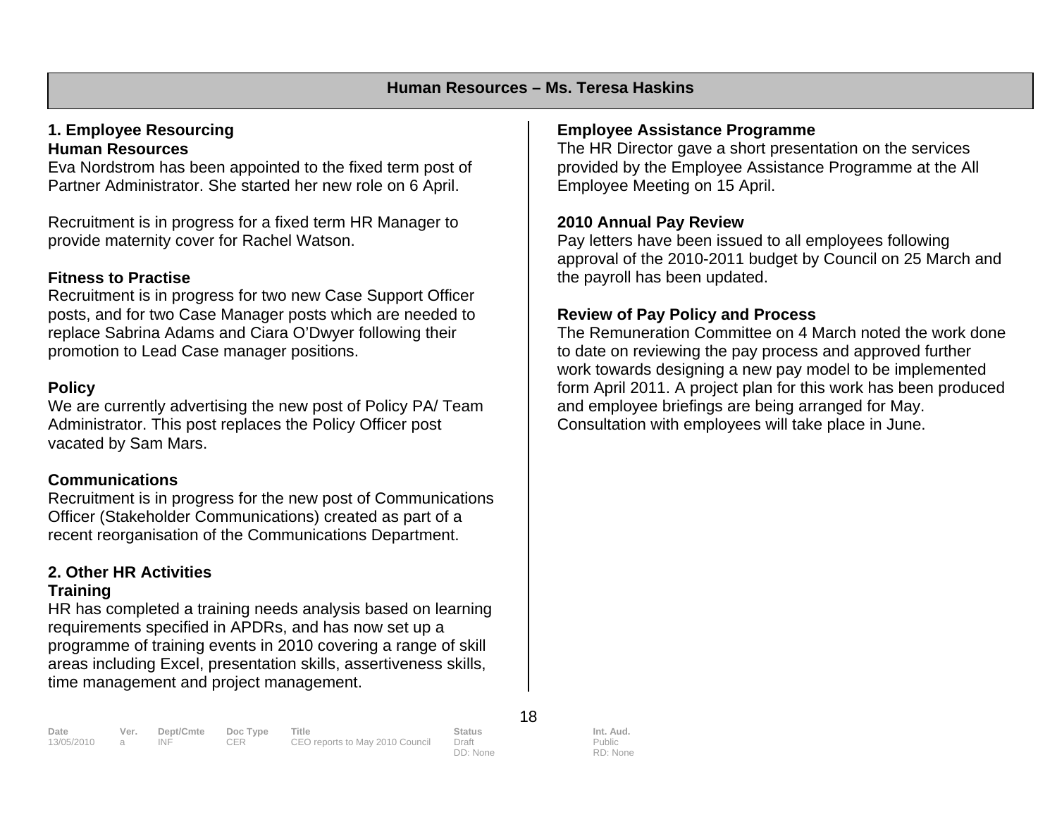#### **1. Employee Resourcing Human Resources**

Eva Nordstrom has been appointed to the fixed term post of Partner Administrator. She started her new role on 6 April.

Recruitment is in progress for a fixed term HR Manager to provide maternity cover for Rachel Watson.

#### **Fitness to Practise**

Recruitment is in progress for two new Case Support Officer posts, and for two Case Manager posts which are needed to replace Sabrina Adams and Ciara O'Dwyer following their promotion to Lead Case manager positions.

#### **Policy**

We are currently advertising the new post of Policy PA/ Team Administrator. This post replaces the Policy Officer post vacated by Sam Mars.

### **Communications**

Recruitment is in progress for the new post of Communications Officer (Stakeholder Communications) created as part of a recent reorganisation of the Communications Department.

# **2. Other HR Activities**

#### **Training**

HR has completed a training needs analysis based on learning requirements specified in APDRs, and has now set up a programme of training events in 2010 covering a range of skill areas including Excel, presentation skills, assertiveness skills, time management and project management.

# **Employee Assistance Programme**

The HR Director gave a short presentation on the services provided by the Employee Assistance Programme at the All Employee Meeting on 15 April.

#### **2010 Annual Pay Review**

Pay letters have been issued to all employees following approval of the 2010-2011 budget by Council on 25 March and the payroll has been updated.

### **Review of Pay Policy and Process**

The Remuneration Committee on 4 March noted the work done to date on reviewing the pay process and approved further work towards designing a new pay model to be implemented form April 2011. A project plan for this work has been produced and employee briefings are being arranged for May. Consultation with employees will take place in June.

18

DD: None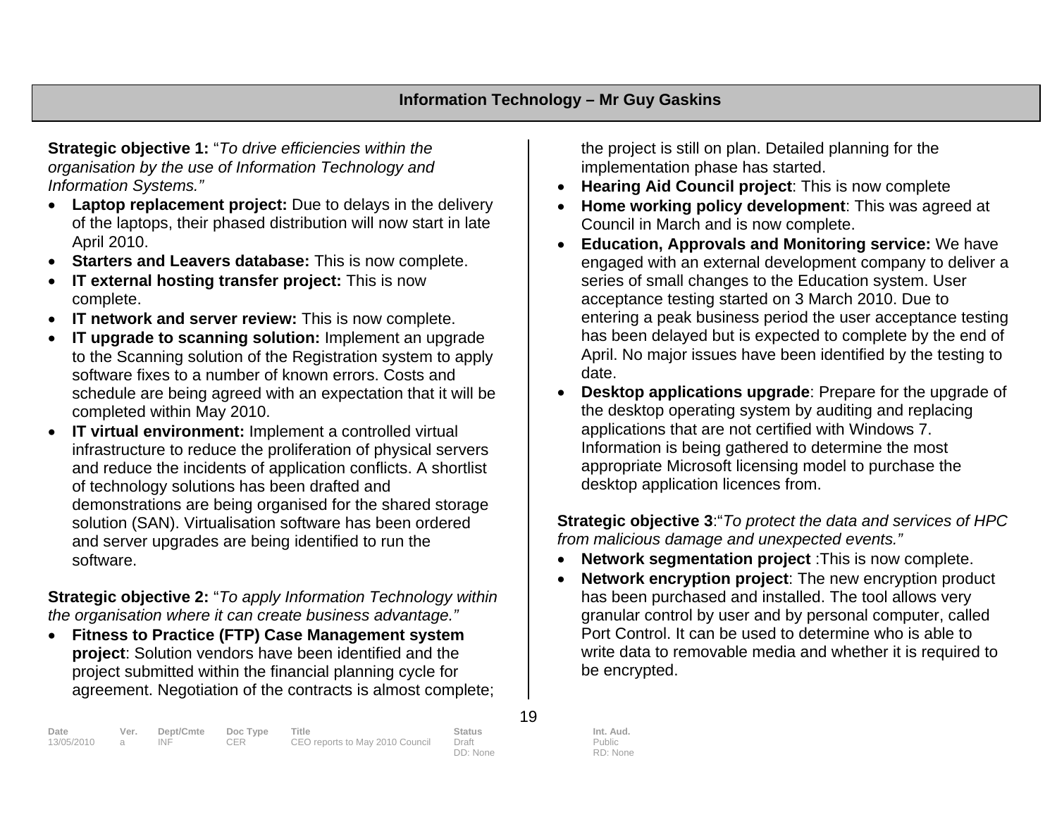**Strategic objective 1:** "*To drive efficiencies within the organisation by the use of Information Technology and Information Systems."*

- **Laptop replacement project:** Due to delays in the delivery of the laptops, their phased distribution will now start in late April 2010.
- $\bullet$ **Starters and Leavers database:** This is now complete.
- • **IT external hosting transfer project:** This is now complete.
- •**IT network and server review:** This is now complete.
- • **IT upgrade to scanning solution:** Implement an upgrade to the Scanning solution of the Registration system to apply software fixes to a number of known errors. Costs and schedule are being agreed with an expectation that it will be completed within May 2010.
- $\bullet$  **IT virtual environment:** Implement a controlled virtual infrastructure to reduce the proliferation of physical servers and reduce the incidents of application conflicts. A shortlist of technology solutions has been drafted and demonstrations are being organised for the shared storage solution (SAN). Virtualisation software has been ordered and server upgrades are being identified to run the software.

**Strategic objective 2:** "*To apply Information Technology within the organisation where it can create business advantage."*

 $\bullet$  **Fitness to Practice (FTP) Case Management system project**: Solution vendors have been identified and the project submitted within the financial planning cycle for agreement. Negotiation of the contracts is almost complete; the project is still on plan. Detailed planning for the implementation phase has started.

- •**Hearing Aid Council project**: This is now complete
- • **Home working policy development**: This was agreed at Council in March and is now complete.
- • **Education, Approvals and Monitoring service:** We have engaged with an external development company to deliver a series of small changes to the Education system. User acceptance testing started on 3 March 2010. Due to entering a peak business period the user acceptance testing has been delayed but is expected to complete by the end of April. No major issues have been identified by the testing to date.
- • **Desktop applications upgrade**: Prepare for the upgrade of the desktop operating system by auditing and replacing applications that are not certified with Windows 7. Information is being gathered to determine the most appropriate Microsoft licensing model to purchase the desktop application licences from.

**Strategic objective 3**:"*To protect the data and services of HPC from malicious damage and unexpected events."*

- •**Network segmentation project** :This is now complete.
- • **Network encryption project**: The new encryption product has been purchased and installed. The tool allows very granular control by user and by personal computer, called Port Control. It can be used to determine who is able to write data to removable media and whether it is required to be encrypted.

| Date         | Ver. | Dept/Cmte | Doc Type | Title                           | <b>Status</b> | Int. Aud. |
|--------------|------|-----------|----------|---------------------------------|---------------|-----------|
| 13/05/2010 a |      | INF       | CER      | CEO reports to May 2010 Council | Draft         | Public    |
|              |      |           |          |                                 | DD: None      | RD: None  |

19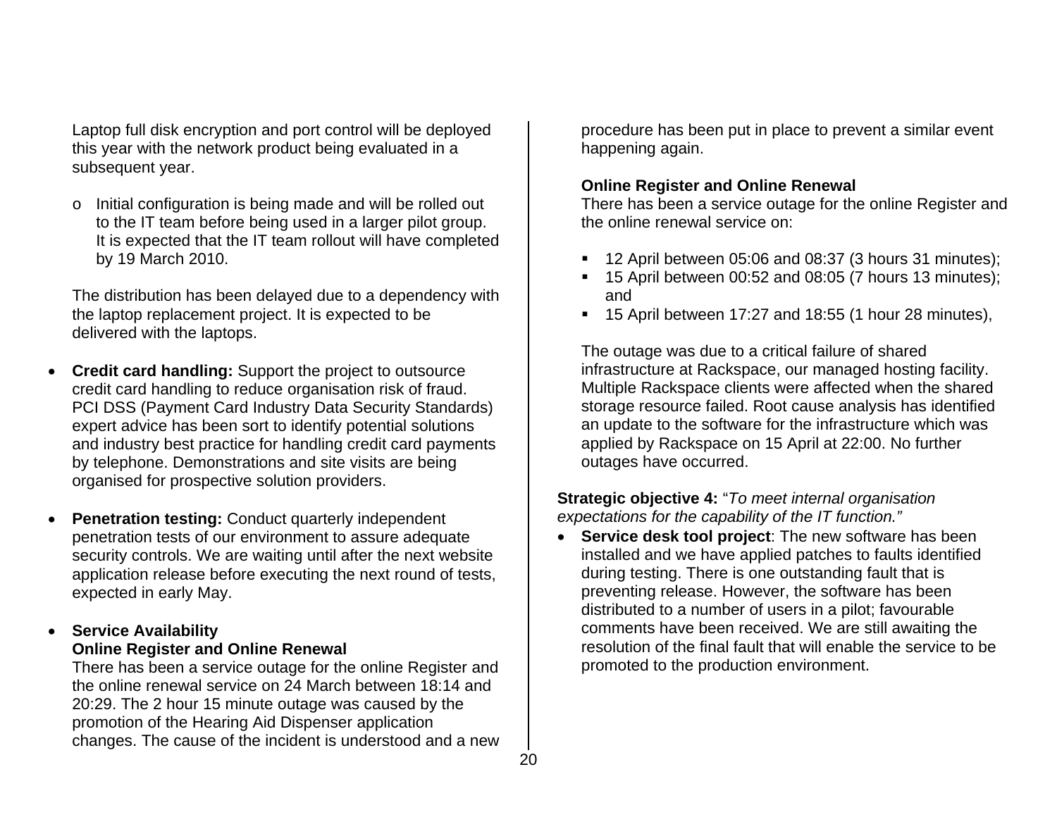Laptop full disk encryption and port control will be deployed this year with the network product being evaluated in a subsequent year.

<sup>o</sup> Initial configuration is being made and will be rolled out to the IT team before being used in a larger pilot group. It is expected that the IT team rollout will have completed by 19 March 2010.

The distribution has been delayed due to a dependency with the laptop replacement project. It is expected to be delivered with the laptops.

- **Credit card handling:** Support the project to outsource credit card handling to reduce organisation risk of fraud. PCI DSS (Payment Card Industry Data Security Standards) expert advice has been sort to identify potential solutions and industry best practice for handling credit card payments by telephone. Demonstrations and site visits are being organised for prospective solution providers.
- •**Penetration testing: Conduct quarterly independent** penetration tests of our environment to assure adequate security controls. We are waiting until after the next website application release before executing the next round of tests, expected in early May.

#### • **Service Availability Online Register and Online Renewal**

There has been a service outage for the online Register and the online renewal service on 24 March between 18:14 and 20:29. The 2 hour 15 minute outage was caused by the promotion of the Hearing Aid Dispenser application changes. The cause of the incident is understood and a new procedure has been put in place to prevent a similar event happening again.

### **Online Register and Online Renewal**

There has been a service outage for the online Register and the online renewal service on:

- <sup>1</sup> 12 April between 05:06 and 08:37 (3 hours 31 minutes);
- <sup>1</sup> 15 April between 00:52 and 08:05 (7 hours 13 minutes); and
- $\blacksquare$  15 April between 17:27 and 18:55 (1 hour 28 minutes),

The outage was due to a critical failure of shared infrastructure at Rackspace, our managed hosting facility. Multiple Rackspace clients were affected when the shared storage resource failed. Root cause analysis has identified an update to the software for the infrastructure which was applied by Rackspace on 15 April at 22:00. No further outages have occurred.

**Strategic objective 4:** "*To meet internal organisation expectations for the capability of the IT function."* 

• **Service desk tool project**: The new software has been installed and we have applied patches to faults identified during testing. There is one outstanding fault that is preventing release. However, the software has been distributed to a number of users in a pilot; favourable comments have been received. We are still awaiting the resolution of the final fault that will enable the service to be promoted to the production environment.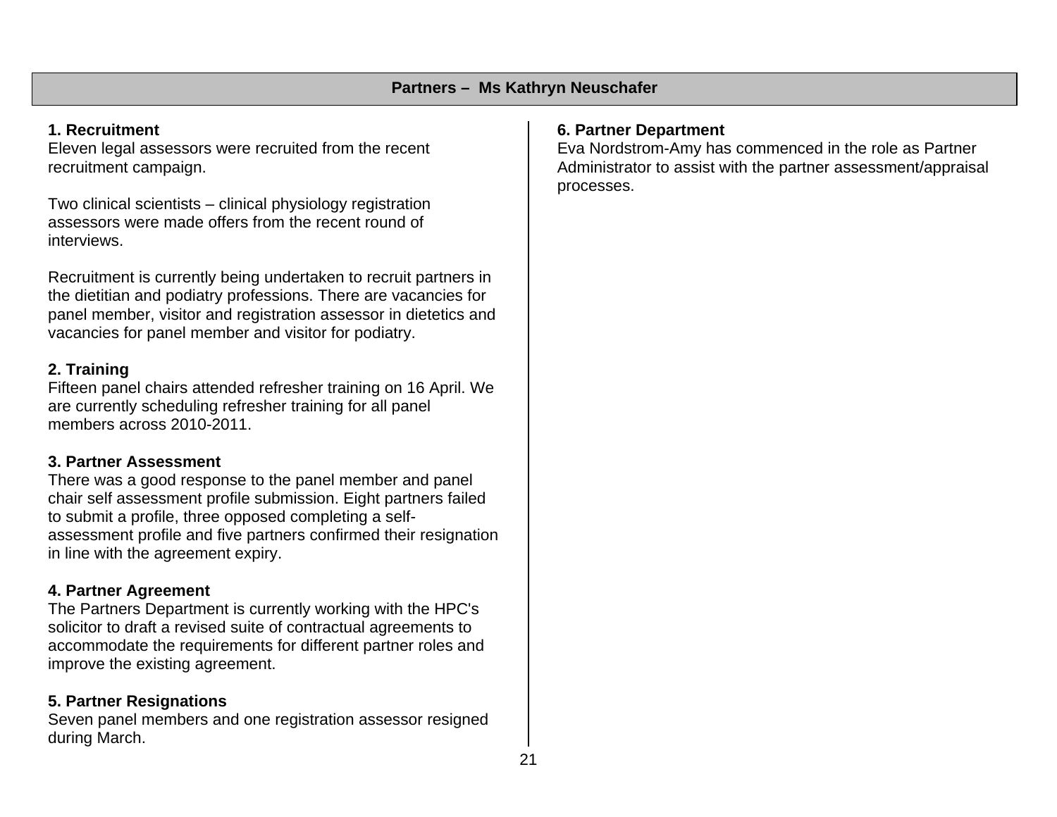### **1. Recruitment**

Eleven legal assessors were recruited from the recent recruitment campaign.

Two clinical scientists – clinical physiology registration assessors were made offers from the recent round of interviews.

Recruitment is currently being undertaken to recruit partners in the dietitian and podiatry professions. There are vacancies for panel member, visitor and registration assessor in dietetics and vacancies for panel member and visitor for podiatry.

# **2. Training**

Fifteen panel chairs attended refresher training on 16 April. We are currently scheduling refresher training for all panel members across 2010-2011.

### **3. Partner Assessment**

There was a good response to the panel member and panel chair self assessment profile submission. Eight partners failed to submit a profile, three opposed completing a selfassessment profile and five partners confirmed their resignation in line with the agreement expiry.

# **4. Partner Agreement**

The Partners Department is currently working with the HPC's solicitor to draft a revised suite of contractual agreements to accommodate the requirements for different partner roles and improve the existing agreement.

# **5. Partner Resignations**

Seven panel members and one registration assessor resigned during March.

# **6. Partner Department**

Eva Nordstrom-Amy has commenced in the role as Partner Administrator to assist with the partner assessment/appraisal processes.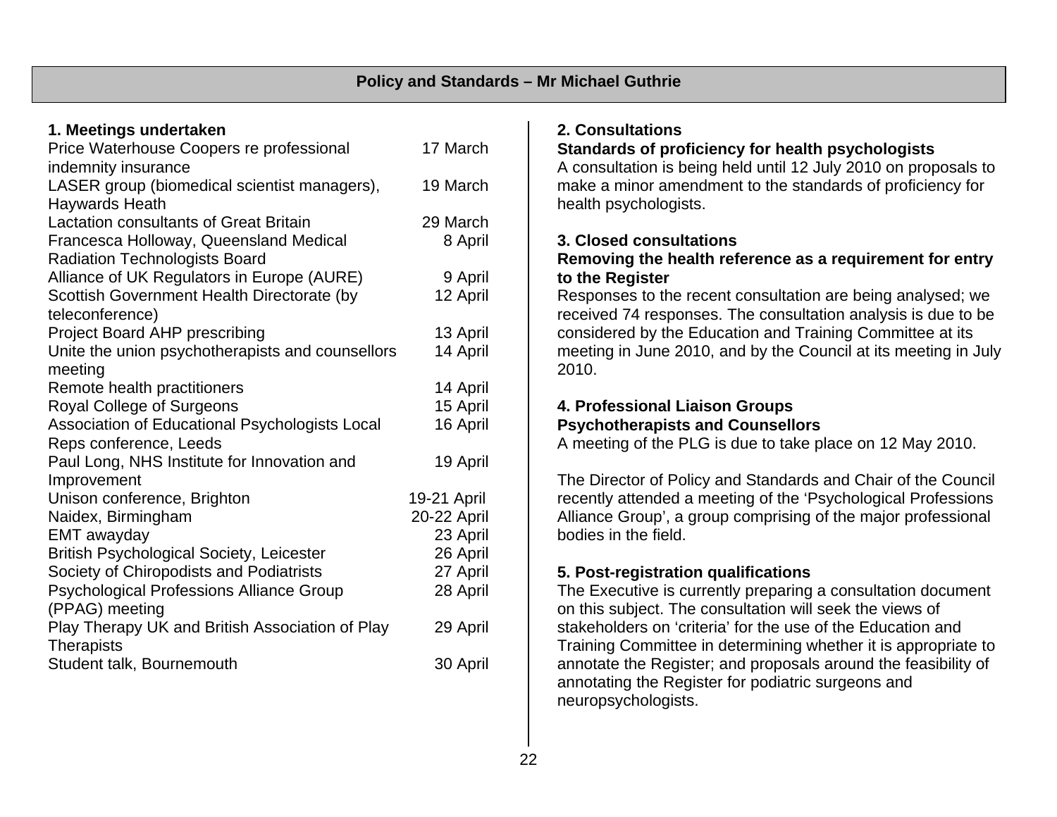#### **1. Meetings undertaken**

| Price Waterhouse Coopers re professional         | 17 March    |
|--------------------------------------------------|-------------|
| indemnity insurance                              |             |
| LASER group (biomedical scientist managers),     | 19 March    |
| <b>Haywards Heath</b>                            |             |
| <b>Lactation consultants of Great Britain</b>    | 29 March    |
| Francesca Holloway, Queensland Medical           | 8 April     |
| <b>Radiation Technologists Board</b>             |             |
| Alliance of UK Regulators in Europe (AURE)       | 9 April     |
| Scottish Government Health Directorate (by       | 12 April    |
| teleconference)                                  |             |
| <b>Project Board AHP prescribing</b>             | 13 April    |
| Unite the union psychotherapists and counsellors | 14 April    |
| meeting                                          |             |
| Remote health practitioners                      | 14 April    |
| Royal College of Surgeons                        | 15 April    |
| Association of Educational Psychologists Local   | 16 April    |
| Reps conference, Leeds                           |             |
| Paul Long, NHS Institute for Innovation and      | 19 April    |
| Improvement                                      |             |
| Unison conference, Brighton                      | 19-21 April |
| Naidex, Birmingham                               | 20-22 April |
| EMT awayday                                      | 23 April    |
| <b>British Psychological Society, Leicester</b>  | 26 April    |
| Society of Chiropodists and Podiatrists          | 27 April    |
| <b>Psychological Professions Alliance Group</b>  | 28 April    |
| (PPAG) meeting                                   |             |
| Play Therapy UK and British Association of Play  | 29 April    |
| <b>Therapists</b>                                |             |
| Student talk, Bournemouth                        | 30 April    |

#### **2. Consultations**

#### **Standards of proficiency for health psychologists**

A consultation is being held until 12 July 2010 on proposals to make a minor amendment to the standards of proficiency for health psychologists.

#### **3. Closed consultations**

#### **Removing the health reference as a requirement for entry to the Register**

Responses to the recent consultation are being analysed; we received 74 responses. The consultation analysis is due to be considered by the Education and Training Committee at its meeting in June 2010, and by the Council at its meeting in July 2010.

#### **4. Professional Liaison Groups Psychotherapists and Counsellors**

A meeting of the PLG is due to take place on 12 May 2010.

The Director of Policy and Standards and Chair of the Council recently attended a meeting of the 'Psychological Professions Alliance Group', a group comprising of the major professional bodies in the field.

### **5. Post-registration qualifications**

The Executive is currently preparing a consultation document on this subject. The consultation will seek the views of stakeholders on 'criteria' for the use of the Education and Training Committee in determining whether it is appropriate to annotate the Register; and proposals around the feasibility of annotating the Register for podiatric surgeons and neuropsychologists.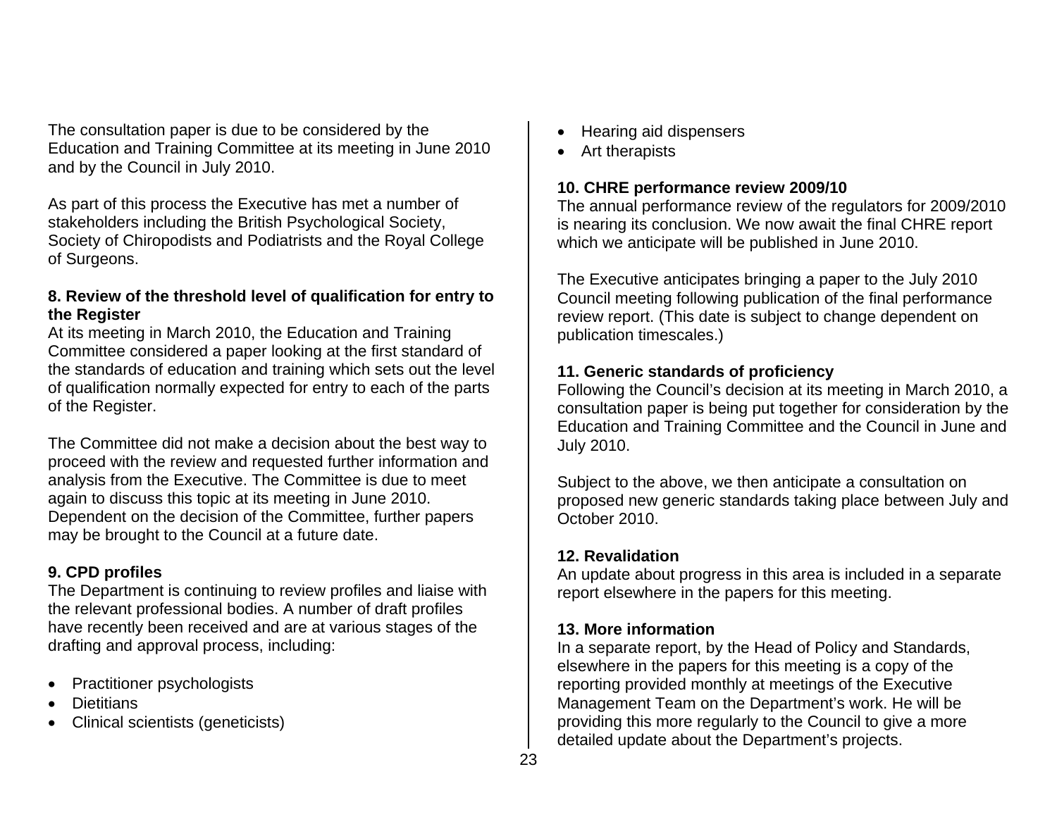The consultation paper is due to be considered by the Education and Training Committee at its meeting in June 2010 and by the Council in July 2010.

As part of this process the Executive has met a number of stakeholders including the British Psychological Society, Society of Chiropodists and Podiatrists and the Royal College of Surgeons.

#### **8. Review of the threshold level of qualification for entry to the Register**

At its meeting in March 2010, the Education and Training Committee considered a paper looking at the first standard of the standards of education and training which sets out the level of qualification normally expected for entry to each of the parts of the Register.

The Committee did not make a decision about the best way to proceed with the review and requested further information and analysis from the Executive. The Committee is due to meet again to discuss this topic at its meeting in June 2010. Dependent on the decision of the Committee, further papers may be brought to the Council at a future date.

### **9. CPD profiles**

The Department is continuing to review profiles and liaise with the relevant professional bodies. A number of draft profiles have recently been received and are at various stages of the drafting and approval process, including:

- Practitioner psychologists
- **Dietitians**
- Clinical scientists (geneticists)
- Hearing aid dispensers
- Art therapists

# **10. CHRE performance review 2009/10**

The annual performance review of the regulators for 2009/2010 is nearing its conclusion. We now await the final CHRE report which we anticipate will be published in June 2010.

The Executive anticipates bringing a paper to the July 2010 Council meeting following publication of the final performance review report. (This date is subject to change dependent on publication timescales.)

# **11. Generic standards of proficiency**

Following the Council's decision at its meeting in March 2010, a consultation paper is being put together for consideration by the Education and Training Committee and the Council in June and July 2010.

Subject to the above, we then anticipate a consultation on proposed new generic standards taking place between July and October 2010.

# **12. Revalidation**

An update about progress in this area is included in a separate report elsewhere in the papers for this meeting.

# **13. More information**

In a separate report, by the Head of Policy and Standards, elsewhere in the papers for this meeting is a copy of the reporting provided monthly at meetings of the Executive Management Team on the Department's work. He will be providing this more regularly to the Council to give a more detailed update about the Department's projects.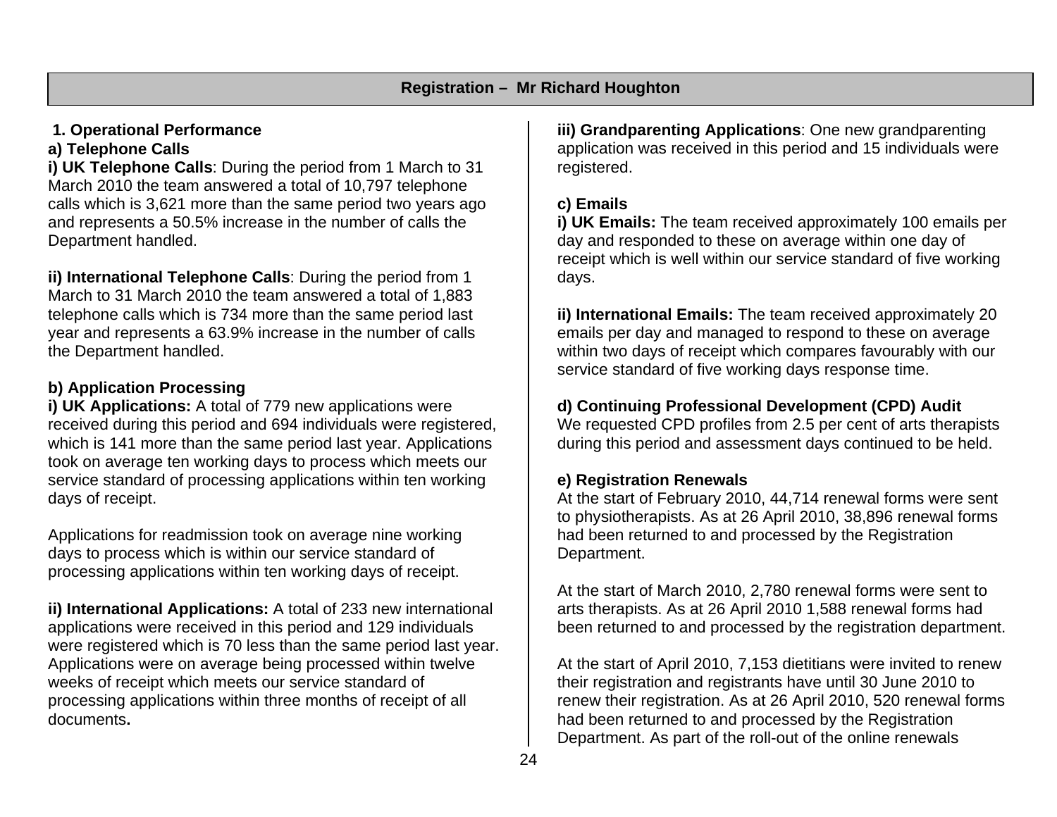# **1. Operational Performance**

# **a) Telephone Calls**

**i) UK Telephone Calls**: During the period from 1 March to 31 March 2010 the team answered a total of 10,797 telephone calls which is 3,621 more than the same period two years ago and represents a 50.5% increase in the number of calls the Department handled.

**ii) International Telephone Calls**: During the period from 1 March to 31 March 2010 the team answered a total of 1,883 telephone calls which is 734 more than the same period last year and represents a 63.9% increase in the number of calls the Department handled.

# **b) Application Processing**

**i) UK Applications:** A total of 779 new applications were received during this period and 694 individuals were registered, which is 141 more than the same period last year. Applications took on average ten working days to process which meets our service standard of processing applications within ten working days of receipt.

Applications for readmission took on average nine working days to process which is within our service standard of processing applications within ten working days of receipt.

**ii) International Applications:** A total of 233 new international applications were received in this period and 129 individuals were registered which is 70 less than the same period last year. Applications were on average being processed within twelve weeks of receipt which meets our service standard of processing applications within three months of receipt of all documents**.** 

**iii) Grandparenting Applications**: One new grandparenting application was received in this period and 15 individuals were registered.

# **c) Emails**

**i) UK Emails:** The team received approximately 100 emails per day and responded to these on average within one day of receipt which is well within our service standard of five working days.

**ii) International Emails:** The team received approximately 20 emails per day and managed to respond to these on average within two days of receipt which compares favourably with our service standard of five working days response time.

# **d) Continuing Professional Development (CPD) Audit**

We requested CPD profiles from 2.5 per cent of arts therapists during this period and assessment days continued to be held.

# **e) Registration Renewals**

At the start of February 2010, 44,714 renewal forms were sent to physiotherapists. As at 26 April 2010, 38,896 renewal forms had been returned to and processed by the Registration Department.

At the start of March 2010, 2,780 renewal forms were sent to arts therapists. As at 26 April 2010 1,588 renewal forms had been returned to and processed by the registration department.

At the start of April 2010, 7,153 dietitians were invited to renew their registration and registrants have until 30 June 2010 to renew their registration. As at 26 April 2010, 520 renewal forms had been returned to and processed by the Registration Department. As part of the roll-out of the online renewals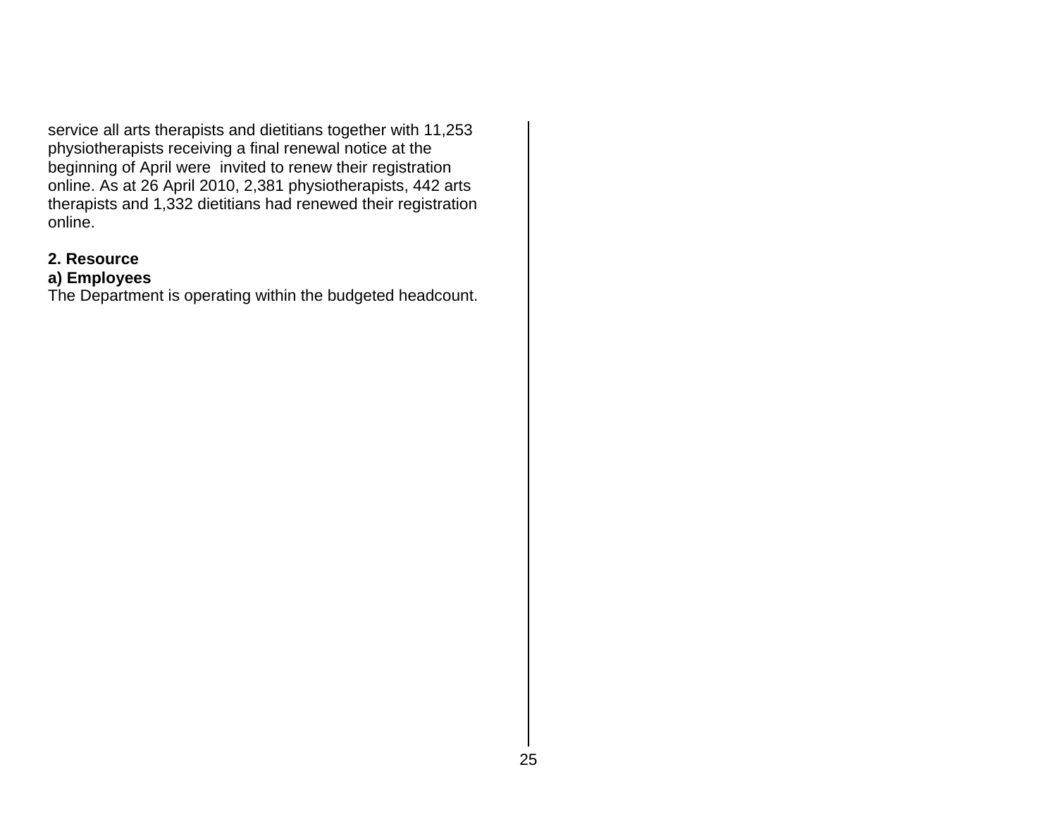service all arts therapists and dietitians together with 11,253 physiotherapists receiving a final renewal notice at the beginning of April were invited to renew their registration online. As at 26 April 2010, 2,381 physiotherapists, 442 arts therapists and 1,332 dietitians had renewed their registration online.

#### **2. Resource**

#### **a) Employees**

The Department is operating within the budgeted headcount.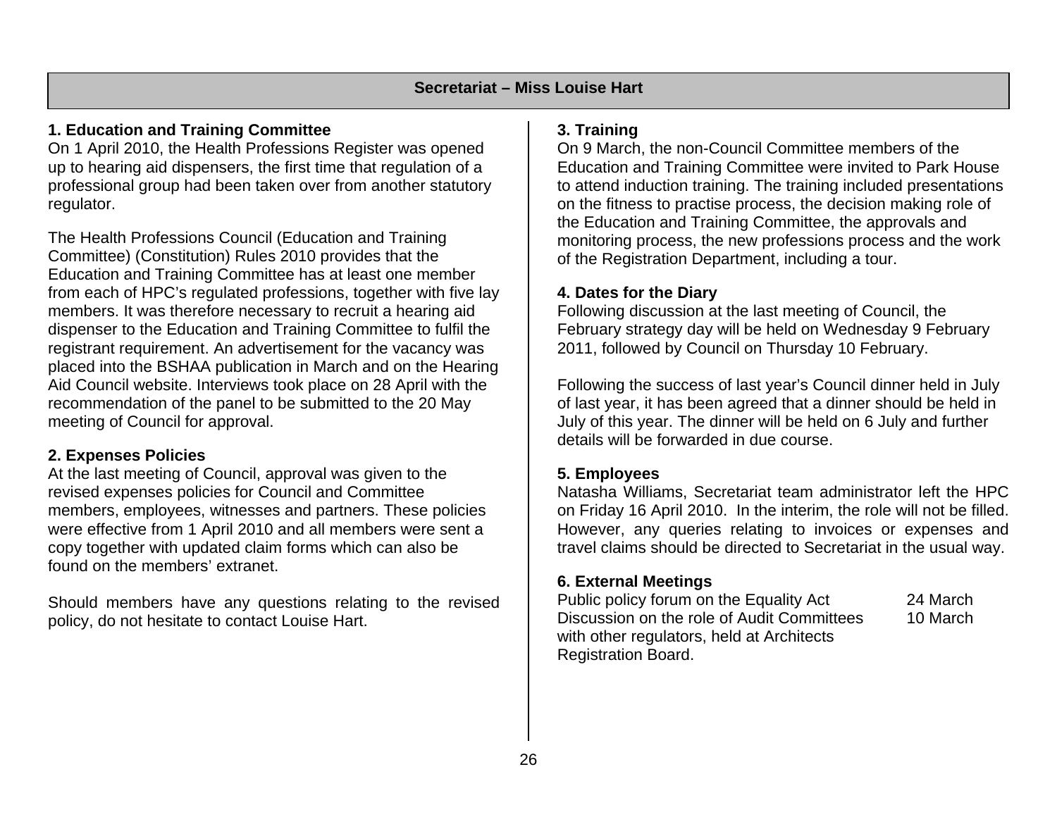# **1. Education and Training Committee**

On 1 April 2010, the Health Professions Register was opened up to hearing aid dispensers, the first time that regulation of a professional group had been taken over from another statutory regulator.

The Health Professions Council (Education and Training Committee) (Constitution) Rules 2010 provides that the Education and Training Committee has at least one member from each of HPC's regulated professions, together with five lay members. It was therefore necessary to recruit a hearing aid dispenser to the Education and Training Committee to fulfil the registrant requirement. An advertisement for the vacancy was placed into the BSHAA publication in March and on the Hearing Aid Council website. Interviews took place on 28 April with the recommendation of the panel to be submitted to the 20 May meeting of Council for approval.

### **2. Expenses Policies**

At the last meeting of Council, approval was given to the revised expenses policies for Council and Committee members, employees, witnesses and partners. These policies were effective from 1 April 2010 and all members were sent a copy together with updated claim forms which can also be found on the members' extranet.

Should members have any questions relating to the revised policy, do not hesitate to contact Louise Hart.

### **3. Training**

On 9 March, the non-Council Committee members of the Education and Training Committee were invited to Park House to attend induction training. The training included presentations on the fitness to practise process, the decision making role of the Education and Training Committee, the approvals and monitoring process, the new professions process and the work of the Registration Department, including a tour.

#### **4. Dates for the Diary**

Following discussion at the last meeting of Council, the February strategy day will be held on Wednesday 9 February 2011, followed by Council on Thursday 10 February.

Following the success of last year's Council dinner held in July of last year, it has been agreed that a dinner should be held in July of this year. The dinner will be held on 6 July and further details will be forwarded in due course.

### **5. Employees**

Natasha Williams, Secretariat team administrator left the HPC on Friday 16 April 2010. In the interim, the role will not be filled. However, any queries relating to invoices or expenses and travel claims should be directed to Secretariat in the usual way.

#### **6. External Meetings**

Public policy forum on the Equality Act 24 March Discussion on the role of Audit Committees 10 March with other regulators, held at Architects Registration Board.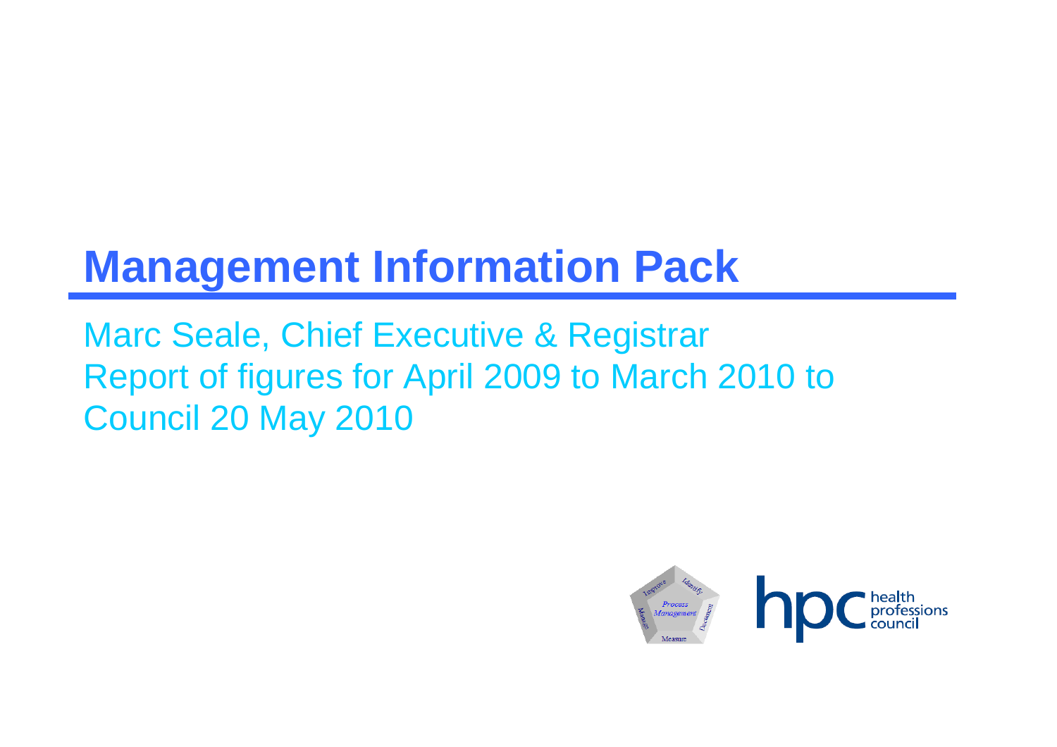# **Management Information Pack**

Marc Seale, Chief Executive & Registrar Report of figures for April 2009 to March 2010 to Council 20 May 2010

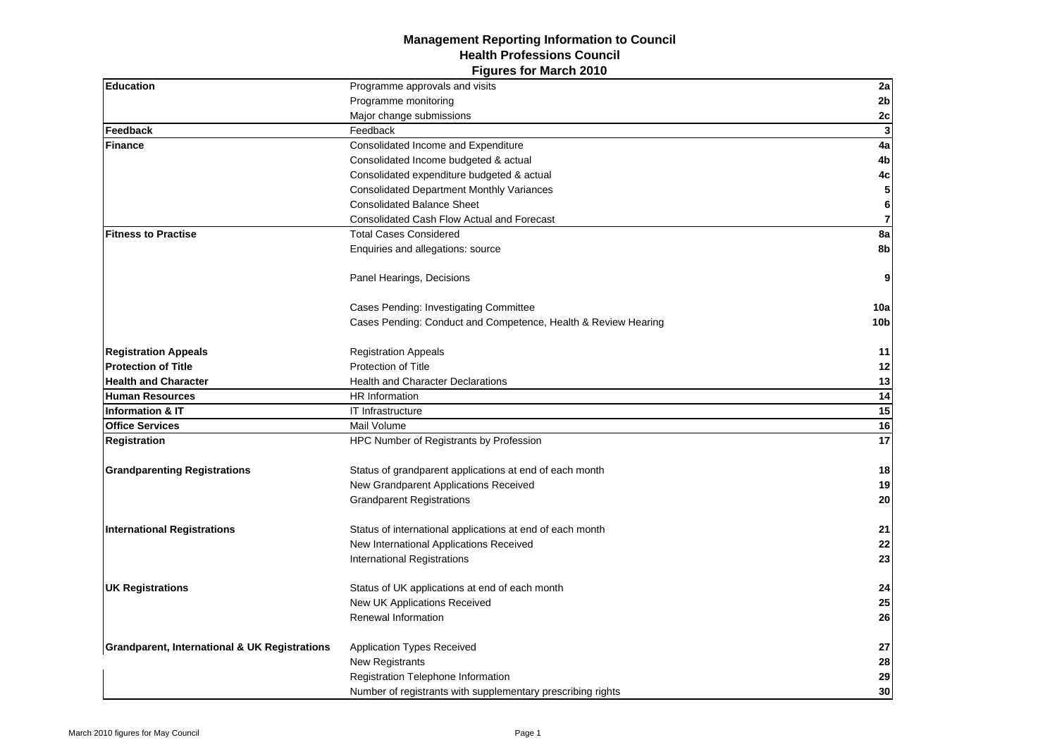#### **Figures for March 2010 Management Reporting Information to Council Health Professions Council**

| Education                                                | Programme approvals and visits                                 | 2a              |
|----------------------------------------------------------|----------------------------------------------------------------|-----------------|
|                                                          | Programme monitoring                                           | $2\mathsf{b}$   |
|                                                          | Major change submissions                                       | 2c              |
| Feedback                                                 | Feedback                                                       | $\mathbf{3}$    |
| <b>Finance</b>                                           | Consolidated Income and Expenditure                            | 4a              |
|                                                          | Consolidated Income budgeted & actual                          | 4b              |
|                                                          | Consolidated expenditure budgeted & actual                     | $4\mathrm{c}$   |
|                                                          | <b>Consolidated Department Monthly Variances</b>               | ${\bf 5}$       |
|                                                          | <b>Consolidated Balance Sheet</b>                              | 6               |
|                                                          | <b>Consolidated Cash Flow Actual and Forecast</b>              | $\overline{7}$  |
| <b>Fitness to Practise</b>                               | <b>Total Cases Considered</b>                                  | 8a              |
|                                                          | Enquiries and allegations: source                              | 8b              |
|                                                          | Panel Hearings, Decisions                                      | 9               |
|                                                          | Cases Pending: Investigating Committee                         | 10a             |
|                                                          | Cases Pending: Conduct and Competence, Health & Review Hearing | 10 <sub>b</sub> |
| <b>Registration Appeals</b>                              | <b>Registration Appeals</b>                                    | 11              |
| <b>Protection of Title</b>                               | Protection of Title                                            | 12              |
| <b>Health and Character</b>                              | <b>Health and Character Declarations</b>                       | 13              |
| <b>Human Resources</b>                                   | <b>HR</b> Information                                          | 14              |
| Information & IT                                         | IT Infrastructure                                              | 15              |
| <b>Office Services</b>                                   | Mail Volume                                                    | 16              |
| <b>Registration</b>                                      | HPC Number of Registrants by Profession                        | 17              |
| <b>Grandparenting Registrations</b>                      | Status of grandparent applications at end of each month        | 18              |
|                                                          | New Grandparent Applications Received                          | 19              |
|                                                          | <b>Grandparent Registrations</b>                               | 20              |
| <b>International Registrations</b>                       | Status of international applications at end of each month      | 21              |
|                                                          | New International Applications Received                        | 22              |
|                                                          | International Registrations                                    | 23              |
| <b>UK Registrations</b>                                  | Status of UK applications at end of each month                 | 24              |
|                                                          | New UK Applications Received                                   | 25              |
|                                                          | Renewal Information                                            | 26              |
| <b>Grandparent, International &amp; UK Registrations</b> | <b>Application Types Received</b>                              | 27              |
|                                                          | New Registrants                                                | 28              |
|                                                          | Registration Telephone Information                             | 29              |
|                                                          | Number of registrants with supplementary prescribing rights    | 30              |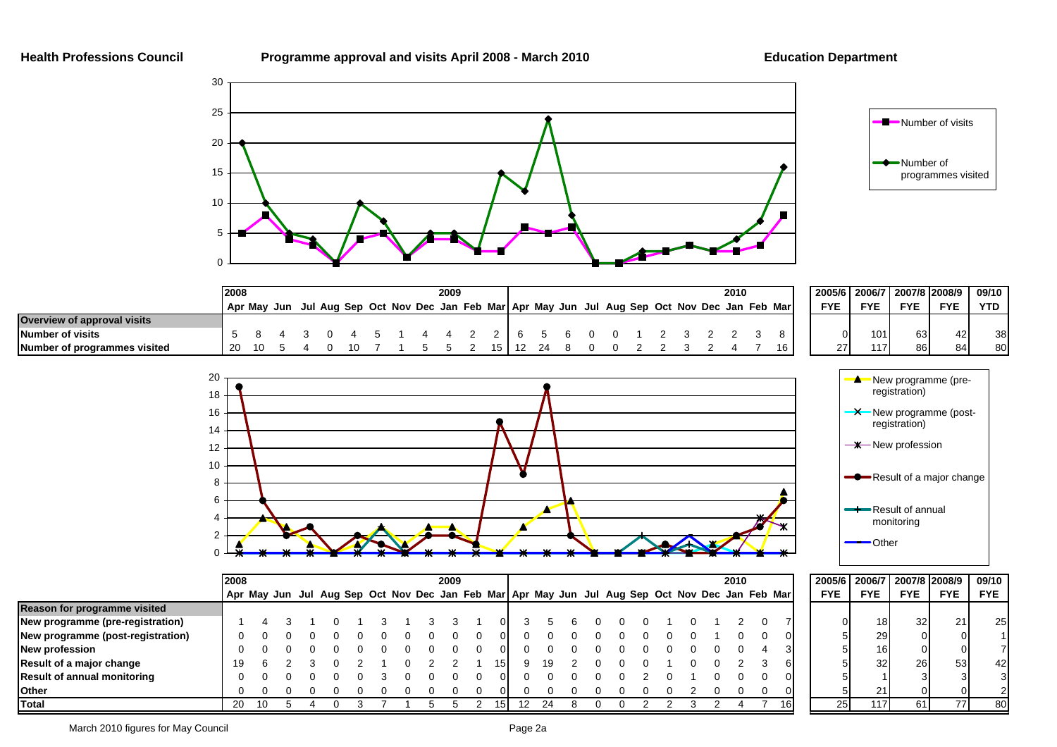#### **Health Professions Council Programme approval and visits April 2008 - March 2010 Education Department**





|                              | 12008 |  |             |  |  |  |  | 2009 |  |  |  |      |  |  |  |  |  |  |  |  |  |  | 2010 |                                                                                     |            | 2005/6 2006/7 |            | 2007/8 2008/9 | 09/10      |
|------------------------------|-------|--|-------------|--|--|--|--|------|--|--|--|------|--|--|--|--|--|--|--|--|--|--|------|-------------------------------------------------------------------------------------|------------|---------------|------------|---------------|------------|
|                              |       |  | Apr May Jun |  |  |  |  |      |  |  |  |      |  |  |  |  |  |  |  |  |  |  |      | Jul Aug Sep Oct Nov Dec Jan Feb Mar Apr May Jun Jul Aug Sep Oct Nov Dec Jan Feb Mar | <b>FYE</b> | <b>FYE</b>    | <b>FYE</b> | <b>FYE</b>    | <b>YTD</b> |
| Overview of approval visits  |       |  |             |  |  |  |  |      |  |  |  |      |  |  |  |  |  |  |  |  |  |  |      |                                                                                     |            |               |            |               |            |
| Number of visits             |       |  |             |  |  |  |  |      |  |  |  |      |  |  |  |  |  |  |  |  |  |  |      |                                                                                     |            |               | 101<br>63  | 42            | 38         |
| Number of programmes visited | 20    |  |             |  |  |  |  |      |  |  |  | 15 I |  |  |  |  |  |  |  |  |  |  |      | 16 <sub>1</sub>                                                                     |            | 27            | 86<br>117  | 84            | 80         |



|                      | -Result of a major change      |                      |                             |            |              |  |  |  |  |  |  |  |  |  |  |
|----------------------|--------------------------------|----------------------|-----------------------------|------------|--------------|--|--|--|--|--|--|--|--|--|--|
|                      | Result of annual<br>monitoring |                      |                             |            |              |  |  |  |  |  |  |  |  |  |  |
|                      | Other                          |                      |                             |            |              |  |  |  |  |  |  |  |  |  |  |
|                      |                                |                      |                             |            |              |  |  |  |  |  |  |  |  |  |  |
| 2005/6<br><b>FYE</b> |                                | 2006/7<br><b>FYE</b> | 2007/8 2008/9<br><b>FYE</b> | <b>FYE</b> | 09/10<br>FYE |  |  |  |  |  |  |  |  |  |  |
|                      |                                |                      |                             |            |              |  |  |  |  |  |  |  |  |  |  |
|                      |                                | 18                   | 32                          | 21         |              |  |  |  |  |  |  |  |  |  |  |

|                                    | 2008 |    |  |  |  |  |  |  | 2009 |  | 2010 |    |  |  |  |  |                                                                                                 |  |  | 2005/6 2006/7 2007/8 2008/9 |            |                 | 09/10      |            |            |
|------------------------------------|------|----|--|--|--|--|--|--|------|--|------|----|--|--|--|--|-------------------------------------------------------------------------------------------------|--|--|-----------------------------|------------|-----------------|------------|------------|------------|
|                                    |      |    |  |  |  |  |  |  |      |  |      |    |  |  |  |  | Apr May Jun Jul Aug Sep Oct Nov Dec Jan Feb Mar Apr May Jun Jul Aug Sep Oct Nov Dec Jan Feb Mar |  |  |                             | <b>FYE</b> | <b>FYE</b>      | <b>FYE</b> | <b>FYE</b> | <b>FYE</b> |
| Reason for programme visited       |      |    |  |  |  |  |  |  |      |  |      |    |  |  |  |  |                                                                                                 |  |  |                             |            |                 |            |            |            |
| New programme (pre-registration)   |      |    |  |  |  |  |  |  |      |  |      |    |  |  |  |  |                                                                                                 |  |  |                             |            | 18              | 32         |            | 25         |
| New programme (post-registration)  |      |    |  |  |  |  |  |  |      |  |      |    |  |  |  |  |                                                                                                 |  |  |                             |            | 29              |            |            |            |
| <b>New profession</b>              |      |    |  |  |  |  |  |  |      |  |      |    |  |  |  |  |                                                                                                 |  |  |                             |            | 16 <sup>1</sup> |            |            |            |
| Result of a major change           | 19   |    |  |  |  |  |  |  |      |  |      | 19 |  |  |  |  |                                                                                                 |  |  |                             |            | 32              | 26         | 53         | 42         |
| <b>Result of annual monitoring</b> |      |    |  |  |  |  |  |  |      |  |      |    |  |  |  |  |                                                                                                 |  |  |                             |            |                 |            |            |            |
| <b>Other</b>                       |      |    |  |  |  |  |  |  |      |  |      |    |  |  |  |  |                                                                                                 |  |  |                             |            | 21              |            |            |            |
| Total                              | -20  | 10 |  |  |  |  |  |  |      |  |      |    |  |  |  |  |                                                                                                 |  |  | 16 I                        | 25         | 117             | 61         |            | 80         |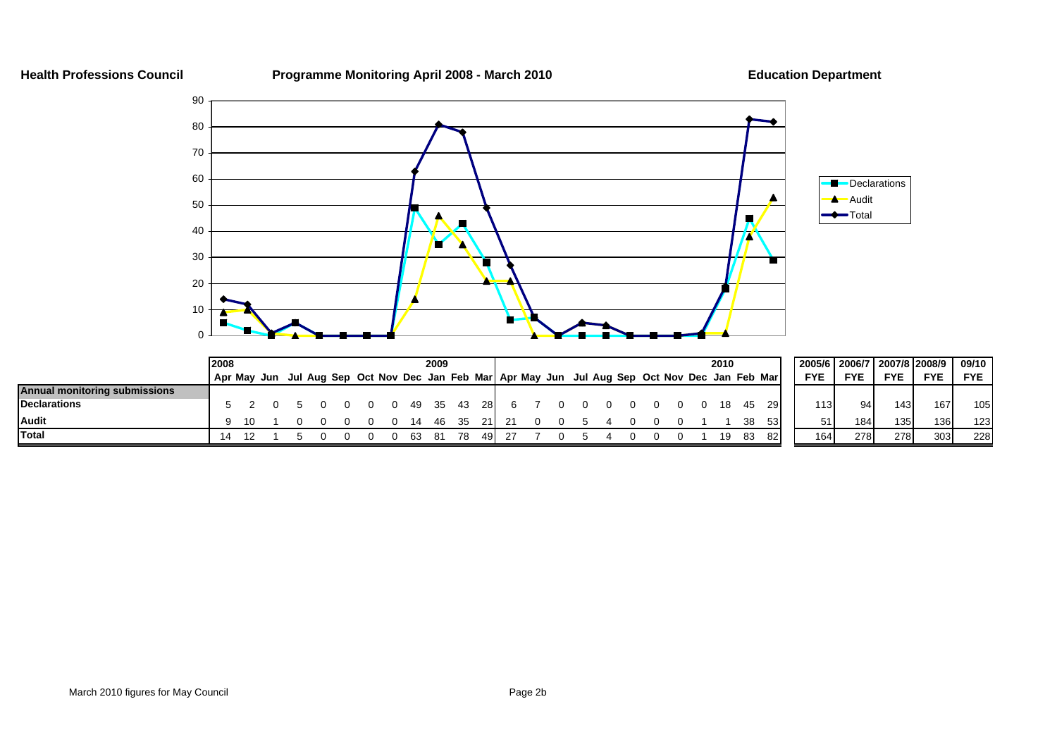**Health Professions Council Programme Monitoring April 2008 - March 2010 Education Department**



|                               | 2008        |  |  |  |     | 2009 |       |      |                                                                                     |  |  |  |  | 2010 |     |      | 2005/6           | 2006/7   2007/8   2008/9 |                  |                  | 09/10      |
|-------------------------------|-------------|--|--|--|-----|------|-------|------|-------------------------------------------------------------------------------------|--|--|--|--|------|-----|------|------------------|--------------------------|------------------|------------------|------------|
|                               | Apr Mav Jun |  |  |  |     |      |       |      | Jul Aug Sep Oct Nov Dec Jan Feb Mar Apr May Jun Jul Aug Sep Oct Nov Dec Jan Feb Mar |  |  |  |  |      |     |      | <b>FYE</b>       | <b>FYE</b>               | <b>FYE</b>       | <b>FYE</b>       | <b>FYE</b> |
| Annual monitoring submissions |             |  |  |  |     |      |       |      |                                                                                     |  |  |  |  |      |     |      |                  |                          |                  |                  |            |
| <b>Declarations</b>           |             |  |  |  | -49 |      | 35 43 | -28I |                                                                                     |  |  |  |  |      |     | 201  | 113 <sub>1</sub> | 94                       | 143              | 167              | 105        |
| <b>Audit</b>                  |             |  |  |  |     |      |       |      |                                                                                     |  |  |  |  |      | 38  | -531 | 51               | 184                      | 135 <sup>1</sup> | 136              | 123        |
| <b>Total</b>                  |             |  |  |  |     |      |       |      |                                                                                     |  |  |  |  | 19   | -83 | 82   | 164              | 278                      | 278              | 303 <sub>1</sub> | 228        |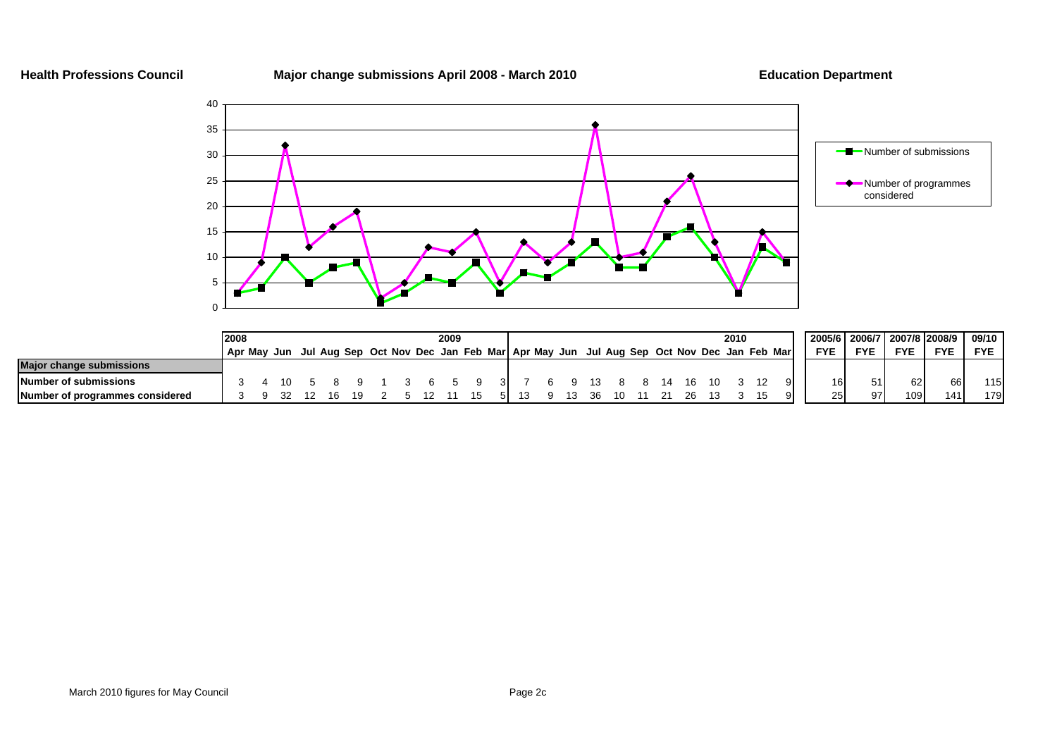**Health Professions Council Major change submissions April 2008 - March 2010 Education Department**



|                                 | 2008 |  |  |  |  | 2009 |                                                                                                 |  |  |  |  |  | 2010 |  |            | 2005/6 2006/7 2007/8 2008/9 |            |            | 09/10      |
|---------------------------------|------|--|--|--|--|------|-------------------------------------------------------------------------------------------------|--|--|--|--|--|------|--|------------|-----------------------------|------------|------------|------------|
|                                 |      |  |  |  |  |      | Apr May Jun Jul Aug Sep Oct Nov Dec Jan Feb Mar Apr May Jun Jul Aug Sep Oct Nov Dec Jan Feb Mar |  |  |  |  |  |      |  | <b>FYE</b> | <b>FYE</b>                  | <b>FYE</b> | <b>FYE</b> | <b>FYE</b> |
| <b>Major change submissions</b> |      |  |  |  |  |      |                                                                                                 |  |  |  |  |  |      |  |            |                             |            |            |            |
| Number of submissions           |      |  |  |  |  |      |                                                                                                 |  |  |  |  |  |      |  | 16         |                             | 621        | 661        | 115        |
| Number of programmes considered |      |  |  |  |  |      |                                                                                                 |  |  |  |  |  |      |  | 25         |                             | 109        |            | 179        |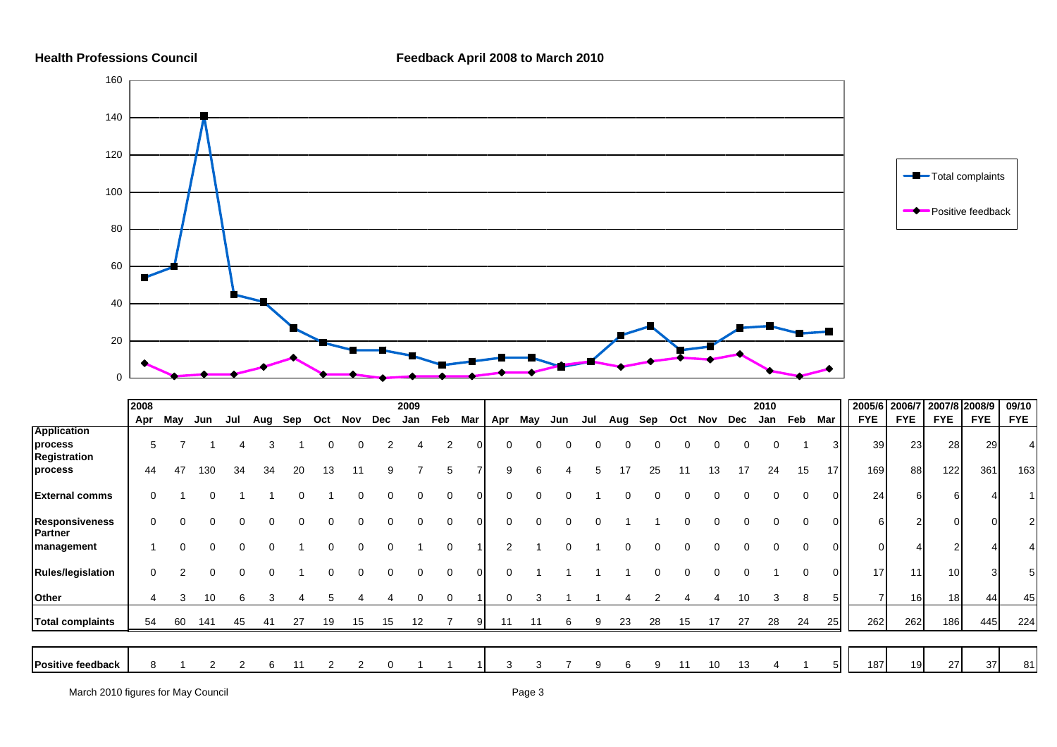

|                                  | 2008 |     |          |     |     |     |     |          |     | 2009 |     |     |          |     |     |     |     |     |     |     |     | 2010 |          |     | 2005/6          | 2006/7     | 2007/8 2008/9   |            | 09/10      |
|----------------------------------|------|-----|----------|-----|-----|-----|-----|----------|-----|------|-----|-----|----------|-----|-----|-----|-----|-----|-----|-----|-----|------|----------|-----|-----------------|------------|-----------------|------------|------------|
|                                  | Apr  | May | Jun      | Jul | Aug | Sep | Oct | Nov      | Dec | Jan  | Feb | Mar | Apr      | May | Jun | Jul | Aug | Sep | Oct | Nov | Dec | Jan  | Feb      | Mar | <b>FYE</b>      | <b>FYE</b> | <b>FYE</b>      | <b>FYE</b> | <b>FYE</b> |
| <b>Application</b><br>process    | 5    |     |          |     | 3   |     |     | $\Omega$ |     |      | 2   |     | $\Omega$ |     |     |     |     |     |     | 0   |     |      |          |     | 39 <sub>l</sub> | 23         | 28              | 29         |            |
| Registration<br>process          | 44   | 47  | 130      | 34  | 34  | 20  | 13  |          |     |      | 5   |     | 9        | 6   |     |     |     | 25  |     | 13  |     | 24   | 15       | 17  | 169             | 88         | 122             | 361        | 163        |
| <b>External comms</b>            | 0    |     | $\Omega$ |     |     |     |     | 0        |     | O    | 0   |     | 0        |     |     |     |     |     |     |     |     | 0    | $\Omega$ |     | 24              |            | 6               |            |            |
| <b>Responsiveness</b><br>Partner | 0    |     | $\Omega$ |     |     |     |     | $\Omega$ |     |      | 0   |     | $\Omega$ |     |     |     |     |     |     |     |     | 0    | 0        |     | 6               |            | $\overline{0}$  |            |            |
| management                       |      |     |          |     |     |     |     | $\Omega$ |     |      | 0   |     | 2        |     |     |     |     |     |     |     |     |      |          |     |                 |            |                 |            |            |
| <b>Rules/legislation</b>         | 0    |     | $\Omega$ |     |     |     |     | $\Omega$ | 0   | 0    | 0   |     | 0        |     |     |     |     |     |     | 0   |     |      | 0        |     | 17              | 11         | 10 <sup>1</sup> |            | 51         |
| Other                            | 4    | 3   | 10       | 6   | 3   |     |     |          |     |      | 0   |     | 0        |     |     |     |     |     |     |     | 10  |      | 8        |     | ⇁               | 16         | 18              | 44         | 45         |
| <b>Total complaints</b>          | 54   | 60  | 141      | 45  | 41  | 27  | 19  | 15       | 15  | 12   |     | 91  | 11       |     | 6   | 9   | 23  | 28  | 15  | 17  | 27  | 28   | 24       | 25  | 262             | 262        | 186             | 445        | 224        |
|                                  |      |     |          |     |     |     |     |          |     |      |     |     |          |     |     |     |     |     |     |     |     |      |          |     |                 |            |                 |            |            |
| <b>Positive feedback</b>         | 8    |     |          |     | 6   | 11  |     | 2        |     |      |     |     |          |     |     | 9   | 6   | 9   | 11  | 10  | 13  |      |          |     | 187             | 19         | 27              | 37         | 81         |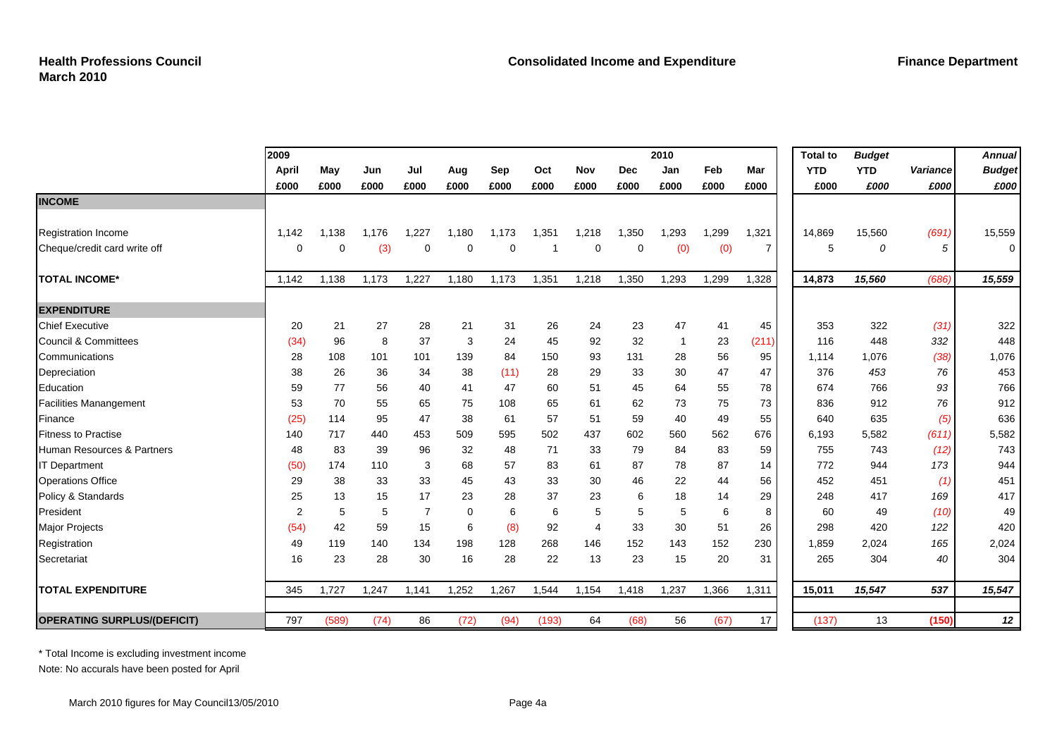|                                    | 2009  |       |       |                |       |       |       |       |            | 2010  |       |       | <b>Total to</b> | <b>Budget</b> |          | <b>Annual</b> |
|------------------------------------|-------|-------|-------|----------------|-------|-------|-------|-------|------------|-------|-------|-------|-----------------|---------------|----------|---------------|
|                                    | April | May   | Jun   | Jul            | Aug   | Sep   | Oct   | Nov   | <b>Dec</b> | Jan   | Feb   | Mar   | <b>YTD</b>      | <b>YTD</b>    | Variance | <b>Budget</b> |
|                                    | £000  | £000  | £000  | £000           | £000  | £000  | £000  | £000  | £000       | £000  | £000  | £000  | £000            | £000          | £000     | £000          |
| <b>INCOME</b>                      |       |       |       |                |       |       |       |       |            |       |       |       |                 |               |          |               |
|                                    |       |       |       |                |       |       |       |       |            |       |       |       |                 |               |          |               |
| <b>Registration Income</b>         | 1.142 | 1.138 | 1,176 | 1,227          | 1,180 | 1,173 | 1,351 | 1,218 | 1,350      | 1,293 | 1,299 | 1,321 | 14,869          | 15,560        | (691)    | 15,559        |
| Cheque/credit card write off       | 0     | 0     | (3)   | 0              | 0     | 0     |       | 0     | 0          | (0)   | (0)   | 7     | 5               | 0             | 5        | 0             |
| <b>TOTAL INCOME*</b>               | 1,142 | 1,138 | 1,173 | 1,227          | 1,180 | 1,173 | 1,351 | 1,218 | 1,350      | 1,293 | 1,299 | 1,328 | 14,873          | 15,560        | (686)    | 15,559        |
| <b>EXPENDITURE</b>                 |       |       |       |                |       |       |       |       |            |       |       |       |                 |               |          |               |
| <b>Chief Executive</b>             | 20    | 21    | 27    | 28             | 21    | 31    | 26    | 24    | 23         | 47    | 41    | 45    | 353             | 322           | (31)     | 322           |
| <b>Council &amp; Committees</b>    | (34)  | 96    | 8     | 37             | 3     | 24    | 45    | 92    | 32         | -1    | 23    | (211) | 116             | 448           | 332      | 448           |
| Communications                     | 28    | 108   | 101   | 101            | 139   | 84    | 150   | 93    | 131        | 28    | 56    | 95    | 1,114           | 1,076         | (38)     | 1,076         |
| Depreciation                       | 38    | 26    | 36    | 34             | 38    | (11)  | 28    | 29    | 33         | 30    | 47    | 47    | 376             | 453           | 76       | 453           |
| Education                          | 59    | 77    | 56    | 40             | 41    | 47    | 60    | 51    | 45         | 64    | 55    | 78    | 674             | 766           | 93       | 766           |
| <b>Facilities Manangement</b>      | 53    | 70    | 55    | 65             | 75    | 108   | 65    | 61    | 62         | 73    | 75    | 73    | 836             | 912           | 76       | 912           |
| Finance                            | (25)  | 114   | 95    | 47             | 38    | 61    | 57    | 51    | 59         | 40    | 49    | 55    | 640             | 635           | (5)      | 636           |
| <b>Fitness to Practise</b>         | 140   | 717   | 440   | 453            | 509   | 595   | 502   | 437   | 602        | 560   | 562   | 676   | 6,193           | 5,582         | (611)    | 5,582         |
| Human Resources & Partners         | 48    | 83    | 39    | 96             | 32    | 48    | 71    | 33    | 79         | 84    | 83    | 59    | 755             | 743           | (12)     | 743           |
| <b>IT Department</b>               | (50)  | 174   | 110   | 3              | 68    | 57    | 83    | 61    | 87         | 78    | 87    | 14    | 772             | 944           | 173      | 944           |
| <b>Operations Office</b>           | 29    | 38    | 33    | 33             | 45    | 43    | 33    | 30    | 46         | 22    | 44    | 56    | 452             | 451           | (1)      | 451           |
| Policy & Standards                 | 25    | 13    | 15    | 17             | 23    | 28    | 37    | 23    | 6          | 18    | 14    | 29    | 248             | 417           | 169      | 417           |
| President                          | 2     | 5     | 5     | $\overline{7}$ | 0     | 6     | 6     | 5     | 5          | 5     | 6     | 8     | 60              | 49            | (10)     | 49            |
| <b>Major Projects</b>              | (54)  | 42    | 59    | 15             | 6     | (8)   | 92    | 4     | 33         | 30    | 51    | 26    | 298             | 420           | 122      | 420           |
| Registration                       | 49    | 119   | 140   | 134            | 198   | 128   | 268   | 146   | 152        | 143   | 152   | 230   | 1,859           | 2,024         | 165      | 2,024         |
| Secretariat                        | 16    | 23    | 28    | 30             | 16    | 28    | 22    | 13    | 23         | 15    | 20    | 31    | 265             | 304           | 40       | 304           |
| <b>TOTAL EXPENDITURE</b>           | 345   | 1,727 | 1,247 | 1,141          | 1,252 | 1,267 | 1,544 | 1,154 | 1,418      | 1,237 | 1,366 | 1,311 | 15,011          | 15,547        | 537      | 15,547        |
| <b>OPERATING SURPLUS/(DEFICIT)</b> | 797   | (589) | (74)  | 86             | (72)  | (94)  | (193) | 64    | (68)       | 56    | (67)  | 17    | (137)           | 13            | (150)    | 12            |

\* Total Income is excluding investment income

Note: No accurals have been posted for April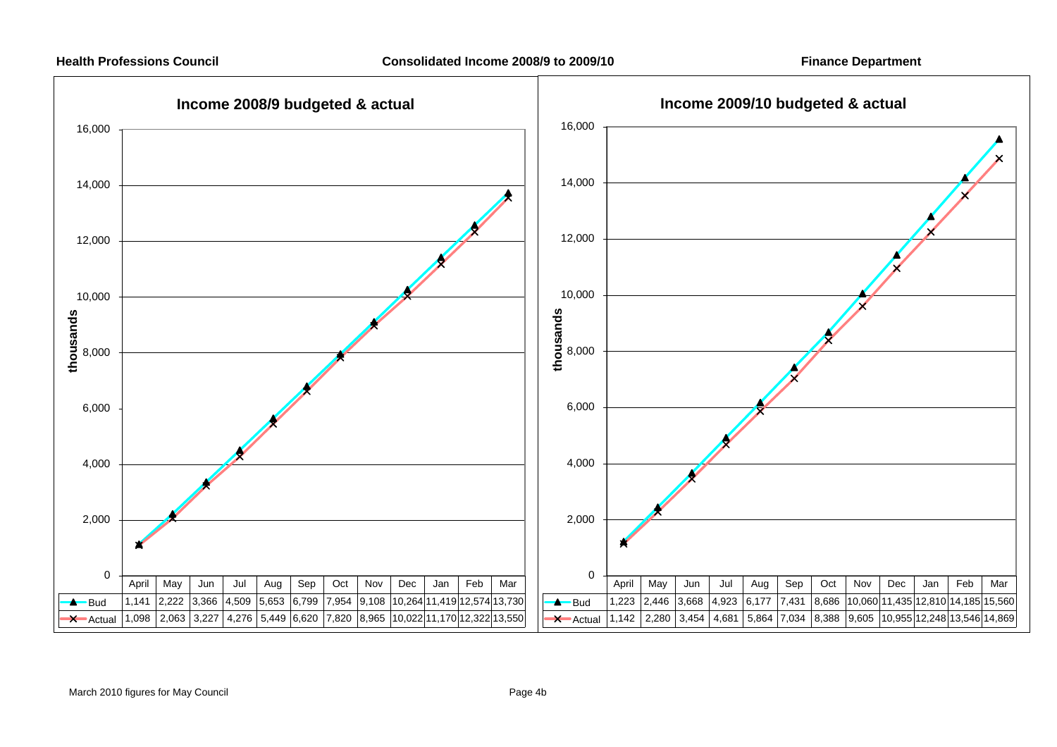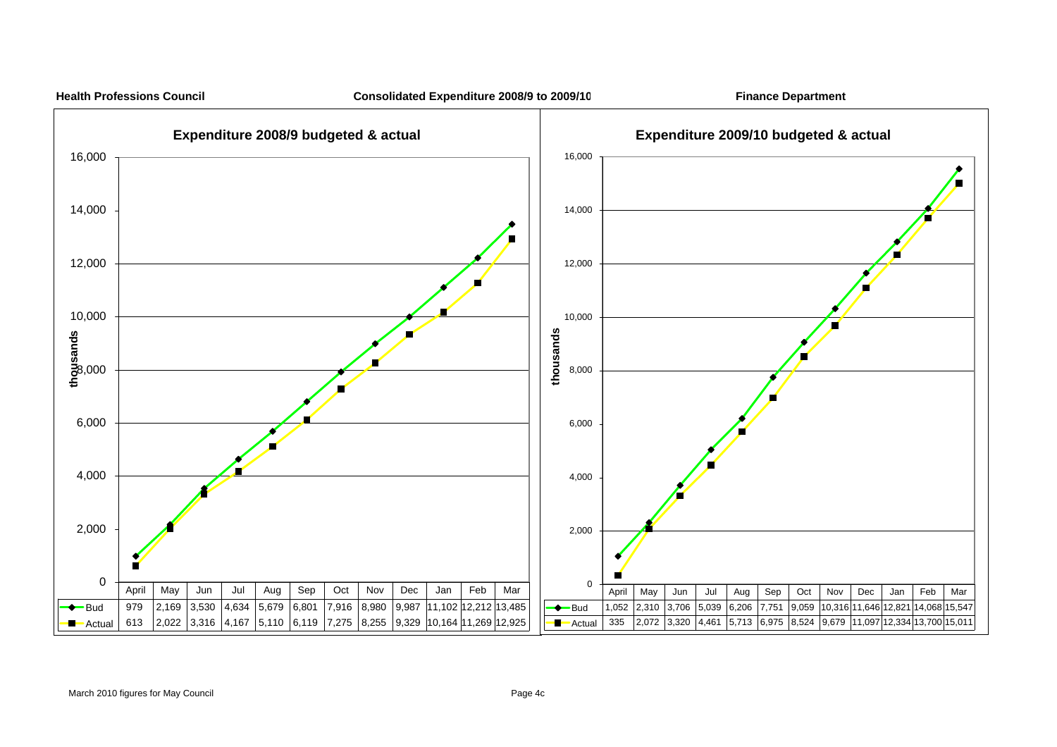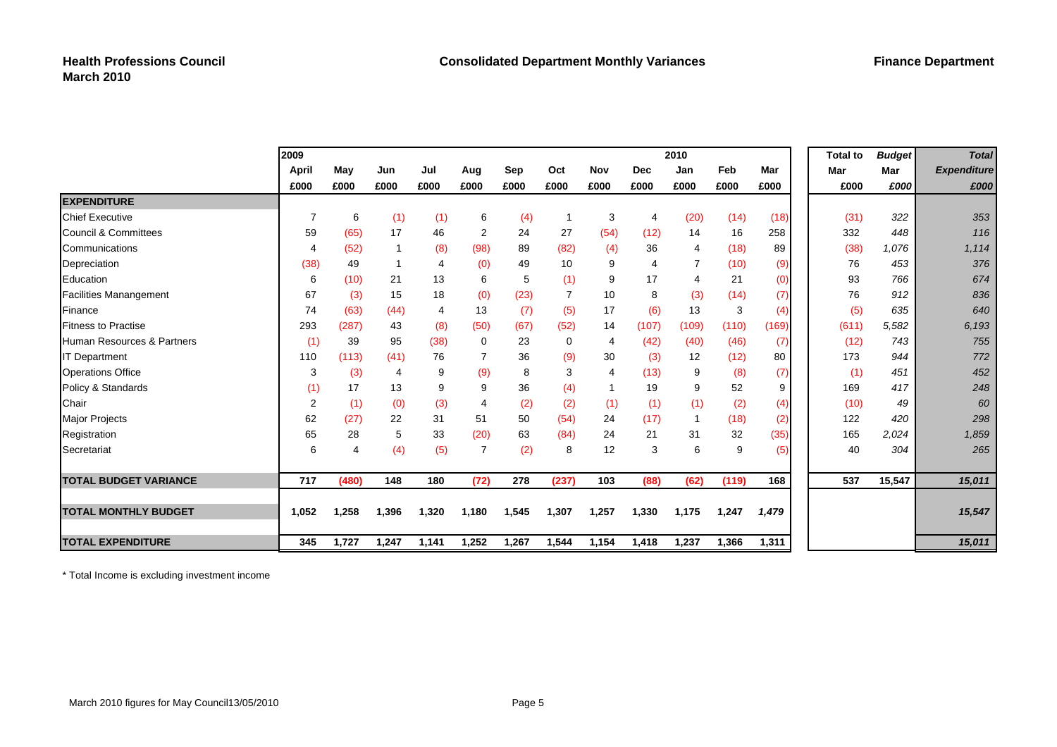|                                 | 2009           |                |                |       |                |       |                |       |                | 2010           |       |       | <b>Total to</b> | <b>Budget</b> | <b>Total</b>       |
|---------------------------------|----------------|----------------|----------------|-------|----------------|-------|----------------|-------|----------------|----------------|-------|-------|-----------------|---------------|--------------------|
|                                 | April          | May            | Jun            | Jul   | Aug            | Sep   | Oct            | Nov   | <b>Dec</b>     | Jan            | Feb   | Mar   | Mar             | Mar           | <b>Expenditure</b> |
|                                 | £000           | £000           | £000           | £000  | £000           | £000  | £000           | £000  | £000           | £000           | £000  | £000  | £000            | £000          | £000               |
| <b>EXPENDITURE</b>              |                |                |                |       |                |       |                |       |                |                |       |       |                 |               |                    |
| <b>Chief Executive</b>          | 7              | 6              | (1)            | (1)   | 6              | (4)   | -1             | 3     | $\overline{4}$ | (20)           | (14)  | (18)  | (31)            | 322           | 353                |
| <b>Council &amp; Committees</b> | 59             | (65)           | 17             | 46    | 2              | 24    | 27             | (54)  | (12)           | 14             | 16    | 258   | 332             | 448           | 116                |
| Communications                  | $\overline{4}$ | (52)           |                | (8)   | (98)           | 89    | (82)           | (4)   | 36             | $\overline{4}$ | (18)  | 89    | (38)            | 1,076         | 1,114              |
| Depreciation                    | (38)           | 49             |                | 4     | (0)            | 49    | 10             | 9     | $\overline{4}$ |                | (10)  | (9)   | 76              | 453           | 376                |
| Education                       | 6              | (10)           | 21             | 13    | 6              | 5     | (1)            | 9     | 17             | 4              | 21    | (0)   | 93              | 766           | 674                |
| <b>Facilities Manangement</b>   | 67             | (3)            | 15             | 18    | (0)            | (23)  | $\overline{7}$ | 10    | 8              | (3)            | (14)  | (7)   | 76              | 912           | 836                |
| Finance                         | 74             | (63)           | (44)           | 4     | 13             | (7)   | (5)            | 17    | (6)            | 13             | 3     | (4)   | (5)             | 635           | 640                |
| <b>Fitness to Practise</b>      | 293            | (287)          | 43             | (8)   | (50)           | (67)  | (52)           | 14    | (107)          | (109)          | (110) | (169) | (611)           | 5,582         | 6,193              |
| Human Resources & Partners      | (1)            | 39             | 95             | (38)  | 0              | 23    | $\mathbf 0$    | 4     | (42)           | (40)           | (46)  | (7)   | (12)            | 743           | 755                |
| <b>IT Department</b>            | 110            | (113)          | (41)           | 76    | 7              | 36    | (9)            | 30    | (3)            | 12             | (12)  | 80    | 173             | 944           | 772                |
| <b>Operations Office</b>        | 3              | (3)            | $\overline{4}$ | 9     | (9)            | 8     | 3              | 4     | (13)           | 9              | (8)   | (7)   | (1)             | 451           | 452                |
| Policy & Standards              | (1)            | 17             | 13             | 9     | 9              | 36    | (4)            | 1     | 19             | 9              | 52    | 9     | 169             | 417           | 248                |
| Chair                           | $\overline{c}$ | (1)            | (0)            | (3)   | 4              | (2)   | (2)            | (1)   | (1)            | (1)            | (2)   | (4)   | (10)            | 49            | 60                 |
| Major Projects                  | 62             | (27)           | 22             | 31    | 51             | 50    | (54)           | 24    | (17)           |                | (18)  | (2)   | 122             | 420           | 298                |
| Registration                    | 65             | 28             | 5              | 33    | (20)           | 63    | (84)           | 24    | 21             | 31             | 32    | (35)  | 165             | 2,024         | 1,859              |
| Secretariat                     | 6              | $\overline{4}$ | (4)            | (5)   | $\overline{7}$ | (2)   | 8              | 12    | 3              | 6              | 9     | (5)   | 40              | 304           | 265                |
| <b>TOTAL BUDGET VARIANCE</b>    | 717            | (480)          | 148            | 180   | (72)           | 278   | (237)          | 103   | (88)           | (62)           | (119) | 168   | 537             | 15,547        | 15,011             |
|                                 |                |                |                |       |                |       |                |       |                |                |       |       |                 |               |                    |
| <b>TOTAL MONTHLY BUDGET</b>     | 1,052          | 1,258          | 1,396          | 1,320 | 1,180          | 1,545 | 1,307          | 1,257 | 1,330          | 1,175          | 1,247 | 1,479 |                 |               | 15,547             |
| <b>TOTAL EXPENDITURE</b>        | 345            | 1,727          | 1,247          | 1,141 | 1,252          | 1,267 | 1,544          | 1,154 | 1,418          | 1,237          | 1,366 | 1,311 |                 |               | 15,011             |

\* Total Income is excluding investment income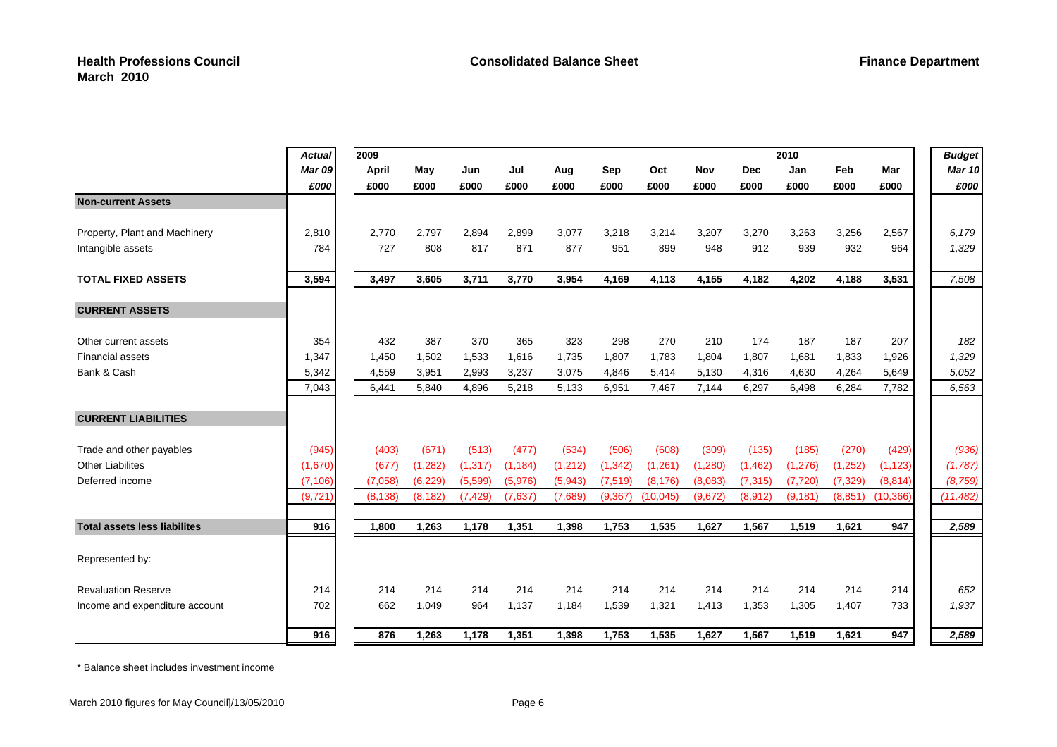|                                     | <b>Actual</b> | 2009     |          |          |          |          |          |          |         |            | 2010     |          |           | <b>Budget</b> |
|-------------------------------------|---------------|----------|----------|----------|----------|----------|----------|----------|---------|------------|----------|----------|-----------|---------------|
|                                     | <b>Mar 09</b> | April    | May      | Jun      | Jul      | Aug      | Sep      | Oct      | Nov     | <b>Dec</b> | Jan      | Feb      | Mar       | <b>Mar 10</b> |
|                                     | £000          | £000     | £000     | £000     | £000     | £000     | £000     | £000     | £000    | £000       | £000     | £000     | £000      | £000          |
| <b>Non-current Assets</b>           |               |          |          |          |          |          |          |          |         |            |          |          |           |               |
| Property, Plant and Machinery       | 2,810         | 2.770    | 2.797    | 2.894    | 2.899    | 3,077    | 3,218    | 3,214    | 3,207   | 3,270      | 3,263    | 3,256    | 2,567     | 6,179         |
| Intangible assets                   | 784           | 727      | 808      | 817      | 871      | 877      | 951      | 899      | 948     | 912        | 939      | 932      | 964       | 1,329         |
| <b>TOTAL FIXED ASSETS</b>           | 3,594         | 3,497    | 3.605    | 3,711    | 3,770    | 3,954    | 4,169    | 4,113    | 4,155   | 4,182      | 4,202    | 4,188    | 3,531     | 7,508         |
| <b>CURRENT ASSETS</b>               |               |          |          |          |          |          |          |          |         |            |          |          |           |               |
| Other current assets                | 354           | 432      | 387      | 370      | 365      | 323      | 298      | 270      | 210     | 174        | 187      | 187      | 207       | 182           |
| <b>Financial assets</b>             | 1,347         | 1,450    | 1,502    | 1,533    | 1,616    | 1,735    | 1,807    | 1,783    | 1,804   | 1,807      | 1.681    | 1,833    | 1,926     | 1,329         |
| Bank & Cash                         | 5,342         | 4,559    | 3.951    | 2,993    | 3,237    | 3.075    | 4,846    | 5,414    | 5,130   | 4,316      | 4,630    | 4,264    | 5,649     | 5,052         |
|                                     | 7,043         | 6,441    | 5,840    | 4,896    | 5,218    | 5,133    | 6,951    | 7,467    | 7,144   | 6,297      | 6,498    | 6,284    | 7,782     | 6,563         |
| <b>CURRENT LIABILITIES</b>          |               |          |          |          |          |          |          |          |         |            |          |          |           |               |
| Trade and other payables            | (945)         | (403)    | (671)    | (513)    | (477)    | (534)    | (506)    | (608)    | (309)   | (135)      | (185)    | (270)    | (429)     | (936)         |
| <b>Other Liabilites</b>             | (1,670)       | (677)    | (1, 282) | (1, 317) | (1, 184) | (1, 212) | (1, 342) | (1,261)  | (1,280) | (1, 462)   | (1, 276) | (1,252)  | (1, 123)  | (1,787)       |
| Deferred income                     | (7, 106)      | (7.058)  | (6, 229) | (5,599)  | (5,976)  | (5,943)  | (7.519)  | (8, 176) | (8,083) | (7, 315)   | (7, 720) | (7, 329) | (8, 814)  | (8, 759)      |
|                                     | (9, 721)      | (8, 138) | (8, 182) | (7, 429) | (7,637)  | (7,689)  | (9, 367) | (10,045) | (9,672) | (8,912)    | (9, 181) | (8,851)  | (10, 366) | (11, 482)     |
| <b>Total assets less liabilites</b> | 916           | 1,800    | 1,263    | 1,178    | 1,351    | 1,398    | 1,753    | 1,535    | 1,627   | 1,567      | 1,519    | 1,621    | 947       | 2,589         |
| Represented by:                     |               |          |          |          |          |          |          |          |         |            |          |          |           |               |
| <b>Revaluation Reserve</b>          | 214           | 214      | 214      | 214      | 214      | 214      | 214      | 214      | 214     | 214        | 214      | 214      | 214       | 652           |
| Income and expenditure account      | 702           | 662      | 1,049    | 964      | 1,137    | 1,184    | 1,539    | 1,321    | 1,413   | 1,353      | 1,305    | 1,407    | 733       | 1,937         |
|                                     | 916           | 876      | 1,263    | 1,178    | 1,351    | 1,398    | 1,753    | 1,535    | 1,627   | 1,567      | 1,519    | 1,621    | 947       | 2,589         |

\* Balance sheet includes investment income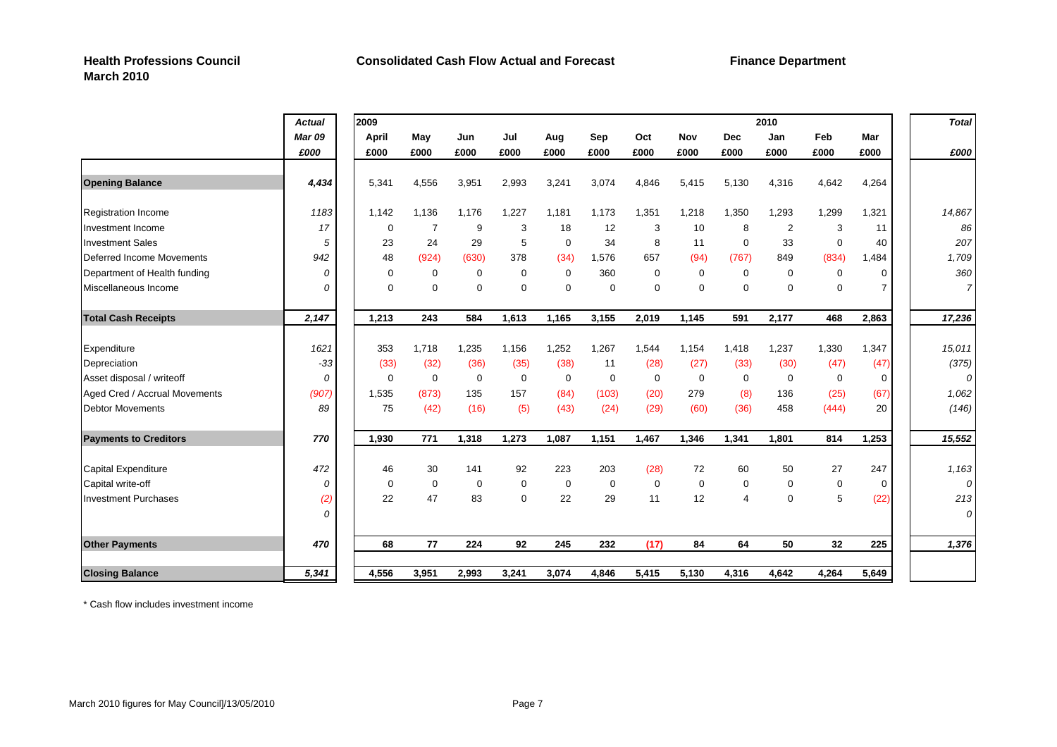|                               | <b>Actual</b> | 2009        |                |             |             |             |       |             |             |                | 2010           |             |                | <b>Total</b>   |
|-------------------------------|---------------|-------------|----------------|-------------|-------------|-------------|-------|-------------|-------------|----------------|----------------|-------------|----------------|----------------|
|                               | <b>Mar 09</b> | April       | May            | Jun         | Jul         | Aug         | Sep   | Oct         | <b>Nov</b>  | <b>Dec</b>     | Jan            | Feb         | Mar            |                |
|                               | £000          | £000        | £000           | £000        | £000        | £000        | £000  | £000        | £000        | £000           | £000           | £000        | £000           | £000           |
| <b>Opening Balance</b>        | 4,434         | 5,341       | 4,556          | 3,951       | 2,993       | 3,241       | 3,074 | 4,846       | 5,415       | 5,130          | 4,316          | 4,642       | 4,264          |                |
| <b>Registration Income</b>    | 1183          | 1,142       | 1,136          | 1,176       | 1,227       | 1,181       | 1,173 | 1,351       | 1,218       | 1,350          | 1,293          | 1,299       | 1,321          | 14,867         |
| Investment Income             | 17            | 0           | $\overline{7}$ | 9           | 3           | 18          | 12    | 3           | 10          | 8              | $\overline{2}$ | 3           | 11             | 86             |
| <b>Investment Sales</b>       | 5             | 23          | 24             | 29          | 5           | $\mathbf 0$ | 34    | 8           | 11          | $\mathbf 0$    | 33             | $\mathbf 0$ | 40             | 207            |
| Deferred Income Movements     | 942           | 48          | (924)          | (630)       | 378         | (34)        | 1,576 | 657         | (94)        | (767)          | 849            | (834)       | 1,484          | 1,709          |
| Department of Health funding  | 0             | $\mathbf 0$ | $\mathbf 0$    | $\mathbf 0$ | $\mathbf 0$ | $\mathbf 0$ | 360   | $\mathbf 0$ | $\mathbf 0$ | $\mathbf 0$    | $\mathbf 0$    | 0           | 0              | 360            |
| Miscellaneous Income          | 0             | $\mathbf 0$ | $\mathbf 0$    | $\mathbf 0$ | $\mathbf 0$ | $\mathbf 0$ | 0     | $\mathbf 0$ | $\mathbf 0$ | $\mathbf 0$    | $\mathbf 0$    | $\mathbf 0$ | $\overline{7}$ | $\overline{7}$ |
| <b>Total Cash Receipts</b>    | 2,147         | 1,213       | 243            | 584         | 1,613       | 1,165       | 3,155 | 2,019       | 1,145       | 591            | 2,177          | 468         | 2,863          | 17,236         |
| Expenditure                   | 1621          | 353         | 1,718          | 1,235       | 1,156       | 1,252       | 1,267 | 1,544       | 1,154       | 1,418          | 1,237          | 1,330       | 1,347          | 15,011         |
| Depreciation                  | $-33$         | (33)        | (32)           | (36)        | (35)        | (38)        | 11    | (28)        | (27)        | (33)           | (30)           | (47)        | (47)           | (375)          |
| Asset disposal / writeoff     | 0             | $\mathbf 0$ | $\mathbf 0$    | $\mathbf 0$ | $\mathbf 0$ | 0           | 0     | $\mathbf 0$ | $\mathbf 0$ | $\mathbf 0$    | $\mathbf 0$    | $\mathbf 0$ | $\mathbf 0$    | $\mathcal{O}$  |
| Aged Cred / Accrual Movements | (907)         | 1,535       | (873)          | 135         | 157         | (84)        | (103) | (20)        | 279         | (8)            | 136            | (25)        | (67)           | 1,062          |
| <b>Debtor Movements</b>       | 89            | 75          | (42)           | (16)        | (5)         | (43)        | (24)  | (29)        | (60)        | (36)           | 458            | (444)       | 20             | (146)          |
| <b>Payments to Creditors</b>  | 770           | 1,930       | 771            | 1,318       | 1,273       | 1,087       | 1,151 | 1,467       | 1,346       | 1,341          | 1,801          | 814         | 1,253          | 15,552         |
| Capital Expenditure           | 472           | 46          | 30             | 141         | 92          | 223         | 203   | (28)        | 72          | 60             | 50             | 27          | 247            | 1,163          |
| Capital write-off             | 0             | $\mathbf 0$ | $\mathbf 0$    | $\mathbf 0$ | $\mathbf 0$ | $\mathbf 0$ | 0     | $\mathbf 0$ | $\mathbf 0$ | $\mathbf 0$    | $\mathbf 0$    | $\mathbf 0$ | $\mathbf 0$    | $\mathcal{O}$  |
| <b>Investment Purchases</b>   | (2)           | 22          | 47             | 83          | $\mathbf 0$ | 22          | 29    | 11          | 12          | $\overline{4}$ | $\mathbf 0$    | 5           | (22)           | 213            |
|                               | 0             |             |                |             |             |             |       |             |             |                |                |             |                | $\overline{O}$ |
| <b>Other Payments</b>         | 470           | 68          | 77             | 224         | 92          | 245         | 232   | (17)        | 84          | 64             | 50             | 32          | 225            | 1,376          |
| <b>Closing Balance</b>        | 5,341         | 4,556       | 3,951          | 2,993       | 3,241       | 3,074       | 4,846 | 5,415       | 5,130       | 4,316          | 4,642          | 4,264       | 5,649          |                |

\* Cash flow includes investment income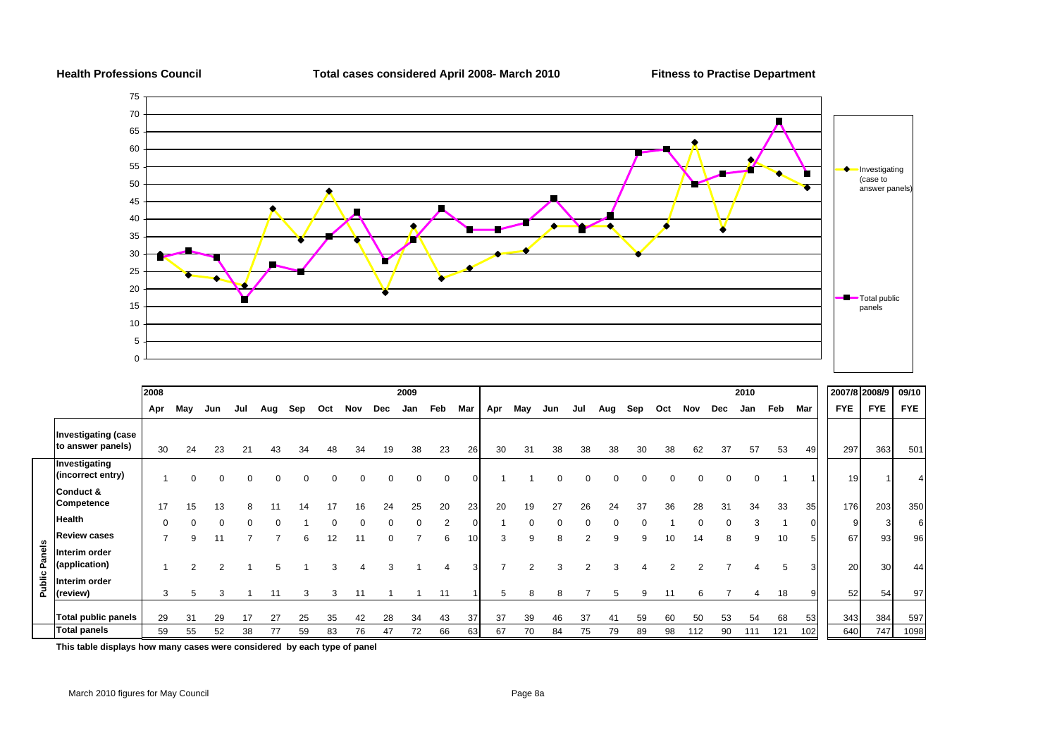

|             |                                                 | 2008     |     |     |     |     |     |     |     |          | 2009 |                |     |     |     |     |     |     |     |     |     |     | 2010 |     |                 |            | 2007/8 2008/9 | 09/10      |
|-------------|-------------------------------------------------|----------|-----|-----|-----|-----|-----|-----|-----|----------|------|----------------|-----|-----|-----|-----|-----|-----|-----|-----|-----|-----|------|-----|-----------------|------------|---------------|------------|
|             |                                                 | Apr      | May | Jun | Jul | Aug | Sep | Oct | Nov | Dec      | Jan  | Feb            | Mar | Apr | May | Jun | Jul | Aug | Sep | Oct | Nov | Dec | Jan  | Feb | Mar             | <b>FYE</b> | <b>FYE</b>    | <b>FYE</b> |
|             | <b>Investigating (case</b><br>to answer panels) | 30       | 24  | 23  | 21  | 43  |     |     | 34  | 19       | 38   | 23             | 26  | 30  | 31  | 38  | 38  | 38  | 30  | 38  | 62  | 37  | 57   | 53  | 49              | 297        | 363           | 501        |
|             | Investigating<br>(incorrect entry)              |          |     |     |     |     |     |     |     | 0        |      |                |     |     |     |     |     |     |     |     |     | 0   |      |     |                 | 19         |               |            |
|             | Conduct &<br>Competence                         | 17       | 15  | 13  |     |     |     |     | 16. | 24       | 25   | 20             | 23  | 20  | 19  | 27  | 26  | 24  | 37  | 36  | 28  | 31  | 34   | 33  | 35 <sub>l</sub> | 176        | 203           | 350        |
|             | <b>Health</b>                                   | $\Omega$ |     |     |     |     |     |     |     | $\Omega$ |      | $\overline{2}$ |     |     |     |     |     |     |     |     |     | U   |      |     |                 |            |               | 6          |
|             | <b>Review cases</b>                             |          | 9   |     |     |     | 6   | 12  |     |          |      | 6              | 10  | 3   | 9   |     |     | 9   | 9   | 10  | 14  | 8   | 9    | 10  |                 | 67         | 93            | 96         |
| anels<br>o. | Interim order<br>(application)                  |          |     | 2   |     |     |     |     |     |          |      |                |     |     |     |     |     | 3   |     |     |     |     |      |     |                 | 20         | 30            | 44         |
| blic<br>ᇎ   | Interim order<br>(review)                       | 3        |     | 3   |     | 11  | 3   | з   |     |          |      |                |     |     | 8   |     |     | b   |     |     |     |     |      | 18  |                 | 52         | 54            | 97         |
|             | <b>Total public panels</b>                      | 29       | 31  | 29  |     | 27  | 25  | 35  | 42  | 28       | 34   | 43             | 37  | 37  | 39  | 46  | 37  |     | 59  | 60  | 50  | 53  | 54   | 68  | 53              | 343        | 384           | 597        |
|             | <b>Total panels</b>                             | 59       | 55  | 52  | 38  | 77  | 59  | 83  | 76  | 47       | 72   | 66             | 63  | 67  | 70  | 84  | 75  | 79  | 89  | 98  | 112 | 90  | 111  | 121 | 102             | 640        | 747           | 1098       |

**This table displays how many cases were considered by each type of panel**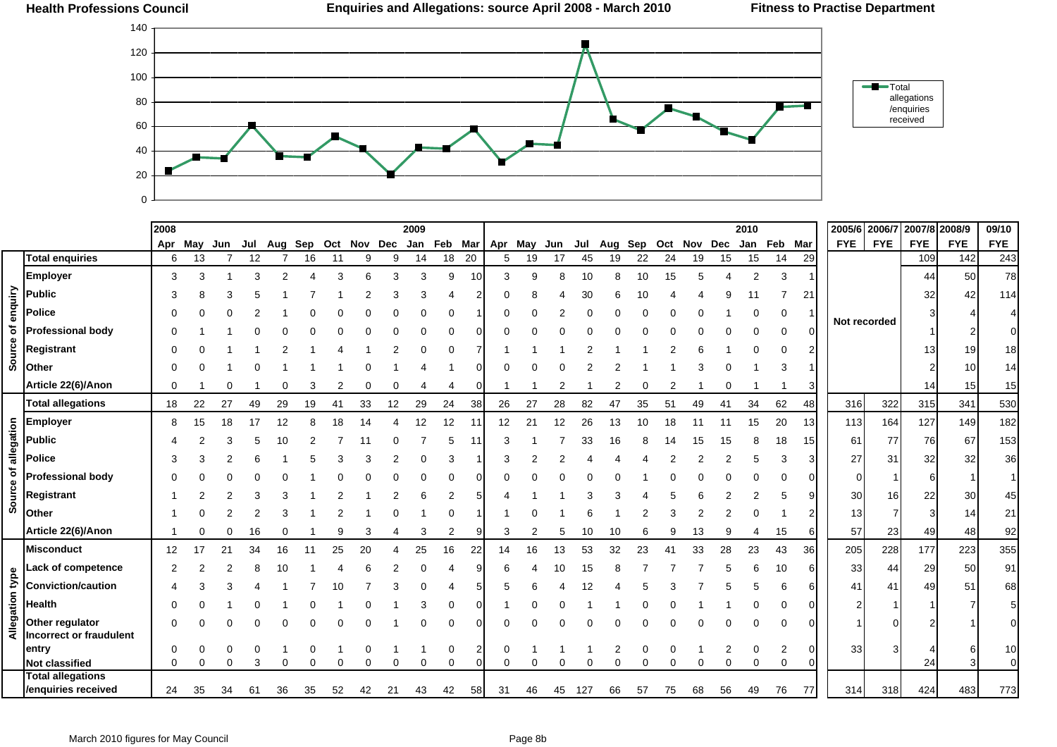

|                 |                                         | 2008 |     |     |     |         |    |    |             |    | 2009 |    |    |                     |    |         |     |     |     |         |    |          | 2010           |          |    | 2005/6 2006/7 |            | 2007/8 2008/9 |            | 09/10      |
|-----------------|-----------------------------------------|------|-----|-----|-----|---------|----|----|-------------|----|------|----|----|---------------------|----|---------|-----|-----|-----|---------|----|----------|----------------|----------|----|---------------|------------|---------------|------------|------------|
|                 |                                         | Apr  | May | Jun | Jul | Aug Sep |    |    | Oct Nov Dec |    |      |    |    | Jan Feb Mar Apr May |    | Jun Jul |     | Aug | Sep | Oct Nov |    | Dec      | Jan Feb Mar    |          |    | <b>FYE</b>    | <b>FYE</b> | <b>FYE</b>    | <b>FYE</b> | <b>FYE</b> |
|                 | <b>Total enquiries</b>                  | 6    | 13  |     | 12  |         | 16 | 11 | 9           | 9  | 14   | 18 | 20 | 5                   | 19 | 17      | 45  | 19  | 22  | 24      | 19 | 15       | 15             | 14       | 29 |               |            | 109           | 142        | 243        |
|                 | <b>Employer</b>                         | 3    |     |     |     |         |    |    |             |    | 3    | 9  | 10 | 3                   |    |         | 10  |     | 10  | 15      |    |          | $\overline{2}$ | 3        |    |               |            | 44            | 50         | 78         |
|                 | <b>Public</b>                           |      |     |     |     |         |    |    |             |    |      |    |    |                     |    |         |     |     |     |         |    |          |                |          | 21 |               |            | 32            |            | 114        |
| enquiry         | <b>Police</b>                           |      |     |     |     |         |    |    |             |    |      |    |    |                     |    |         |     |     |     |         |    |          |                | 0        |    |               |            |               |            |            |
|                 | <b>Professional body</b>                |      |     |     |     |         |    |    |             |    |      |    |    |                     |    |         |     |     |     |         |    |          |                | $\Omega$ |    | Not recorded  |            |               |            |            |
| Source of       | <b>Registrant</b>                       |      |     |     |     |         |    |    |             |    |      |    |    |                     |    |         |     |     |     |         |    |          |                |          |    |               |            | 13            |            | 18         |
|                 | Other                                   |      |     |     |     |         |    |    |             |    |      |    |    |                     |    |         |     |     |     |         |    |          |                |          |    |               |            |               |            | 14         |
|                 | Article 22(6)/Anon                      | n    |     |     |     |         |    |    |             |    |      |    |    |                     |    |         |     |     |     |         |    |          |                |          |    |               |            | 14            | 15         | 15         |
|                 | <b>Total allegations</b>                | 18   | 22  | 27  | 49  | 29      | 19 | 41 | 33          | 12 | 29   | 24 | 38 | 26                  | 27 | 28      | 82  | 47  | 35  | 51      | 49 | 41       | 34             | 62       | 48 | 316           | 322        | 315           | 341        | 530        |
|                 | <b>Employer</b>                         | 8    |     | 18  |     |         |    |    |             |    | 12   | 12 |    | 12                  | 21 | 12      | 26  | 13  |     |         |    |          | 15             | 20       | 13 | 113           | 164        | 127           | 149        | 182        |
|                 | <b>Public</b>                           |      |     |     |     |         |    |    |             |    |      |    |    |                     |    |         |     |     |     |         |    |          |                | 18       | 15 | 61            | 77         | 76            | 67         | 153        |
| of allegation   | <b>Police</b>                           |      |     |     |     |         |    |    |             |    |      |    |    |                     |    |         |     |     |     |         |    |          |                | з        |    | 27            | 31         | 32            | 32         | 36         |
|                 | <b>Professional body</b>                |      |     |     |     |         |    |    |             |    |      |    |    |                     |    |         |     |     |     |         |    |          |                |          |    |               |            | 6             |            |            |
| Source          | Registrant                              |      |     |     |     |         |    |    |             |    |      |    |    |                     |    |         |     |     |     |         |    |          |                |          |    | 30            | 16         | 22            | 30         | 45         |
|                 | Other                                   |      |     |     |     |         |    |    |             |    |      |    |    |                     |    |         |     |     |     |         |    |          |                |          |    | 13            |            |               |            | 21         |
|                 | Article 22(6)/Anon                      |      |     |     | 16  |         |    |    |             |    |      | 2  |    | 3                   |    |         | 10  |     |     |         |    |          |                | 15       |    | 57            | 23         | 49            | 48         | 92         |
|                 | <b>Misconduct</b>                       | 12   |     | 21  | 34  |         |    |    | 20          |    | 25   | 16 | 22 | 14                  | 16 | 13      | 53  | 32  | 23  |         | 33 | 28       | 23             | 43       | 36 | 205           | 228        | 177           | 223        | 355        |
|                 | Lack of competence                      |      |     |     |     |         |    |    |             |    |      |    |    |                     |    |         |     |     |     |         |    |          |                | 10       |    | 33            | 44         | 29            | 50         | 91         |
|                 | <b>Conviction/caution</b>               |      |     |     |     |         |    |    |             |    |      |    |    |                     |    |         |     |     |     |         |    |          |                |          |    | 41            | 41         | 49            | 51         | 68         |
|                 | Health                                  |      |     |     |     |         |    |    |             |    |      |    |    |                     |    |         |     |     |     |         |    |          |                |          |    |               |            |               |            | 5          |
| Allegation type | Other regulator                         |      |     |     |     |         |    |    |             |    |      |    |    |                     |    |         |     |     |     |         |    |          |                |          |    |               |            |               |            |            |
|                 | <b>Incorrect or fraudulent</b><br>entry |      |     |     |     |         |    |    |             |    |      |    |    | 0                   |    |         |     |     |     |         |    |          | $\Omega$       | 2        |    | 33            |            |               |            | 10         |
|                 | <b>Not classified</b>                   | 0    |     | 0   | 3   |         |    |    |             |    | 0    | 0  |    | 0                   |    |         |     |     |     |         |    | $\Omega$ | $\Omega$       | $\Omega$ |    |               |            | 24            |            | $\Omega$   |
|                 | <b>Total allegations</b>                |      |     |     |     |         |    |    |             |    |      |    |    |                     |    |         |     |     |     |         |    |          |                |          |    |               |            |               |            |            |
|                 | /enquiries received                     | 24   | 35  | 34  | 61  | 36      | 35 | 52 | 42          | 21 | 43   | 42 | 58 | 31                  | 46 | 45      | 127 | 66  | 57  | 75      | 68 | 56       | 49             | 76       | 77 | 314           | 318        | 424           | 483        | 773        |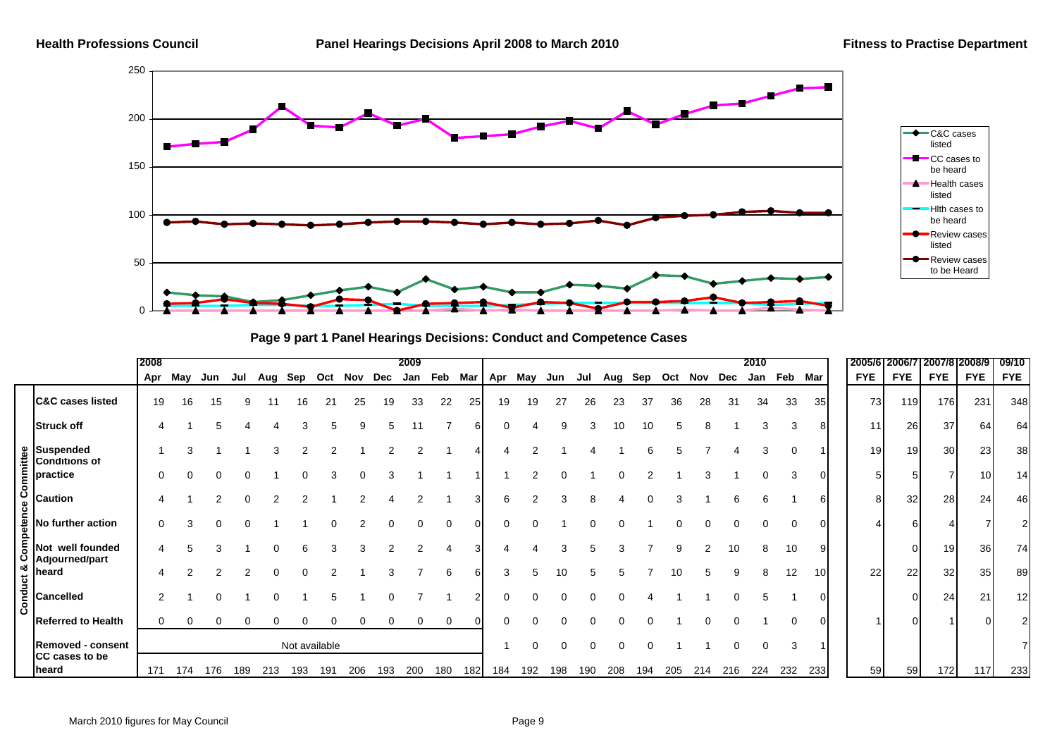

**Page 9 part 1 Panel Hearings Decisions: Conduct and Competence Cases**

|         |                                          | 2008     |     |     |              |     |               |     |         |     | 2009 |          |     |                 |     |     |     |     |     |             |     |     | 2010 |         |     | 2005/61    | 2006/7         | 2007/812008/9   |            | 09/10      |
|---------|------------------------------------------|----------|-----|-----|--------------|-----|---------------|-----|---------|-----|------|----------|-----|-----------------|-----|-----|-----|-----|-----|-------------|-----|-----|------|---------|-----|------------|----------------|-----------------|------------|------------|
|         |                                          | Apr      | May | Jun | Jul          | Aug | Sep           |     | Oct Nov | Dec |      |          |     | Jan Feb Mar Apr | May | Jun | Jul | Aug |     | Sep Oct Nov |     | Dec | Jan  | Feb Mar |     | <b>FYE</b> | <b>FYE</b>     | <b>FYE</b>      | <b>FYE</b> | <b>FYE</b> |
|         | <b>C&amp;C cases listed</b>              | 19       | 16  | 15  | 9            | 11  | 16            | 21  | 25      | 19  | 33   | 22       | 25  | 19              | 19  | 27  | 26  | 23  | 37  | 36          | 28  | 31  | 34   | 33      | 35  | 73         | 119            | 176             | 231        | 348        |
|         | <b>Struck off</b>                        |          |     |     |              |     |               |     |         |     |      |          |     |                 |     |     |     |     |     |             |     |     |      |         |     | 11         | 26             | 37              | 64         | 64         |
|         | <b>Suspended</b><br><b>Conditions of</b> |          |     |     |              |     |               |     |         |     |      |          |     |                 | C   |     |     |     |     |             |     |     |      |         |     | 19         | 19             | 30 <sub>l</sub> | 23         | 38         |
| Commi   | practice                                 | O        |     |     |              |     |               |     |         |     |      |          |     |                 |     |     |     |     |     |             |     |     |      |         |     |            | 5 <sub>l</sub> |                 | 10         | 14         |
| ဗီ      | <b>Caution</b>                           |          |     |     | <sup>0</sup> |     |               |     |         |     |      |          |     | 6               |     |     |     |     |     |             |     |     |      |         | 61  |            | 32<br>8        | 28              | 24         | 46         |
| ete     | No further action                        | 0        |     |     |              |     |               |     |         |     |      |          |     |                 |     |     |     |     |     |             |     |     |      |         |     |            |                |                 |            |            |
| ō<br>ŕ١ | Not well founded<br>Adjourned/part       |          |     |     |              |     |               |     |         |     |      |          |     |                 |     |     |     |     |     |             |     | 10  |      | 10      |     |            |                | 19              | 36         | 74         |
| uct &   | heard                                    |          |     |     |              |     |               |     |         |     |      |          |     | 3               |     |     |     |     |     |             |     |     |      | 12      | 10  | 22         | 22             | 32              | 35         | 89         |
| Cond    | <b>Cancelled</b>                         | 2        |     |     |              |     |               |     |         |     |      |          |     |                 |     |     |     |     |     |             |     |     |      |         |     |            |                | 24              | 21         | 12         |
|         | <b>Referred to Health</b>                | $\Omega$ | 0   | 0   | 0            | 0   | 0             | 0   |         |     |      | $\Omega$ |     |                 |     |     |     |     |     |             |     |     |      |         |     |            |                |                 |            |            |
|         | <b>Removed - consent</b>                 |          |     |     |              |     | Not available |     |         |     |      |          |     |                 | 0   |     |     |     |     |             |     |     |      |         |     |            |                |                 |            |            |
|         | <b>CC</b> cases to be<br>heard           | 171      | 174 | 176 | 189          | 213 | 193           | 191 | 206     | 193 | 200  | 180      | 182 | 184             | 192 | 198 | 190 | 208 | 194 | 205         | 214 | 216 | 224  | 232     | 233 | 59         | 59             | 172             | 117        | 233        |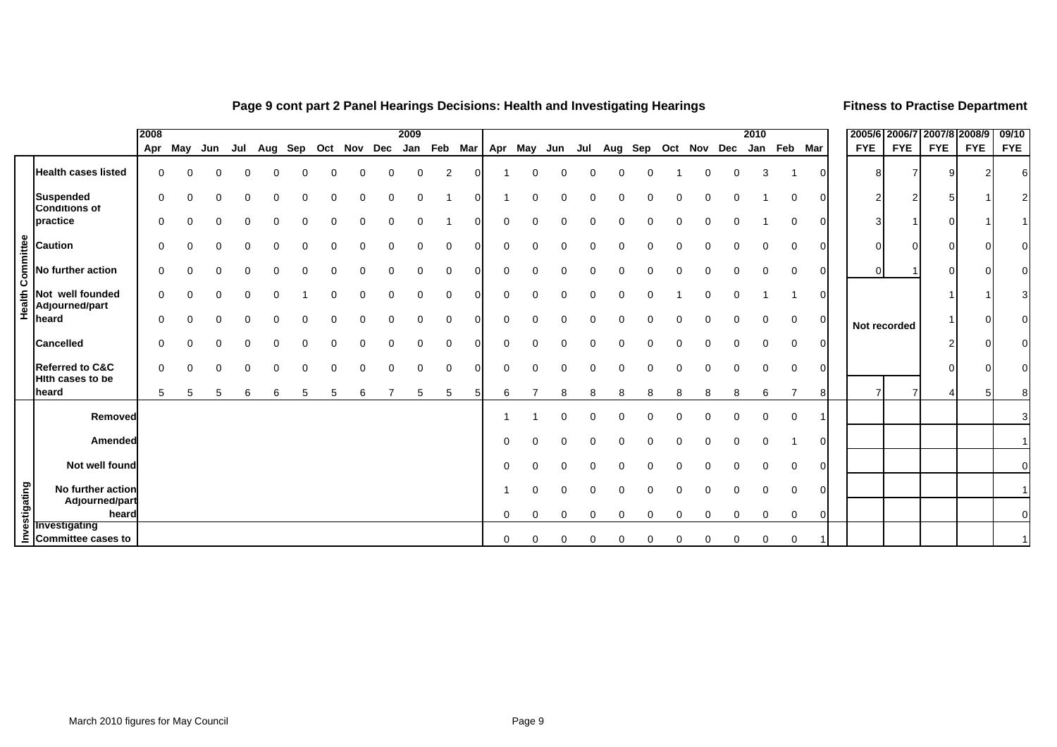#### **Page 9 cont part 2 Panel Hearings Decisions: Health and Investigating Hearings <b>Filmess to Practise Department**

|           |                                                                                                                             | 2008 |              |              |     |     |          |                 |          |   | 2009         |                |          |          |          |          |          |          |   |                     |   |   | 2010     |             |                | 2005/6 2006/7 2007/8 2008/9 |                |            |            | 09/10      |
|-----------|-----------------------------------------------------------------------------------------------------------------------------|------|--------------|--------------|-----|-----|----------|-----------------|----------|---|--------------|----------------|----------|----------|----------|----------|----------|----------|---|---------------------|---|---|----------|-------------|----------------|-----------------------------|----------------|------------|------------|------------|
|           |                                                                                                                             | Apr  | May          | Jun          | Jul | Aug |          | Sep Oct Nov Dec |          |   | Jan Feb Mar  |                |          |          | Apr May  | Jun      | Jul      |          |   | Aug Sep Oct Nov Dec |   |   | Jan      | Feb Mar     |                | <b>FYE</b>                  | <b>FYE</b>     | <b>FYE</b> | <b>FYE</b> | <b>FYE</b> |
|           | <b>Health cases listed</b>                                                                                                  | 0    | $\Omega$     | <sup>0</sup> | ∩   | U   | $\Omega$ | $\Omega$        | $\Omega$ | 0 | $\Omega$     | $\overline{2}$ | $\Omega$ |          | $\Omega$ | $\Omega$ | $\Omega$ | $\Omega$ | 0 |                     | U | ი | 3        |             |                |                             | 7              |            |            |            |
|           | <b>Suspended</b><br><b>Conditions of</b>                                                                                    | O    | <sup>0</sup> |              |     |     |          |                 |          |   | <sup>0</sup> |                | U        |          | U        | ∩        |          |          |   |                     |   |   |          | $\Omega$    | $\Omega$       |                             | 2              |            |            |            |
|           | practice                                                                                                                    |      |              |              |     |     |          |                 |          |   |              |                |          |          | O        |          |          |          |   |                     |   |   |          |             | 0              |                             |                |            |            |            |
|           | <b>Caution</b>                                                                                                              | O    |              |              |     |     |          |                 |          |   |              | 0              |          | 0        | 0        |          |          |          |   |                     |   |   | 0        | 0           | 0              | ∩                           | $\overline{0}$ |            |            |            |
| Committee | No further action                                                                                                           | U    | <sup>0</sup> |              |     |     |          |                 |          |   | 0            | 0              | 0        | $\Omega$ | 0        | ∩        |          |          |   |                     |   |   | 0        | 0           | 0              |                             |                |            |            |            |
| Health    | Not well founded<br>Adjourned/part                                                                                          | 0    | $\Omega$     | $\Omega$     |     |     |          |                 |          |   | 0            | 0              | $\Omega$ | 0        | $\Omega$ | ∩        |          |          |   |                     |   |   |          |             | $\overline{0}$ |                             |                |            |            |            |
|           | heard                                                                                                                       | O    | $\Omega$     | $\Omega$     | n   |     | ∩        |                 |          |   | $\Omega$     | $\mathbf 0$    | $\Omega$ | $\Omega$ | $\Omega$ | ∩        |          |          | O | U                   |   | ∩ | 0        | 0           | $\overline{0}$ | Not recorded                |                |            |            |            |
|           | <b>Cancelled</b>                                                                                                            |      |              |              |     |     |          |                 |          |   | <sup>0</sup> | $\Omega$       | ∩        | $\Omega$ | O        |          |          |          |   |                     |   |   | U        | $\Omega$    | $\Omega$       |                             |                |            |            |            |
|           | <b>Referred to C&amp;C</b><br><b>Hith cases to be</b>                                                                       |      |              |              |     |     |          |                 |          |   |              | $\Omega$       |          |          |          |          |          |          |   |                     |   |   |          | $\Omega$    | 0              |                             |                |            |            |            |
|           | heard                                                                                                                       | 5    | 5            | 5            | 6   | 6   | 5        | 5               | 6        |   | 5            | 5              |          | 6        |          | 8        | 8        | 8        | 8 | 8                   | 8 | 8 | 6        |             | 8              |                             |                |            |            |            |
|           | Removed                                                                                                                     |      |              |              |     |     |          |                 |          |   |              |                |          |          |          | $\Omega$ | 0        | 0        | 0 | 0                   | 0 | ი | 0        | $\mathbf 0$ |                |                             |                |            |            |            |
|           | Amended                                                                                                                     |      |              |              |     |     |          |                 |          |   |              |                |          | $\Omega$ | 0        | ∩        |          |          |   |                     |   | n | 0        |             | $\overline{0}$ |                             |                |            |            |            |
|           | Not well found                                                                                                              |      |              |              |     |     |          |                 |          |   |              |                |          | $\Omega$ | $\Omega$ |          |          |          |   |                     |   |   | $\Omega$ | 0           | 0              |                             |                |            |            |            |
|           | No further action                                                                                                           |      |              |              |     |     |          |                 |          |   |              |                |          |          | U        |          |          |          |   |                     |   |   | 0        | $\Omega$    | $\Omega$       |                             |                |            |            |            |
|           | Provember action<br>adjourned/part<br>adjourned/part<br>se Investigating<br>⊆ Committee cases to<br>Adjourned/part<br>heard |      |              |              |     |     |          |                 |          |   |              |                |          | 0        | 0        | 0        | 0        |          | 0 | 0                   | 0 | 0 | 0        | 0           | $\overline{0}$ |                             |                |            |            |            |
|           |                                                                                                                             |      |              |              |     |     |          |                 |          |   |              |                |          | 0        | 0        | 0        |          |          |   |                     |   |   | 0        | 0           |                |                             |                |            |            |            |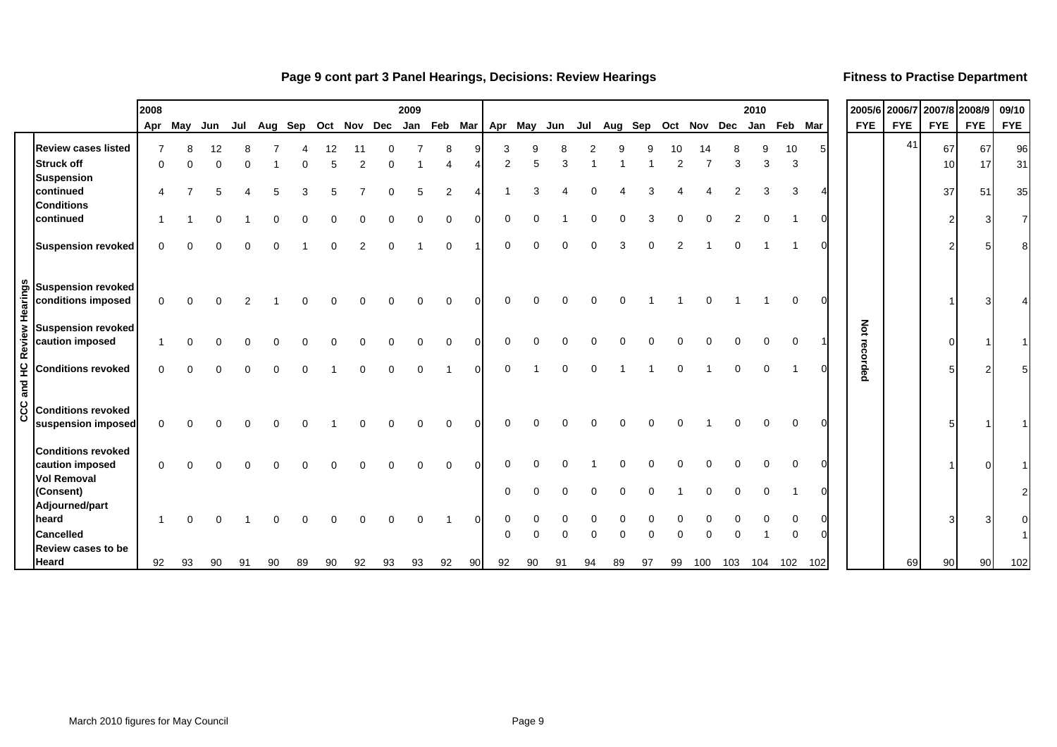#### **Page 9 cont part 3 Panel Hearings, Decisions: Review Hearings Fitness to Practise Department**

|               |                                                                    | 2008     |         |     |     |                                               |  | 2009 |                |    |        |  |     |  |                     |     |     | 2010        |              |     |               | 2005/6 2006/7 2007/8 2008/9 |          |            | 09/10          |
|---------------|--------------------------------------------------------------------|----------|---------|-----|-----|-----------------------------------------------|--|------|----------------|----|--------|--|-----|--|---------------------|-----|-----|-------------|--------------|-----|---------------|-----------------------------|----------|------------|----------------|
|               |                                                                    |          | Apr May | Jun | Jul | Aug Sep Oct Nov Dec Jan Feb Mar   Apr May Jun |  |      |                |    |        |  | Jul |  | Aug Sep Oct Nov Dec |     |     | Jan Feb Mar |              |     | <b>FYE</b>    | <b>FYE</b>                  | FYE      | <b>FYE</b> | <b>FYE</b>     |
|               | <b>Review cases listed</b><br><b>Struck off</b>                    | ∩        |         |     |     |                                               |  |      |                |    | 2      |  |     |  |                     |     | З   | 3           | 10<br>3      | 5.  |               | 41                          | 67<br>10 | 67<br>17   | 96<br>31       |
|               | <b>Suspension</b><br>continued<br><b>Conditions</b>                |          |         |     |     |                                               |  |      | $\overline{2}$ |    |        |  |     |  |                     |     |     |             | 3            |     |               |                             | 37       | 51         | 35             |
|               | continued                                                          |          |         |     |     |                                               |  |      |                |    |        |  |     |  |                     |     |     |             |              | n   |               |                             |          | З          | $\overline{7}$ |
|               | <b>Suspension revoked</b>                                          |          |         |     |     |                                               |  |      |                |    |        |  |     |  |                     |     |     |             |              |     |               |                             |          |            | $\mathsf{B}$   |
| Hearings      | <b>Suspension revoked</b><br>conditions imposed                    | $\Omega$ |         |     |     |                                               |  |      |                |    |        |  |     |  |                     |     |     |             | <sup>0</sup> | 0   |               |                             |          |            |                |
|               | <b>Suspension revoked</b><br>caution imposed                       |          |         |     |     |                                               |  |      |                |    |        |  |     |  |                     |     |     |             | $\Omega$     |     | Not<br>rec    |                             |          |            |                |
| and HC Review | <b>Conditions revoked</b>                                          | $\Omega$ |         |     |     |                                               |  |      |                |    | ∩      |  |     |  |                     |     |     |             |              |     | <b>Sorded</b> |                             |          |            |                |
| ပ္ပ<br>ō      | <b>Conditions revoked</b><br>suspension imposed                    | $\Omega$ |         |     |     |                                               |  |      |                |    |        |  |     |  |                     |     |     |             |              |     |               |                             |          |            |                |
|               | <b>Conditions revoked</b><br>caution imposed<br><b>Vol Removal</b> | $\Omega$ |         |     |     |                                               |  |      |                |    |        |  |     |  |                     |     |     |             |              | 0   |               |                             |          |            |                |
|               | (Consent)<br>Adjourned/part<br>heard                               |          |         |     |     |                                               |  |      |                |    | 0<br>0 |  |     |  |                     |     |     |             |              | 0   |               |                             |          |            | $\overline{2}$ |
|               | <b>Cancelled</b>                                                   |          |         |     |     |                                               |  |      |                |    | C      |  |     |  |                     |     |     |             |              |     |               |                             |          |            |                |
|               | Review cases to be<br>Heard                                        | 92       | 93      |     |     |                                               |  |      |                | 90 | 92     |  |     |  |                     | 100 | 103 | 104         | 102          | 102 |               | 69                          | 90       | 90         | 102            |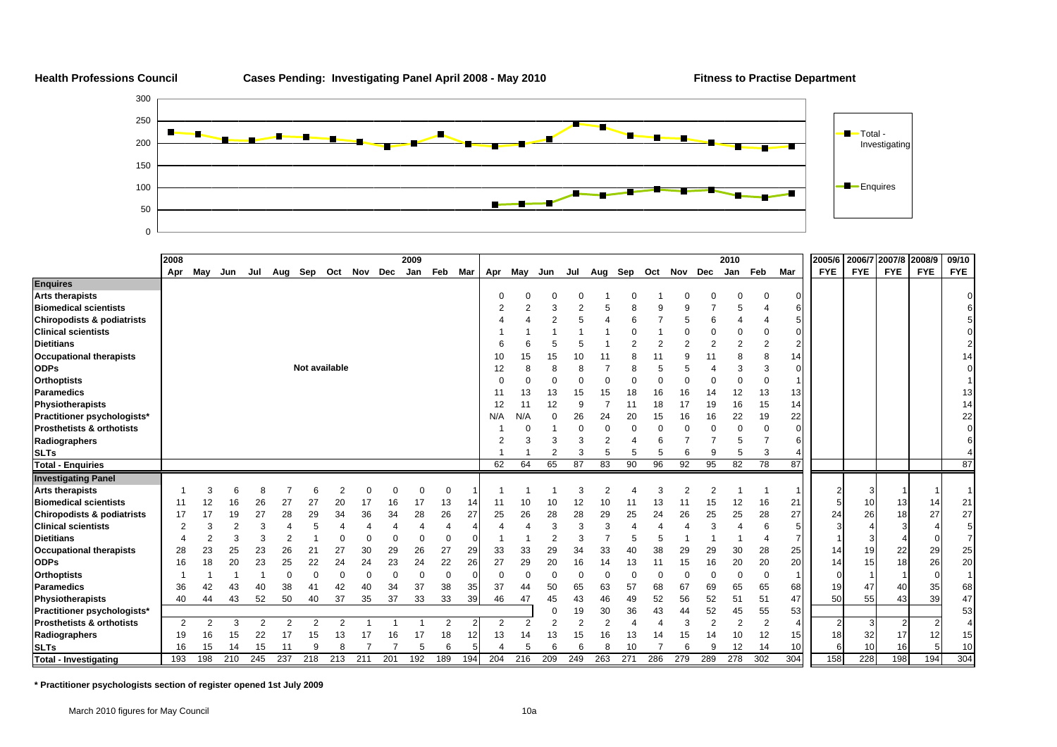

|                                       | 2008           |                |                |                |     |               |                |                     |          | 2009     |          |          |                |          |     |                |                |          |          |                |                | 2010           |                |                       | 2005/6          |            | 2006/7 2007/8 | 2008/9     | 09/10      |
|---------------------------------------|----------------|----------------|----------------|----------------|-----|---------------|----------------|---------------------|----------|----------|----------|----------|----------------|----------|-----|----------------|----------------|----------|----------|----------------|----------------|----------------|----------------|-----------------------|-----------------|------------|---------------|------------|------------|
|                                       | Apr            | May            | Jun            | Jul            |     |               |                | Aug Sep Oct Nov Dec |          | Jan      | Feb      | Mar      | Apr            | May      | Jun | Jul            | Aug            | Sep      | Oct Nov  |                | Dec            | Jan            | Feb            | Mar                   | <b>FYE</b>      | <b>FYE</b> | <b>FYE</b>    | <b>FYE</b> | <b>FYE</b> |
| <b>Enquires</b>                       |                |                |                |                |     |               |                |                     |          |          |          |          |                |          |     |                |                |          |          |                |                |                |                |                       |                 |            |               |            |            |
| <b>Arts therapists</b>                |                |                |                |                |     |               |                |                     |          |          |          |          |                |          |     |                |                |          |          |                |                |                | 0              | 0                     |                 |            |               |            |            |
| <b>Biomedical scientists</b>          |                |                |                |                |     |               |                |                     |          |          |          |          |                |          | 3   | $\overline{2}$ |                | 8        | 9        |                |                | 5              |                | 6                     |                 |            |               |            |            |
| <b>Chiropodists &amp; podiatrists</b> |                |                |                |                |     |               |                |                     |          |          |          |          |                |          |     |                |                |          |          |                | 6              |                |                | 5                     |                 |            |               |            |            |
| <b>Clinical scientists</b>            |                |                |                |                |     |               |                |                     |          |          |          |          |                |          |     |                |                |          |          |                |                | $\Omega$       | $\Omega$       | $\Omega$              |                 |            |               |            |            |
| <b>Dietitians</b>                     |                |                |                |                |     |               |                |                     |          |          |          |          |                |          |     |                |                | 2        | 2        | $\mathfrak{p}$ | $\overline{2}$ | $\overline{2}$ | $\overline{2}$ | $\overline{2}$        |                 |            |               |            | 2          |
| <b>Occupational therapists</b>        |                |                |                |                |     |               |                |                     |          |          |          |          | 10             | 15       | 15  | 10             |                | 8        | 11       | 9              |                | 8              | 8              | 14                    |                 |            |               |            | 14         |
| <b>ODPs</b>                           |                |                |                |                |     | Not available |                |                     |          |          |          |          | 12             |          |     |                |                | 8        |          |                |                | 3              | 3              | $\Omega$              |                 |            |               |            | $\Omega$   |
| <b>Orthoptists</b>                    |                |                |                |                |     |               |                |                     |          |          |          |          |                |          |     |                |                |          |          |                |                | $\Omega$       | $\mathbf 0$    |                       |                 |            |               |            |            |
| <b>Paramedics</b>                     |                |                |                |                |     |               |                |                     |          |          |          |          |                | 13       | 13  | 15             | 15             | 18       | 16       | 16             | 14             | 12             | 13             | 13                    |                 |            |               |            | 13         |
| Physiotherapists                      |                |                |                |                |     |               |                |                     |          |          |          |          | 12             | 11       | 12  | 9              |                | 11       | 18       | 17             | 19             | 16             | 15             | 14                    |                 |            |               |            | 14         |
| Practitioner psychologists*           |                |                |                |                |     |               |                |                     |          |          |          |          | N/A            | N/A      | 0   | 26             | 24             | 20       | 15       | 16             | 16             | 22             | 19             | 22                    |                 |            |               |            | 22         |
| Prosthetists & orthotists             |                |                |                |                |     |               |                |                     |          |          |          |          |                |          |     |                | $\Omega$       | $\Omega$ | $\Omega$ |                | $\Omega$       | $\Omega$       | $\Omega$       | $\Omega$              |                 |            |               |            |            |
| Radiographers                         |                |                |                |                |     |               |                |                     |          |          |          |          |                |          |     | З              |                |          |          |                |                | 5              |                | 6                     |                 |            |               |            |            |
| <b>SLTs</b>                           |                |                |                |                |     |               |                |                     |          |          |          |          |                |          |     | 3              |                | 5        |          |                | 9              | 5              | 3              |                       |                 |            |               |            |            |
| <b>Total - Enquiries</b>              |                |                |                |                |     |               |                |                     |          |          |          |          | 62             | 64       | 65  | 87             | 83             | 90       | 96       | 92             | 95             | 82             | 78             | 87                    |                 |            |               |            | 87         |
| <b>Investigating Panel</b>            |                |                |                |                |     |               |                |                     |          |          |          |          |                |          |     |                |                |          |          |                |                |                |                |                       |                 |            |               |            |            |
| <b>Arts therapists</b>                |                | 3              |                |                |     | 6             | $\overline{2}$ | $\Omega$            | $\Omega$ | $\Omega$ | $\Omega$ |          |                |          |     | 3              | $\overline{2}$ |          |          | 2              | 2              |                |                |                       |                 |            |               |            |            |
| <b>Biomedical scientists</b>          | 11             | 12             | 16             | 26             | 27  | 27            | 20             | 17                  | 16       | 17       | 13       | 14       | 11             | 10       | 10  | 12             | 10             | 11       | 13       | 11             | 15             | 12             | 16             | 21                    |                 | 10         | 13            | 14         | 21         |
| Chiropodists & podiatrists            | 17             | 17             | 19             | 27             | 28  | 29            | 34             | 36                  | 34       | 28       | 26       | 27       | 25             | 26       | 28  | 28             | 29             | 25       | 24       | 26             | 25             | 25             | 28             | 27                    | 24              | 26         | 18            | 27         | 27         |
| <b>Clinical scientists</b>            | 2              | 3              | $\overline{2}$ |                |     | 5             |                |                     |          |          | 4        | 4        |                |          | 3   | 3              | 3              |          |          |                | 3              | 4              | 6              | 5                     |                 |            |               |            | 5          |
| <b>Dietitians</b>                     |                | $\overline{2}$ | 3              |                | 2   |               |                |                     |          | $\Omega$ | $\Omega$ | $\Omega$ |                |          | 2   | 3              |                | 5        | 5        |                |                |                |                | 7                     |                 |            |               |            | 7          |
| <b>Occupational therapists</b>        | 28             | 23             | 25             | 23             | 26  | 21            | 27             | 30                  | 29       | 26       | 27       | 29       | 33             | 33       | 29  | 34             | 33             | 40       | 38       | 29             | 29             | 30             | 28             | 25                    | 14              | 19         | 22            | 29         | 25         |
| <b>ODPs</b>                           | 16             | 18             | 20             | 23             | 25  | 22            | 24             | 24                  | 23       | 24       | 22       | 26       | 27             | 29       | 20  | 16             | 14             | 13       | 11       | 15             | 16             | 20             | 20             | 20                    | 14              | 15         | 18            | 26         | 20         |
| <b>Orthoptists</b>                    |                |                |                |                | 0   | $\Omega$      | $\Omega$       |                     | $\Omega$ | $\Omega$ | $\Omega$ | $\Omega$ | $\Omega$       | $\Omega$ | 0   | 0              | $\Omega$       | $\Omega$ | $\Omega$ |                | 0              | 0              | $\Omega$       |                       |                 |            |               | $\Omega$   |            |
| <b>Paramedics</b>                     | 36             | 42             | 43             | 40             | 38  | 41            | 42             | 40                  | 34       | 37       | 38       | 35       | 37             | 44       | 50  | 65             | 63             | 57       | 68       | 67             | 69             | 65             | 65             | 68                    | 19              | 47         | 40            | 35         | 68         |
| <b>Physiotherapists</b>               | 40             | 44             | 43             | 52             | 50  | 40            | 37             | 35                  | 37       | 33       | 33       | 39       | 46             | 47       | 45  | 43             | 46             | 49       | 52       | 56             | 52             | 51             | 51             | 47                    | 50              | 55         | 43            | 39         | 47         |
| Practitioner psychologists*           |                |                |                |                |     |               |                |                     |          |          |          |          |                |          |     | 19             | 30             | 36       | 43       | 44             | 52             | 45             | 55             | 53                    |                 |            |               |            | 53         |
| Prosthetists & orthotists             | $\overline{2}$ | 2              | 3              | $\overline{2}$ | 2   | 2             | 2              |                     |          |          | 2        | 2        | $\overline{2}$ |          | 2   | $\overline{2}$ | $\overline{2}$ |          |          | 3              | $\overline{2}$ | $\overline{2}$ | $\overline{2}$ | $\boldsymbol{\Delta}$ |                 | 3          |               |            | 4          |
| Radiographers                         | 19             | 16             | 15             | 22             | 17  | 15            | 13             | 17                  | 16       | 17       | 18       | 12       | 13             | 14       | 13  | 15             | 16             | 13       |          | 15             | 14             | 10             | 12             | 15                    | 18 <sup>1</sup> | 32         | 17            | 12         | 15         |
| <b>SLTs</b>                           | 16             | 15             | 14             | 15             | 11  | 9             |                |                     |          | 5        | 6        | 5        |                | 5        | 6   |                |                | 10       |          |                | 9              | 12             | 14             | 10                    |                 | 10         | 16            | 5          | 10         |
| <b>Total - Investigating</b>          | 193            | 198            | 210            | 245            | 237 | 218           | 213            | 211                 | 201      | 192      | 189      | 194      | 204            | 216      | 209 | 249            | 263            | 271      | 286      | 279            | 289            | 278            | 302            | 304                   | 158             | 228        | 198           | 194        | 304        |

**\* Practitioner psychologists section of register opened 1st July 2009**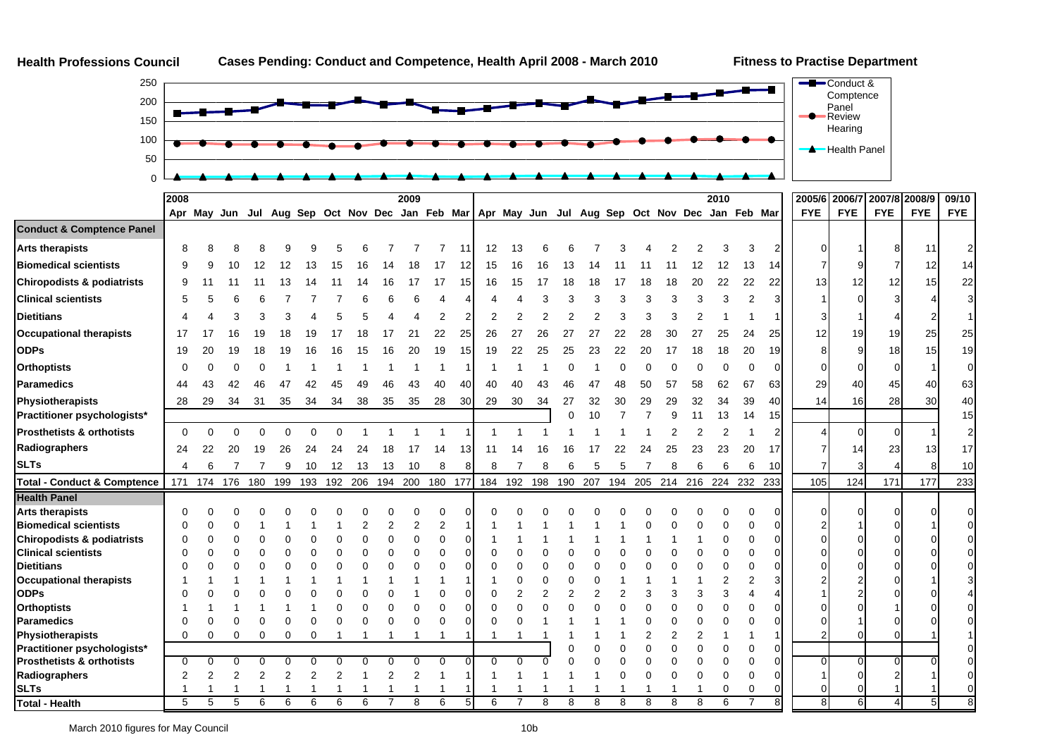

**Health Professions Council**

Health Panel



50100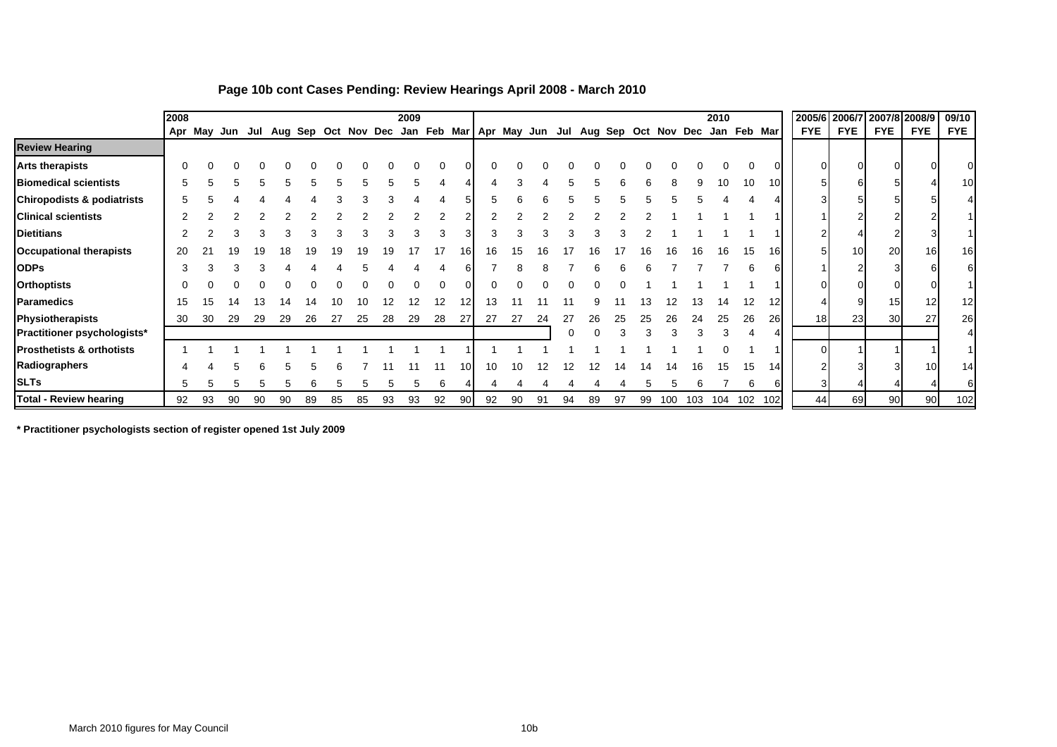|                                       | 2008 |    |    |    |    |    |    |    |    | 2009 |                                                                                     |     |    |    |    |    |    |    |    |     |     | 2010        |     |     |                 | 2005/6 2006/7 2007/8 2008/9 |                 |                 | 09/10           |
|---------------------------------------|------|----|----|----|----|----|----|----|----|------|-------------------------------------------------------------------------------------|-----|----|----|----|----|----|----|----|-----|-----|-------------|-----|-----|-----------------|-----------------------------|-----------------|-----------------|-----------------|
|                                       |      |    |    |    |    |    |    |    |    |      | Apr May Jun Jul Aug Sep Oct Nov Dec Jan Feb Mar Apr May Jun Jul Aug Sep Oct Nov Dec |     |    |    |    |    |    |    |    |     |     | Jan Feb Mar |     |     | <b>FYE</b>      | <b>FYE</b>                  | <b>FYE</b>      | <b>FYE</b>      | <b>FYE</b>      |
| <b>Review Hearing</b>                 |      |    |    |    |    |    |    |    |    |      |                                                                                     |     |    |    |    |    |    |    |    |     |     |             |     |     |                 |                             |                 |                 |                 |
| <b>Arts therapists</b>                | ∩    |    |    |    |    |    |    |    |    |      |                                                                                     |     |    |    |    |    |    |    |    |     |     |             |     |     |                 | $\Omega$                    |                 |                 |                 |
| <b>Biomedical scientists</b>          | 5    |    |    |    |    |    |    |    |    |      |                                                                                     |     |    |    |    |    |    |    |    |     | 9   | 10          | 10  | 10  | 51              | 61                          |                 |                 | 10 <sup>1</sup> |
| <b>Chiropodists &amp; podiatrists</b> |      |    |    |    |    |    |    |    |    |      |                                                                                     |     |    |    |    |    |    |    |    |     |     |             |     |     |                 |                             |                 |                 |                 |
| <b>Clinical scientists</b>            |      |    |    |    |    |    |    |    |    |      |                                                                                     |     |    |    |    |    |    |    |    |     |     |             |     |     |                 | 2                           |                 |                 |                 |
| <b>Dietitians</b>                     |      |    |    |    |    |    |    |    |    |      |                                                                                     |     |    |    |    |    |    |    |    |     |     |             |     |     |                 |                             |                 |                 |                 |
| <b>Occupational therapists</b>        | 20   |    |    |    |    |    |    |    |    |      |                                                                                     | 161 | 16 | 15 | 16 |    |    |    |    | 16  | 16  | 16          | 15  | 16  |                 | 10 <sup>1</sup>             | 20              | 16 <sub>1</sub> | 16 <sup>l</sup> |
| <b>ODPs</b>                           | З    |    |    |    |    |    |    |    |    |      |                                                                                     |     |    |    |    |    |    |    |    |     |     |             |     |     |                 |                             |                 |                 |                 |
| <b>Orthoptists</b>                    |      |    |    |    |    |    |    |    |    |      |                                                                                     |     |    |    |    |    |    |    |    |     |     |             |     |     |                 |                             |                 |                 |                 |
| <b>Paramedics</b>                     | 15   | ۱5 | 14 |    | 14 | 14 |    |    |    | 12   | 12                                                                                  | 12  | 13 |    |    |    |    |    |    |     | 13  | 14          | 12  | 12  |                 | 9                           | 15              | 12              | 12              |
| Physiotherapists                      | 30   | 30 | 29 | 29 | 29 | 26 | 27 | 25 | 28 | 29   | 28                                                                                  | 27  | 27 | 27 | 24 | 27 | 26 | 25 | 25 | 26  | 24  | 25          | 26  | 26  | 18 <sup>l</sup> | 23                          | 30 <sup>1</sup> | 27              | 26              |
| Practitioner psychologists*           |      |    |    |    |    |    |    |    |    |      |                                                                                     |     |    |    |    |    |    |    |    |     |     |             |     |     |                 |                             |                 |                 |                 |
| <b>Prosthetists &amp; orthotists</b>  |      |    |    |    |    |    |    |    |    |      |                                                                                     |     |    |    |    |    |    |    |    |     |     |             |     |     |                 |                             |                 |                 |                 |
| Radiographers                         |      |    |    |    |    |    |    |    |    |      |                                                                                     | 10  | 10 | 10 | 12 |    |    |    |    |     | 16  | 15          | 15  | 14  |                 |                             |                 | 10              | 14              |
| <b>SLTs</b>                           | 5    |    |    |    |    |    |    |    |    | :5   | 6                                                                                   |     |    |    |    |    |    |    |    |     |     |             | 6   | ĥ   |                 |                             |                 |                 |                 |
| <b>Total - Review hearing</b>         | 92   | 93 | 90 | 90 | 90 | 89 | 85 | 85 | 93 | 93   | 92                                                                                  | 90  | 92 | 90 | 91 | 94 | 89 | 97 | 99 | 100 | 103 | 104         | 102 | 102 | 44              | 69                          | 90 <sup>1</sup> | -90 l           | 102             |

#### **Page 10b cont Cases Pending: Review Hearings April 2008 - March 2010**

**\* Practitioner psychologists section of register opened 1st July 2009**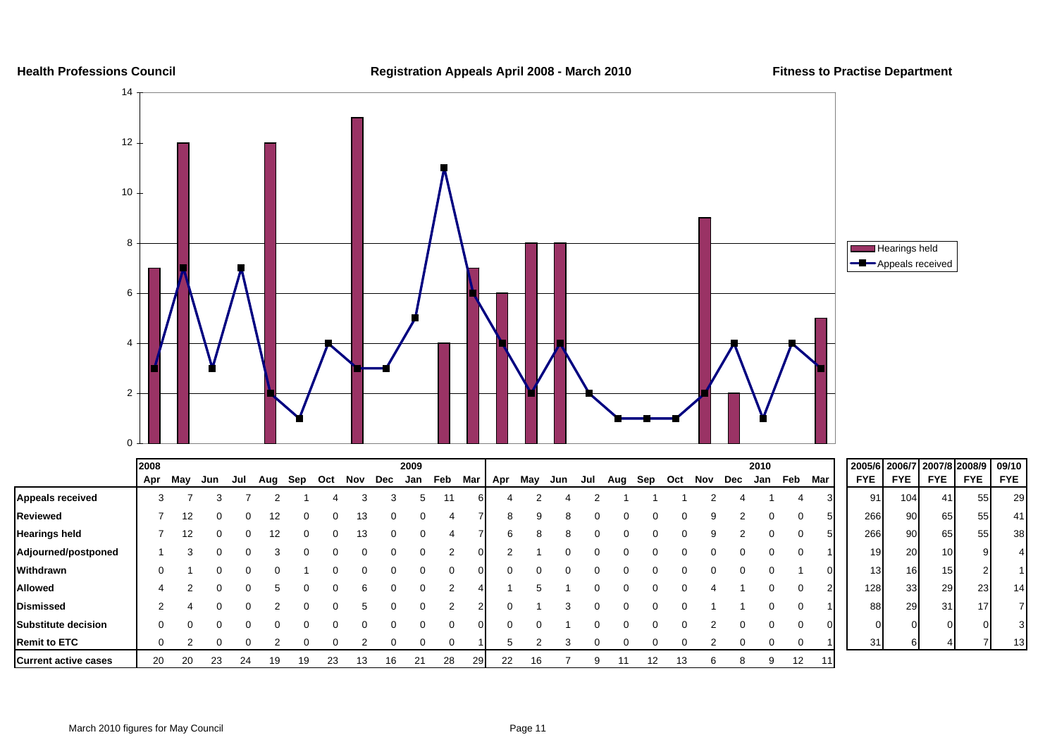

|                             | 2008 |     |     |     |         |    |     |         |    | 2009 |     |     |          |     |     |     |     |     |     |     |     | 2010 |     |     | 2005/6 2006/7 2007/8 2008/9 |            |                 |            | 09/10      |
|-----------------------------|------|-----|-----|-----|---------|----|-----|---------|----|------|-----|-----|----------|-----|-----|-----|-----|-----|-----|-----|-----|------|-----|-----|-----------------------------|------------|-----------------|------------|------------|
|                             | Apr  | Mav | Jun | Jul | Aug Sep |    | Oct | Nov Dec |    | Jan  | Feb | Mar | Apr      | May | Jun | Jul | Aug | Sep | Oct | Nov | Dec | Jan  | Feb | Mar | <b>FYE</b>                  | <b>FYE</b> | <b>FYE</b>      | <b>FYE</b> | <b>FYE</b> |
| <b>Appeals received</b>     | 3    |     |     |     |         |    |     |         |    | 5.   |     |     |          |     |     |     |     |     |     |     |     |      |     |     | 91                          | 104        | 41              | 55         | 29         |
| Reviewed                    |      | 12  |     |     |         |    |     |         |    |      |     |     | 8        |     |     |     |     |     |     |     |     |      |     |     | 266                         | 90         | 65              | 55         | 41         |
| <b>Hearings held</b>        |      | 12  |     |     | 12      |    |     | 13      |    |      |     |     | ĥ        |     |     |     |     |     |     |     |     |      |     |     | 266                         | 90         | 65              | 55         | 38         |
| Adjourned/postponed         |      |     |     |     |         |    |     |         |    |      |     |     |          |     |     |     |     |     |     |     |     |      |     |     | 191                         | 20         | 10 <sup>1</sup> |            |            |
| Withdrawn                   |      |     |     |     |         |    |     |         |    |      |     |     | $\Omega$ |     |     |     |     |     |     |     |     |      |     |     | 13                          | 161        | 15              |            |            |
| <b>Allowed</b>              |      |     |     |     |         |    |     |         |    |      |     |     |          |     |     |     |     |     |     |     |     |      |     |     | 128                         | 33         | 29              | 23         | 14         |
| <b>Dismissed</b>            |      |     |     |     |         |    |     |         |    |      |     |     |          |     |     |     |     |     |     |     |     |      |     |     | 88                          | 29         | 31              | 17         |            |
| <b>Substitute decision</b>  |      |     |     |     |         |    |     |         |    |      |     |     |          |     |     |     |     |     |     |     |     |      |     |     |                             |            |                 |            |            |
| <b>Remit to ETC</b>         |      |     |     |     |         |    |     |         |    |      |     |     |          |     |     |     |     |     |     |     |     |      |     |     | 31                          |            |                 |            | 13         |
| <b>Current active cases</b> | 20   | 20  | 23  | 24  | 19      | 19 | 23  | 13      | 16 | 21   | 28  | 29  | 22       |     |     |     |     | 12  | 13  |     |     | 9    | 12  | 11  |                             |            |                 |            |            |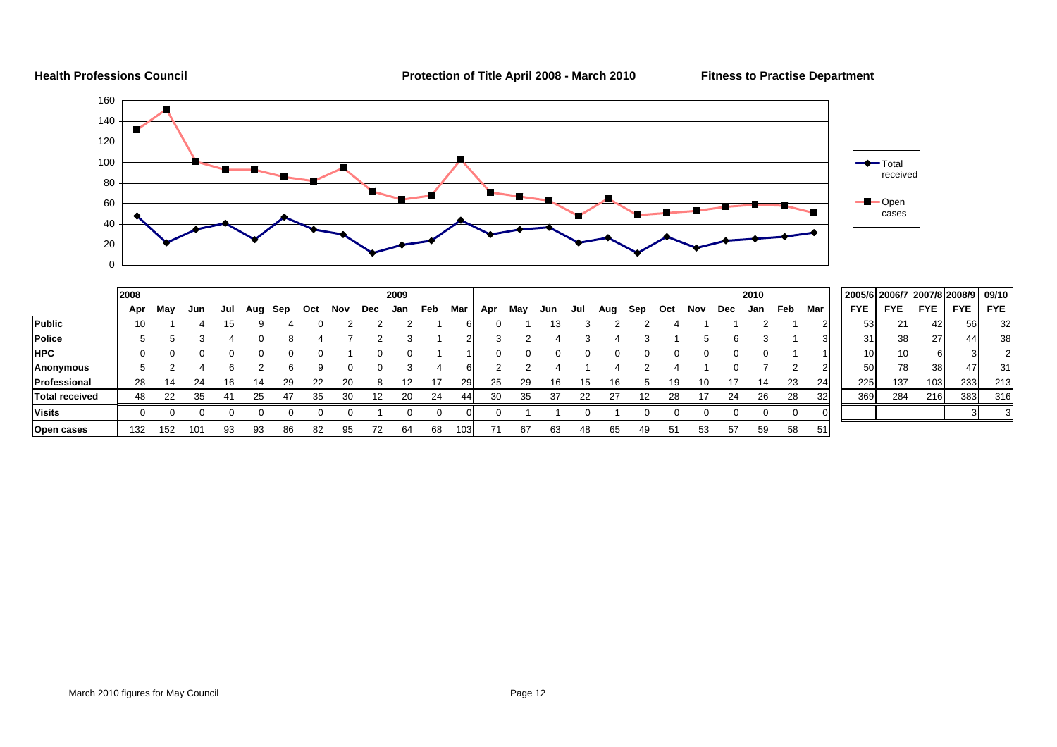

**Health Professions Council Protection of Title April 2008 - March 2010 Fitness to Practise Department**



|                       | 2008 |     |     |     |     |     |     |     |     | 2009 |     |           |     |     |     |     |     |     |     |     |     | 2010 |     |     | 2005/6 2006/7 2007/8 2008/9 |                 |                 |            | 09/10      |
|-----------------------|------|-----|-----|-----|-----|-----|-----|-----|-----|------|-----|-----------|-----|-----|-----|-----|-----|-----|-----|-----|-----|------|-----|-----|-----------------------------|-----------------|-----------------|------------|------------|
|                       | Apr  | May | Jun | Jul | Aug | Sep | Oct | Nov | Dec | Jan  | Feb | Mar       | Apr | May | Jun | Jul | Aug | Sep | Oct | Nov | Dec | Jan  | Feb | Mar | <b>FYE</b>                  | <b>FYE</b>      | <b>FYE</b>      | <b>FYE</b> | <b>FYE</b> |
| <b>Public</b>         | 10   |     |     |     |     |     |     |     |     |      |     | h.        |     |     | 13  |     |     |     |     |     |     |      |     |     | 53                          | 21              | 42              | 56         | 32         |
| Police                |      |     |     |     |     |     |     |     |     |      |     |           |     |     |     |     |     |     |     |     |     |      |     |     | 31                          | 38 I            | <b>27</b>       | 44 I       | 38         |
| <b>HPC</b>            |      |     |     |     |     |     |     |     |     |      |     |           |     |     |     |     |     |     |     |     |     |      |     |     | 10                          | 10 <sup>1</sup> |                 | 31         |            |
| Anonymous             |      |     |     |     |     |     |     |     |     |      |     | ี         |     |     |     |     |     |     |     |     |     |      |     |     | 50                          | 78              | 38 <sup>l</sup> | 471        | 31         |
| Professional          | 28   | 14  | 24  |     | 14  | 29  | 22  | 20  |     | 12   | 17  | <b>29</b> | 25  | 29  | 16  |     |     |     |     |     |     | 14   | 23  | 24  | 225                         | 137             | 103             | 233        | 213        |
| <b>Total received</b> | 48   | 22  | 35  |     | 25  | 47  | 35  | 30. | 12  | 20   | 24  | 44        | 30  | 35  | 37  | 22  | 27  | 12  | 28  | 17  | 24  | 26   | 28  | 32  | 369                         | 284             | 216             | 383        | 316        |
| <b>Visits</b>         |      |     |     |     |     |     |     |     |     |      |     |           |     |     |     |     |     |     |     |     |     |      |     |     |                             |                 |                 |            |            |
| <b>Open cases</b>     | 132  | 152 | 101 | 93  | 93  |     |     |     |     |      | 68  | 103       |     | 67  | 63  | 48  | 65  |     | 51  | 53  | -57 | 59   | 58  | 51  |                             |                 |                 |            |            |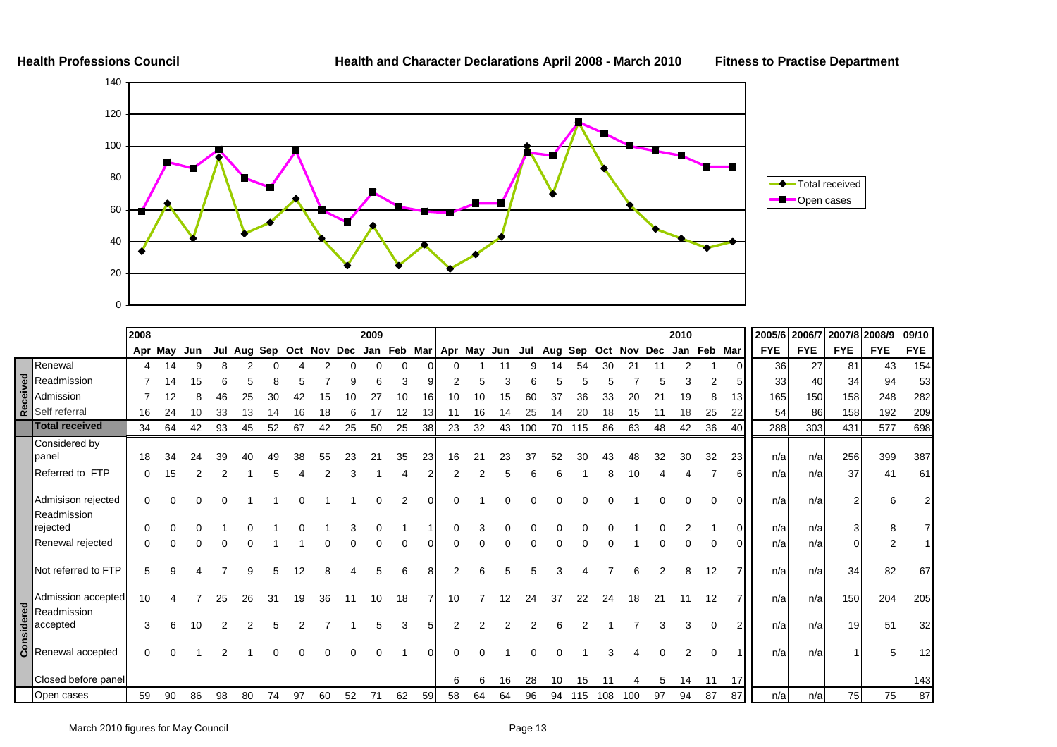

|                                                                                                  | 2008 |         |     |    |         |     |             |    |    | 2009 |                         |    |    |    |                   |     |     |     |     |     |     | 2010 |             |                 | 2005/6 2006/7 |            | 2007/8 2008/9   |            | 09/10      |
|--------------------------------------------------------------------------------------------------|------|---------|-----|----|---------|-----|-------------|----|----|------|-------------------------|----|----|----|-------------------|-----|-----|-----|-----|-----|-----|------|-------------|-----------------|---------------|------------|-----------------|------------|------------|
|                                                                                                  |      | Apr May | Jun |    | Jul Aug | Sep | Oct Nov Dec |    |    |      | Jan Feb Mar Apr May Jun |    |    |    |                   | Jul | Aug | Sep | Oct | Nov | Dec |      | Jan Feb Mar |                 | <b>FYE</b>    | <b>FYE</b> | <b>FYE</b>      | <b>FYE</b> | <b>FYE</b> |
| Renewal                                                                                          |      | 14      | 9   |    |         |     |             |    |    |      | $\Omega$                |    |    |    |                   |     |     | 54  | 30  |     |     | 2    |             |                 | 36            | 27         | 81              | 43         | 154        |
| <b>B</b><br><b>Readmission</b><br><b>Readmission</b><br><b>Readmission</b><br><b>Readmission</b> |      |         |     |    |         |     |             |    |    |      |                         |    |    |    |                   |     |     |     |     |     |     |      |             |                 | 33            | 40         | 34              | 94         | 53         |
|                                                                                                  |      |         |     |    |         |     |             |    |    |      |                         |    |    |    |                   |     |     |     |     |     |     | 19   |             | 13 <sub>l</sub> | 165           | 150        | 158             | 248        | 282        |
|                                                                                                  | 16   |         |     |    |         |     |             |    |    |      | 12                      |    |    |    |                   |     |     |     |     | 15  |     |      | 25          | 22              | 54            | 86         | 158             | 192        | 209        |
| <b>Total received</b>                                                                            | 34   | 64      | 42  | 93 | 45      | 52  | 67          | 42 | 25 | 50   | 25                      | 38 | 23 | 32 | 43                | 100 | 70  | 115 | 86  | 63  | 48  | 42   | 36          | 40              | 288           | 303        | 431             | 577        | 698        |
| Considered by                                                                                    |      |         |     |    |         |     |             |    |    |      |                         |    |    |    |                   |     |     |     |     |     |     |      |             |                 |               |            |                 |            |            |
| <b>I</b> panel                                                                                   | 18   | 34      | 24  | 39 |         | 49  | 38          | 55 | 23 | 21   | 35                      | 23 | 16 | 21 | 23                | 37  | 52  | 30  | 43  | 48  | 32  | 30   | 32          | 23              | n/a           | n/a        | 256             | 399        | 387        |
| Referred to FTP                                                                                  |      | 15      |     |    |         |     |             |    |    |      |                         |    |    |    |                   |     |     |     |     |     |     |      |             |                 | n/a           | n/a        | 37              | 41         | 61         |
| Admisison rejected<br>Readmission                                                                | 0    | O       |     |    |         |     |             |    |    |      |                         | ΩI |    |    |                   |     |     |     |     |     |     |      |             |                 | n/a           | n/al       |                 |            |            |
| rejected                                                                                         |      |         |     |    |         |     |             |    |    |      |                         |    |    |    |                   |     |     |     |     |     |     |      |             |                 | n/a           | n/a        |                 |            |            |
| Renewal rejected                                                                                 |      |         |     |    |         |     |             |    |    |      |                         |    |    |    |                   |     |     |     |     |     |     |      |             |                 | n/a           | n/al       |                 |            |            |
| Not referred to FTP                                                                              |      | g       |     |    |         |     | 12          | 8  |    |      | 6                       |    |    |    |                   |     |     |     |     |     |     | 8    | 12          |                 | n/a           | n/a        | 34              | 82         | 67         |
| Admission accepted                                                                               | 10   |         |     | 25 | 26      | 31  | 19          | 36 | 11 | 10   | 18                      |    | 10 |    | $12 \overline{ }$ | 24  | 37  | 22  | 24  | 18  | 21  | 11   | 12          |                 | n/a           | n/a        | 150             | 204        | 205        |
| Marinission accepted<br>Readmission<br>accepted<br>B<br>Renewal accepted                         |      |         | 10  |    |         |     |             |    |    |      |                         |    |    |    |                   |     |     |     |     |     |     |      |             |                 | n/a           | n/a        | 19 <sup>l</sup> | 51         | 32         |
|                                                                                                  |      |         |     |    |         |     |             |    |    |      |                         |    |    |    |                   |     |     |     |     |     |     |      |             |                 | n/a           | n/al       |                 | Ë          | 12         |
| Closed before panel                                                                              |      |         |     |    |         |     |             |    |    |      |                         |    | 6  | 6  | 16                | 28  | 10  | 15  | -11 |     | 5   | 14   | 11          | 17              |               |            |                 |            | 143        |
| Open cases                                                                                       | 59   | 90      | 86  | 98 | 80      | 74  | 97          | 60 | 52 | 71   | 62                      | 59 | 58 | 64 | 64                | 96  | 94  | 115 | 108 | 100 | 97  | 94   | 87          | 87              | n/a           | n/a        | 75              | 75         | 87         |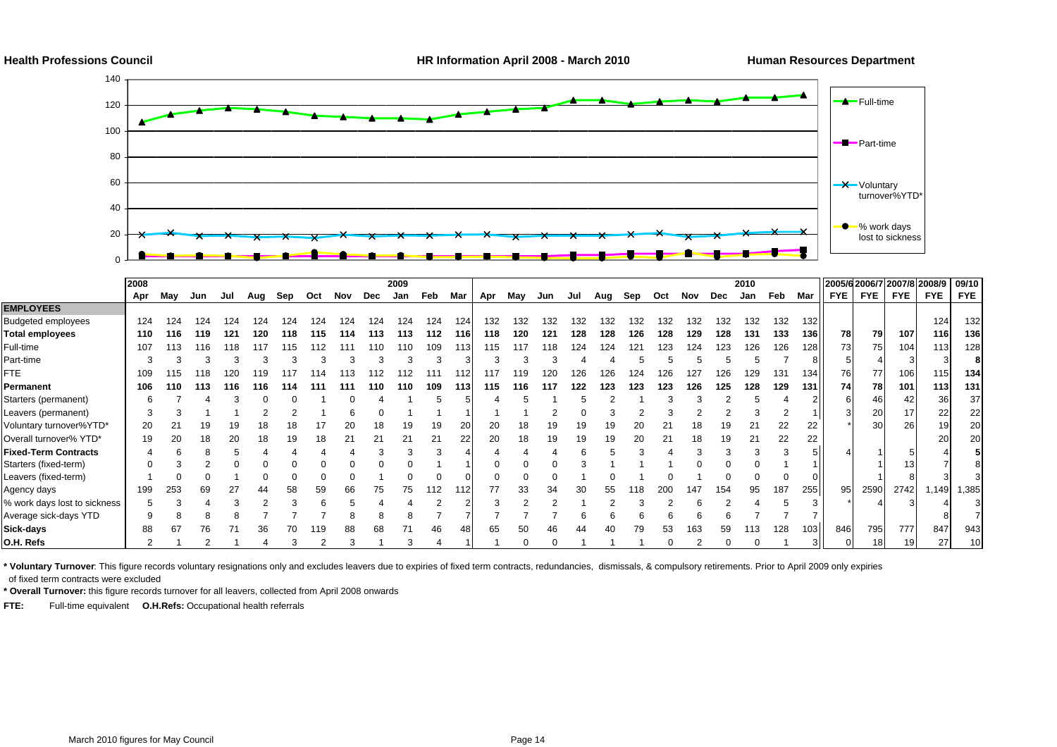

|                              | 2008 |     |     |     |     |     |     |     |     | 2009 |     |       |     |     |     |     |     |     |     |     |     | 2010 |     |               | 2005/6 2006/7 2007/8 2008/9 |                 |            |                 | 09/10           |
|------------------------------|------|-----|-----|-----|-----|-----|-----|-----|-----|------|-----|-------|-----|-----|-----|-----|-----|-----|-----|-----|-----|------|-----|---------------|-----------------------------|-----------------|------------|-----------------|-----------------|
|                              | Apr  | May | Jun | Jul | Aug | Sep | Oct | Nov | Dec | Jan  | Feb | Mar   | Apr | May | Jun | Jul | Aug | Sep | Oct | Nov | Dec | Jan  | Feb | Mar           | <b>FYE</b>                  | <b>FYE</b>      | <b>FYE</b> | <b>FYE</b>      | <b>FYE</b>      |
| <b>EMPLOYEES</b>             |      |     |     |     |     |     |     |     |     |      |     |       |     |     |     |     |     |     |     |     |     |      |     |               |                             |                 |            |                 |                 |
| <b>Budgeted employees</b>    | 124  | 124 | 124 | 124 | 124 | 124 | 124 | 124 | 124 | 124  | 124 | 124   | 132 | 132 | 32  | 132 | 132 | 132 | 132 | 132 | 132 | 132  | 132 | 132           |                             |                 |            | 124             | 132             |
| Total employees              | 110  | 116 | 119 | 121 | 120 | 118 | 115 | 114 | 113 | 113  | 112 | 116 I | 118 | 120 | 121 | 128 | 128 | 126 | 128 | 129 | 128 | 131  | 133 | 136 <b>H</b>  | 78                          | 79              | 107        | <b>116</b>      | 136             |
| Full-time                    | 107  |     | 116 | 118 |     |     |     |     |     | 110  | 109 | 113   | 115 | 117 | 118 | 124 | 124 |     | 23  | 124 | 123 | 126  | 126 | 128 I I       | 73                          | 75              | 104        | 113             | 128             |
| Part-time                    |      |     |     |     |     |     |     |     |     |      |     |       |     |     |     |     |     |     |     |     |     |      |     |               |                             |                 |            |                 |                 |
| FTE.                         | 109  |     |     |     |     |     |     |     |     |      |     |       | 117 | 19  |     |     | 26  | 24  |     | 127 | 126 | 29   | 131 | 134 I         | 76                          | 77              | 106        | 115             | 134             |
| Permanent                    | 106  | 110 | 113 | 116 | 116 | 114 |     | 111 | 110 | 110  | 109 | 113 I | 115 | 116 | 117 | 122 | 123 | 123 | 123 | 126 | 125 | 128  | 129 | 131 I I       | 74                          | 78              | 101        | 113             | 131             |
| Starters (permanent)         |      |     |     |     |     |     |     |     |     |      |     |       |     |     |     |     |     |     |     |     |     |      |     | 211           |                             | 461             | 42         | 36              | 37              |
| Leavers (permanent)          |      |     |     |     |     |     |     |     |     |      |     |       |     |     |     |     |     |     |     |     |     |      |     |               |                             | 20              | 17         | 22              | 22              |
| Voluntary turnover%YTD*      | 20   |     |     |     |     | 18  |     | 20  |     |      | 19  |       | 20  |     |     |     |     |     | 21  | 18  | 19  | 21   | 22  | 22            |                             | 30              | 26         | 19              | 20              |
| Overall turnover% YTD*       | 19   | 20  | 18  | 20  |     | 19  | 18  | 21  |     |      | 21  | 22    | 20  | 18  | 19  |     | 19  |     |     | 18  | 19  | 21   | 22  | 22            |                             |                 |            | 20 <sup>1</sup> | <b>20</b>       |
| <b>Fixed-Term Contracts</b>  |      |     |     |     |     |     |     |     |     |      |     |       |     |     |     |     |     |     |     |     |     |      |     |               |                             |                 |            |                 |                 |
| Starters (fixed-term)        |      |     |     |     |     |     |     |     |     |      |     |       |     |     |     |     |     |     |     |     |     |      |     |               |                             |                 |            |                 |                 |
| Leavers (fixed-term)         |      |     |     |     |     |     |     |     |     |      |     |       |     |     |     |     |     |     |     |     |     |      |     |               |                             |                 |            |                 |                 |
| Agency days                  | 199  | 253 | 69  | 27  | 44  | 58  | 59  | 66  | 75  | 75   | 112 |       |     | 33  | 34  |     | 55  | 18  | 200 | 147 | 154 | 95   | 187 | 255 <b>II</b> | 95                          | 2590            | 2742       | 1,149           | 1,385           |
| % work days lost to sickness |      |     |     |     |     |     |     |     |     |      |     |       |     |     |     |     |     |     |     |     |     |      |     |               |                             |                 |            |                 |                 |
| Average sick-days YTD        |      |     |     |     |     |     |     |     |     |      |     |       |     |     |     |     |     |     |     |     |     |      |     |               |                             |                 |            |                 |                 |
| Sick-days                    | 88   | 67  | 76  |     |     |     |     |     |     |      | 46  |       | 65  | 50  |     |     |     | 79  | 53  | 163 | 59  | 13   | 128 | 103           | 846                         | 795             | 777        | 847             | 943             |
| O.H. Refs                    |      |     |     |     |     | 3   |     |     |     |      |     |       |     |     |     |     |     |     |     |     |     |      |     |               |                             | 18 <sup>1</sup> | 19         | 27              | 10 <sup>1</sup> |

**\* Voluntary Turnover**: This figure records voluntary resignations only and excludes leavers due to expiries of fixed term contracts, redundancies, dismissals, & compulsory retirements. Prior to April 2009 only expiries of fixed term contracts were excluded

**\* Overall Turnover:** this figure records turnover for all leavers, collected from April 2008 onwards

**FTE:** Full-time equivalent **O.H.Refs:** Occupational health referrals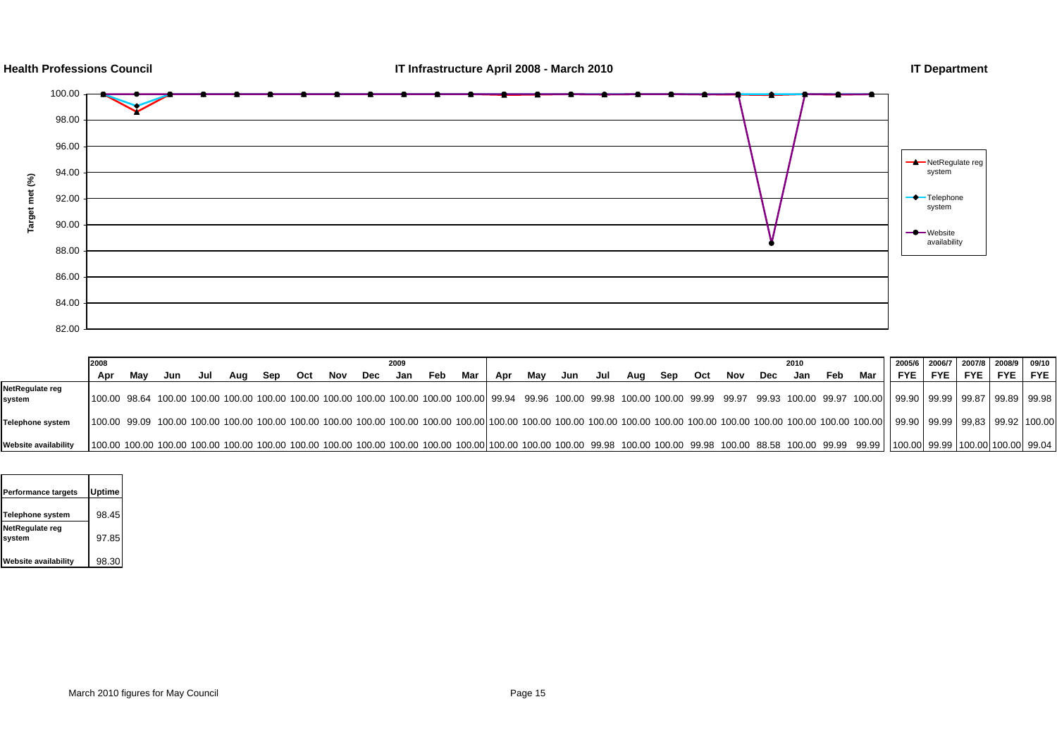





|                           | 2008 |     |     |     |     |     |     |     |     | 2009 |     |     |     |     |     |     |     |     |     |     |     | 2010 |     |       | 2005/6                                                                                                                                                                                                                        | 2006/7 2007/8 2008/9 09/10 |            |       |            |
|---------------------------|------|-----|-----|-----|-----|-----|-----|-----|-----|------|-----|-----|-----|-----|-----|-----|-----|-----|-----|-----|-----|------|-----|-------|-------------------------------------------------------------------------------------------------------------------------------------------------------------------------------------------------------------------------------|----------------------------|------------|-------|------------|
|                           | Apr  | Mav | Jun | Jul | Aua | Sep | Oct | Nov | Dec | Jan  | Feb | Mar | Apr | Mav | Jun | Jul | Aua | Sep | Oct | Nov | Dec | Jan  | Feb | Mar I | <b>FYE</b>                                                                                                                                                                                                                    | FYE I                      | <b>FYE</b> | FYE I | <b>FYE</b> |
| NetRegulate reg<br>system |      |     |     |     |     |     |     |     |     |      |     |     |     |     |     |     |     |     |     |     |     |      |     |       | 100.00 98.64 100.00 100.00 100.00 100.00 100.00 100.00 100.00 100.00 100.00 100.00 99.94 99.96 100.00 99.98 100.00 100.00 99.99 99.97 99.93 100.00 99.97 100.00    99.90   99.90   99.97   99.87   99.87   99.88   99.98      |                            |            |       |            |
| <b>Telephone system</b>   |      |     |     |     |     |     |     |     |     |      |     |     |     |     |     |     |     |     |     |     |     |      |     |       | 100.00 99.09 100.00 100.00 100.00 100.00 100.00 100.00 100.00 100.00 100.00 100.00 100.00 100.00 100.00 100.00 100.00 100.00 100.00 100.00 100.00 100.00 100.00 100.00   99.90   99.90   99.93   99.92   100.00               |                            |            |       |            |
| Website availability      |      |     |     |     |     |     |     |     |     |      |     |     |     |     |     |     |     |     |     |     |     |      |     |       | 100.00 100.00 100.00 100.00 100.00 100.00 100.00 100.00 100.00 100.00 100.00 100.00 100.00 100.00 100.00 100.00 99.98 100.00 99.98 100.00 99.98 100.00 88.58 100.00 99.99 99.99   100.00 99.99   100.00 99.99   100.00 100.00 |                            |            |       |            |

| Performance targets       | <b>Uptime</b> |  |
|---------------------------|---------------|--|
| Telephone system          | 98.45         |  |
| NetRegulate reg<br>system | 97.85         |  |
| Website availability      | 98.30         |  |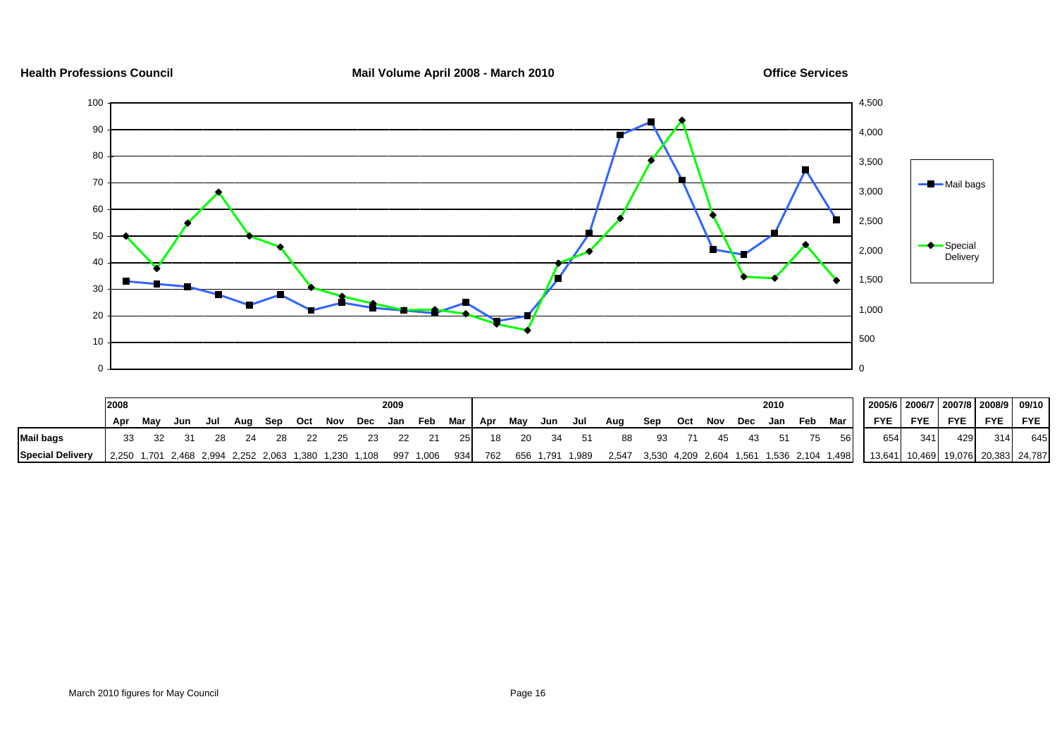

| Health Professions Council |  |
|----------------------------|--|
|                            |  |

**Mail Volume April 2008 - March 2010 Connect Services** Connect April 2008 - March 2010

|                         | 2008                                                            |     |     |     |     |     |    | 2009 |                     |            |           |    |    |                 |         |    |                 |    |      | 2010 |     |     | 2005/6   2006/7   2007/8   2008/9   09/10                                            |     |           |         |     |
|-------------------------|-----------------------------------------------------------------|-----|-----|-----|-----|-----|----|------|---------------------|------------|-----------|----|----|-----------------|---------|----|-----------------|----|------|------|-----|-----|--------------------------------------------------------------------------------------|-----|-----------|---------|-----|
|                         | Apr                                                             | Mav | Jun | Jul | Aua | Sep |    |      | Oct Nov Dec Jan Feb |            | Mar   Apr |    |    | May Jun Jul     | Aug Sep |    | Oct Nov Dec Jan |    |      |      | Feb | Mar | <b>FYE</b>                                                                           |     | FYE FYE I | FYE FYE |     |
| <b>Mail bags</b>        |                                                                 |     |     |     |     |     | 25 | 22   |                     | <b>251</b> | 18        | 20 | 34 | 51              | 88      | 93 | 71              | 45 | - 43 | 51   | 75  | 56  | 654                                                                                  | 341 | 429       | 314     | 645 |
| <b>Special Delivery</b> | 2,250 1,701 2,468 2,994 2,252 2,063 1,380 1,230 1,108 997 1,006 |     |     |     |     |     |    |      |                     | 934        | 762       |    |    | 656 1,791 1,989 |         |    |                 |    |      |      |     |     | 2,547 3,530 4,209 2,604 1,561 1,536 2,104 1,498   13,641 10,469 19,076 20,383 24,787 |     |           |         |     |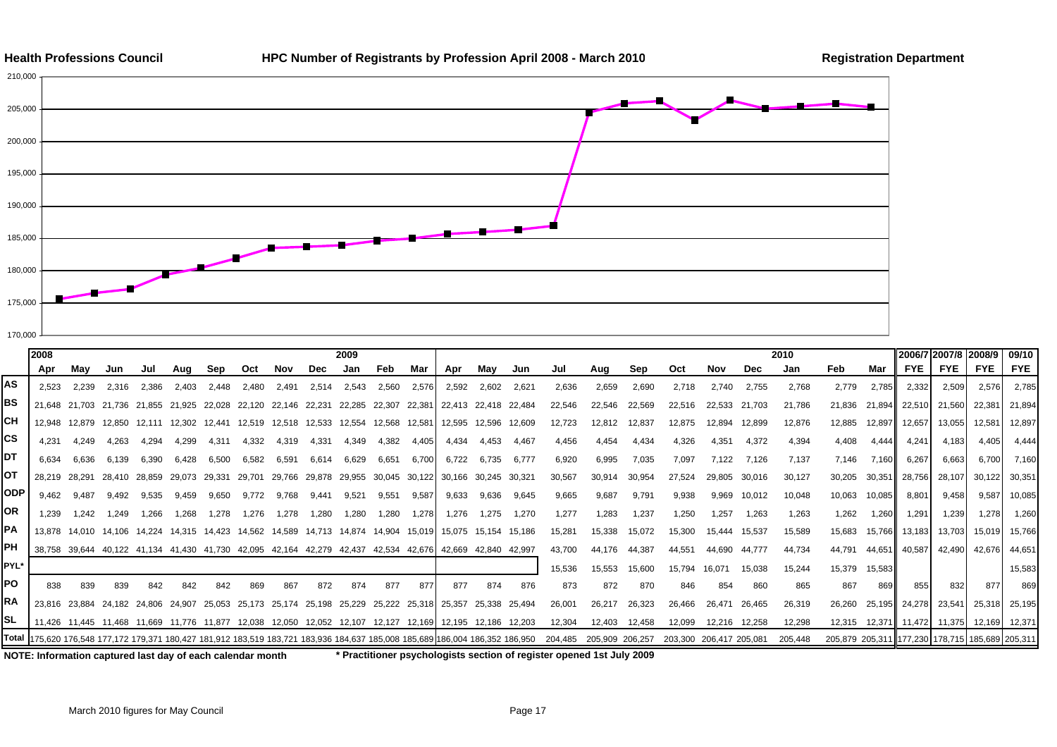



|      | 2008          |                      |        |        |                             |                                                                              |        |                      |       | 2009                 |       |        |                                                                                                                                |       |        |         |                 |        |                         |        |        | 2010    |                 |        | 2006/7 2007/8 2008/9           |            |                                   | 09/10         |
|------|---------------|----------------------|--------|--------|-----------------------------|------------------------------------------------------------------------------|--------|----------------------|-------|----------------------|-------|--------|--------------------------------------------------------------------------------------------------------------------------------|-------|--------|---------|-----------------|--------|-------------------------|--------|--------|---------|-----------------|--------|--------------------------------|------------|-----------------------------------|---------------|
|      | Apr           | Mav                  | Jun    | Jul    | Aug                         | Sep                                                                          | Oct    | Nov                  | Dec   | Jan                  | Feb   | Mar    | Apr                                                                                                                            | May   | Jun    | Jul     | Aug             | Sep    | Oct                     | Nov    | Dec    | Jan     | Feb             | Mar    | <b>FYE</b>                     | <b>FYE</b> | <b>FYE</b>                        | <b>FYE</b>    |
| AS   | 2,523         | 2,239                | 2,316  | 2,386  | 2,403                       | 2.448                                                                        | 2.480  | 2,491                | 2,514 | 2,543                | 2,560 | 2,576  | 2,592                                                                                                                          | 2,602 | 2,621  | 2,636   | 2,659           | 2,690  | 2,718                   | 2.740  | 2,755  | 2,768   | 2.779           | 2,785  | 2,332                          | 2,509      | 2,576                             | 2,785         |
| BS   |               | 21.648 21.703 21.736 |        | 21.855 | 21.925                      | 22.028                                                                       | 22.120 | 22.146 22.231        |       | 22.285 22.307        |       | 22.381 | 22.413 22.418 22.484                                                                                                           |       |        | 22.546  | 22.546          | 22,569 | 22,516                  | 22.533 | 21.703 | 21,786  | 21,836          | 21.894 | 22,510                         | 21,560     | 22,381 21,894                     |               |
| CН   | 12.948        | 12.879               | 12.850 | 12.111 | 12.302                      | 12,441                                                                       |        | 12.519 12.518 12.533 |       | 12,554 12,568        |       | 12,581 | 12.595 12.596 12.609                                                                                                           |       |        | 12.723  | 12,812          | 12,837 | 12,875                  | 12.894 | 12,899 | 12,876  | 12.885          | 12,897 | 12,657                         | 13,055     |                                   | 12,581 12,897 |
| СS   | 4.231         | 4.249                | 4.263  | 4.294  | 4,299                       | 4,311                                                                        | 4,332  | 4,319                | 4,331 | 4,349                | 4,382 | 4.405  | 4,434                                                                                                                          | 4.453 | 4.467  | 4,456   | 4,454           | 4,434  | 4,326                   | 4,351  | 4,372  | 4,394   | 4,408           | 4,444  | 4,241                          | 4,183      | 4,405                             | 4,444         |
| DT   | 6.634         | 6.636                | 6.139  | 6,390  | 6,428                       | 6,500                                                                        | 6,582  | 6,591                | 6,614 | 6,629                | 6,651 | 6,700  | 6,722                                                                                                                          | 6,735 | 6.777  | 6,920   | 6,995           | 7,035  | 7,097                   | 7,122  | 7,126  | 7,137   | 7,146           | 7,160  | 6,267                          | 6,663      | 6,700                             | 7,160         |
| ОΤ   | 28.219 28.291 |                      |        |        | 28,410 28,859 29,073 29,331 |                                                                              | 29.701 |                      |       |                      |       |        | 29,766 29,878 29,955 30,045 30,122 30,166 30,245 30,321                                                                        |       |        | 30,567  | 30,914          | 30,954 | 27,524                  | 29,805 | 30,016 | 30,127  | 30,205          | 30,351 | 28,756                         | 28,107     |                                   | 30,122 30,351 |
| ODP  | 9.462         | 9.487                | 9.492  | 9.535  | 9.459                       | 9,650                                                                        | 9.772  | 9.768                | 9.441 | 9,521                | 9,551 | 9,587  | 9,633                                                                                                                          | 9,636 | 9.645  | 9,665   | 9,687           | 9,791  | 9,938                   | 9,969  | 10,012 | 10,048  | 10,063          | 10,085 | 8,801                          | 9,458      |                                   | 9,587 10,085  |
| ΟR   | 1.239         | 1.242                | 1.249  | 1.266  | 1.268                       | 1,278                                                                        | 1,276  | 1,278                | 1,280 | 1,280                | 1,280 | 1,278  | 1.276                                                                                                                          | 1.275 | 1.270  | 1.277   | 1,283           | 1,237  | 1,250                   | 1.257  | 1,263  | 1,263   | 1,262           | 1,260  | 1,291                          | 1,239      | 1,278                             | 1,260         |
| РA   |               |                      |        |        |                             | 13,878 14,010 14,106 14,224 14,315 14,423 14,562 14,589 14,713 14,874 14,904 |        |                      |       |                      |       |        | 15,019 15,075 15,154                                                                                                           |       | 15.186 | 15,281  | 15,338          | 15,072 | 15,300                  | 15.444 | 15,537 | 15,589  | 15,683          | 15,766 | 13,183                         | 13,703     |                                   | 15,019 15,766 |
| PН   |               |                      |        |        |                             | 38,758 39,644 40,122 41,134 41,430 41,730 42,095 42,164 42,279 42,437 42,534 |        |                      |       |                      |       |        | 42.676 42.669 42.840                                                                                                           |       | 42.997 | 43,700  | 44.176          | 44,387 | 44.551                  | 44.690 | 44,777 | 44,734  | 44.791          | 44,651 | 40,587                         | 42,490     |                                   | 42,676 44,651 |
| PYL* |               |                      |        |        |                             |                                                                              |        |                      |       |                      |       |        |                                                                                                                                |       |        | 15.536  | 15,553          | 15,600 | 15.794                  | 16.071 | 15,038 | 15.244  | 15,379          | 15,583 |                                |            |                                   | 15.583        |
| PO   | 838           | 839                  | 839    | 842    | 842                         | 842                                                                          | 869    | 867                  | 872   | 874                  | 877   | 877    | 877                                                                                                                            | 874   | 876    | 873     | 872             | 870    | 846                     | 854    | 860    | 865     | 867             | 869    | 855                            | 832        | 877                               | 869           |
| RA   |               |                      |        |        |                             |                                                                              |        |                      |       |                      |       |        | 23,816 23,884 24,182 24,806 24,907 25,053 25,173 25,174 25,198 25,229 25,222 25,318 25,357 25,338 25,494                       |       |        | 26,001  | 26,217          | 26,323 | 26,466                  | 26,471 | 26,465 | 26,319  | 26,260          |        | 25,195 24,278 23,541           |            | 25,318 25,195                     |               |
| SL   |               |                      |        |        |                             | 11.426 11.445 11.468 11.669 11.776 11.877 12.038 12.050                      |        |                      |       | 12,052 12,107 12,127 |       |        | 12,169 12,195 12,186 12,203                                                                                                    |       |        | 12,304  | 12.403          | 12,458 | 12,099                  | 12,216 | 12,258 | 12,298  |                 |        | 12,315  12,371  11,472  11,375 |            | 12,169 12,371                     |               |
|      |               |                      |        |        |                             |                                                                              |        |                      |       |                      |       |        | Total  175,620 176,548 177,172 179,371 180,427 181,912 183,519 183,721 183,936 184,637 185,008 185,689 186,004 186,352 186,950 |       |        | 204.485 | 205,909 206,257 |        | 203,300 206,417 205,081 |        |        | 205,448 | 205,879 205,311 |        |                                |            | 1 177,230 178,715 185,689 205,311 |               |

**NOTE: Information captured last day of each calendar month \* Practitioner psychologists section of register opened 1st July 2009**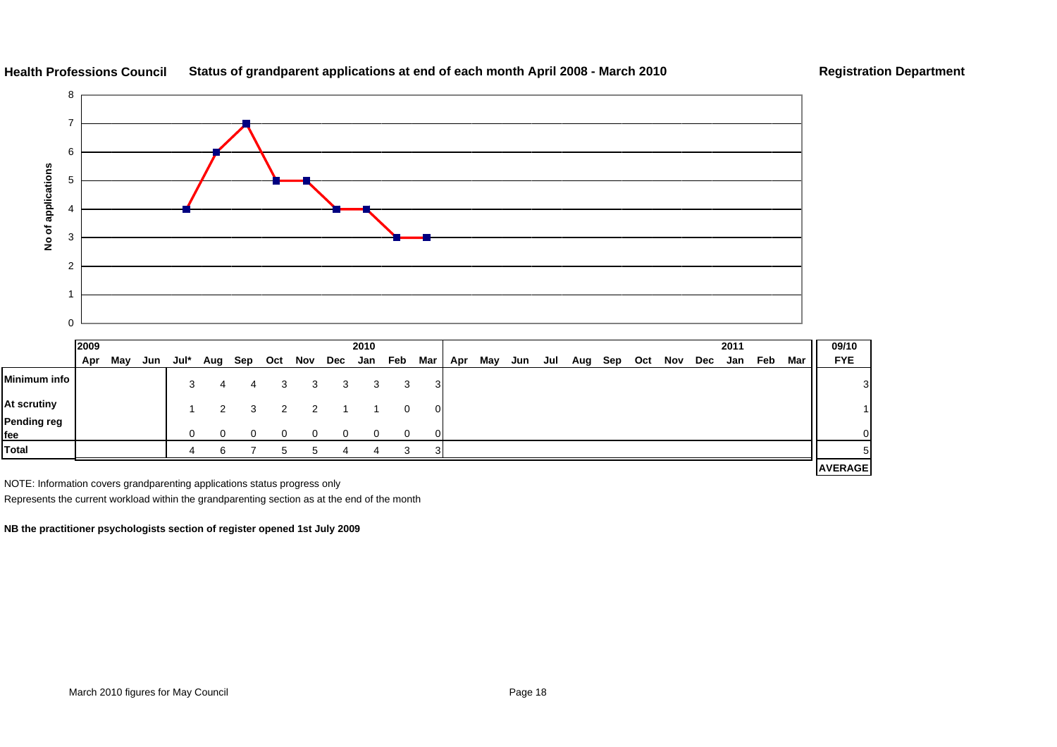

#### **Health Professions CouncilStatus of grandparent applications at end of each month April 2008 - March 2010 Registration Department**

|                    | 2009 |     |     |      |               |     |     |                | 2010        |             |                |     |     |     |     |     |     |     |     |     | 2011 |     |     | 09/10          |
|--------------------|------|-----|-----|------|---------------|-----|-----|----------------|-------------|-------------|----------------|-----|-----|-----|-----|-----|-----|-----|-----|-----|------|-----|-----|----------------|
|                    | Apr  | May | Jun | Jul* | Aug           | Sep | Oct | Nov            | Dec Jan Feb |             | Mar            | Apr | May | Jun | Jul | Aug | Sep | Oct | Nov | Dec | Jan  | Feb | Mar | <b>FYE</b>     |
| Minimum info       |      |     |     | 3    | 4             |     | 3   | 3              | 3           | 3           | 3              |     |     |     |     |     |     |     |     |     |      |     |     | 3              |
| At scrutiny        |      |     |     |      | $\mathcal{P}$ | 3   | 2   | $\overline{2}$ |             | 0           | $\overline{0}$ |     |     |     |     |     |     |     |     |     |      |     |     |                |
| Pending reg<br>fee |      |     |     | 0    | 0             |     | 0   |                | 0           | $\mathbf 0$ | $\Omega$       |     |     |     |     |     |     |     |     |     |      |     |     | 0              |
| Total              |      |     |     |      | ี             |     | ∽   |                |             | 3           |                |     |     |     |     |     |     |     |     |     |      |     |     | 5              |
|                    |      |     |     |      |               |     |     |                |             |             |                |     |     |     |     |     |     |     |     |     |      |     |     | <b>AVERAGE</b> |

NOTE: Information covers grandparenting applications status progress only

Represents the current workload within the grandparenting section as at the end of the month

**NB the practitioner psychologists section of register opened 1st July 2009**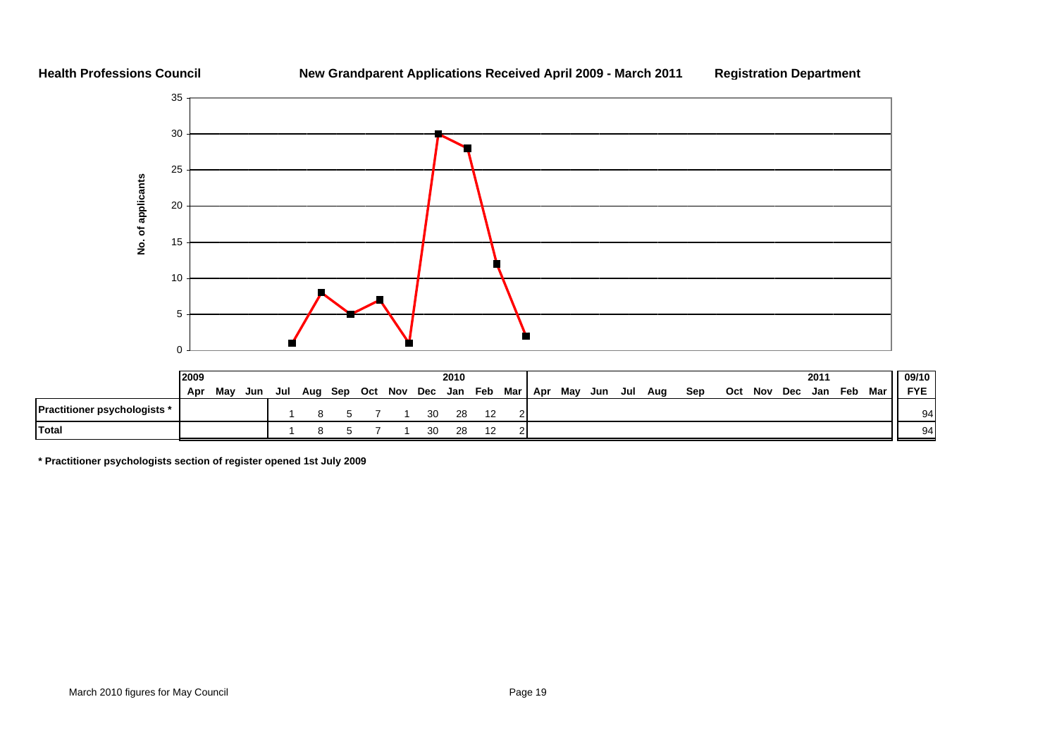#### **Health Professions Council**

**Total**

#### **New Grandparent Applications Received April 2009 - March 2011 Registration Department**



**\* Practitioner psychologists section of register opened 1st July 2009**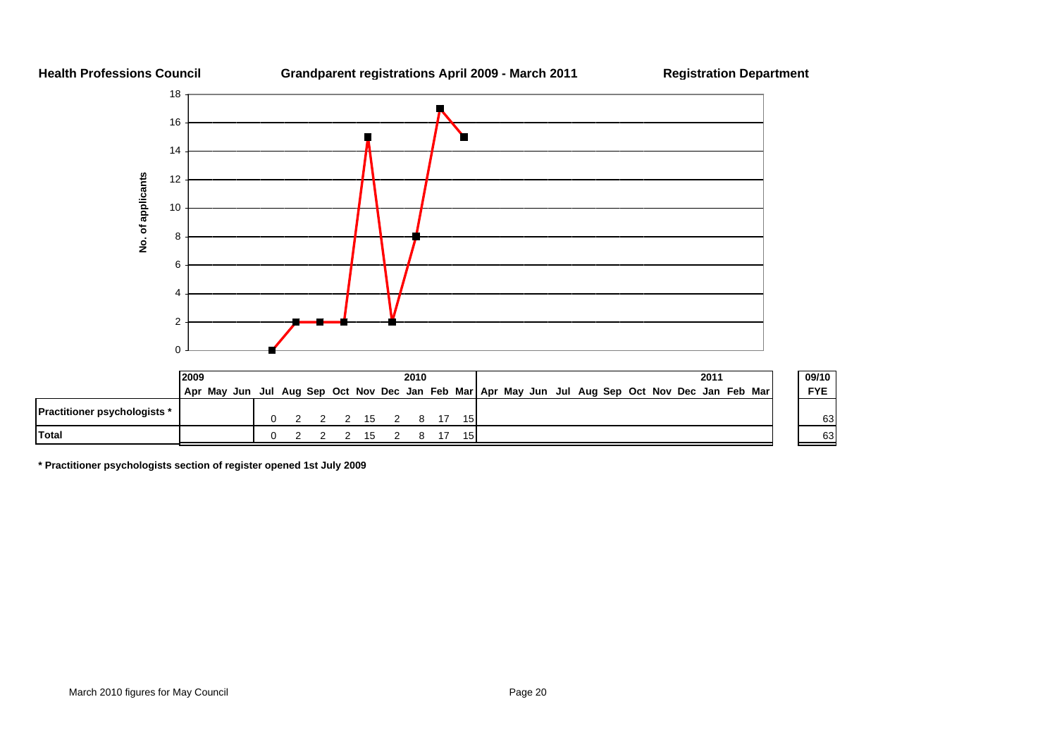

**\* Practitioner psychologists section of register opened 1st July 2009**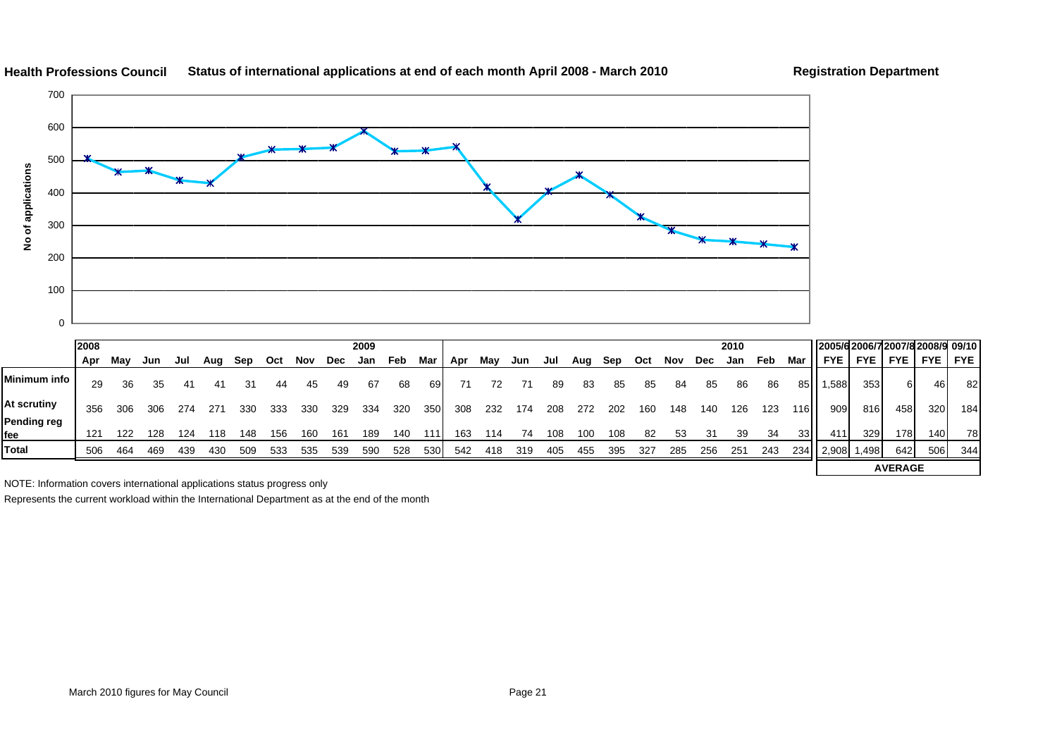![](_page_56_Figure_0.jpeg)

#### **Health Professions Council Status of international applications at end of each month April 2008 - March 2010 Registration Department**

184

NOTE: Information covers international applications status progress only

Represents the current workload within the International Department as at the end of the month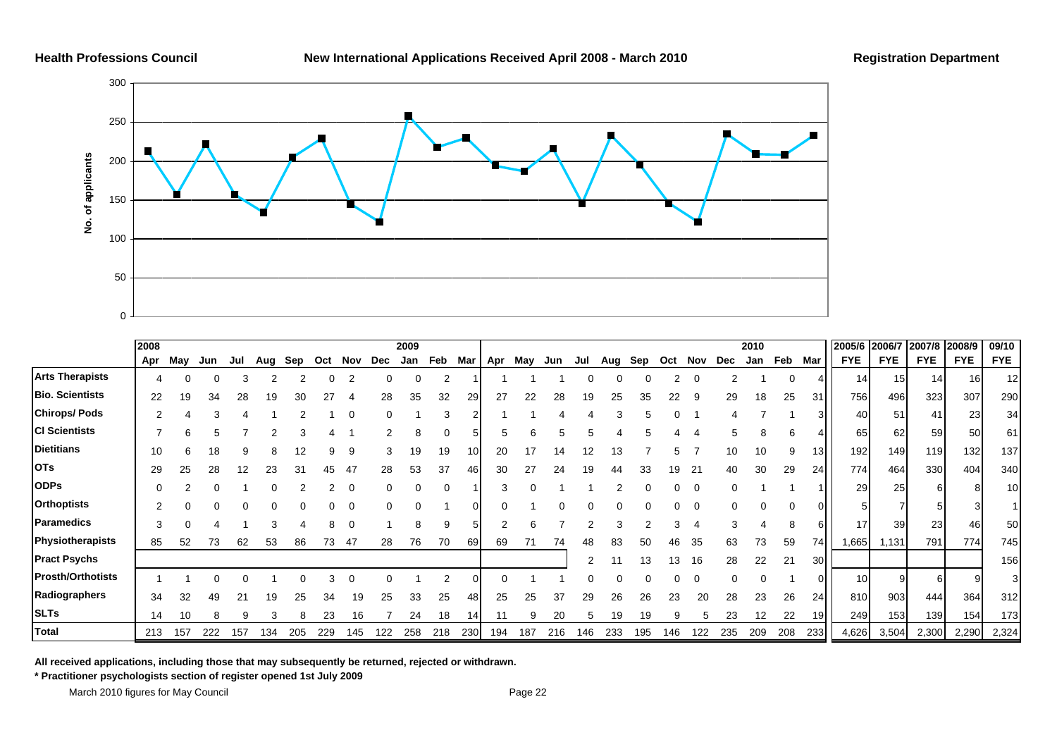![](_page_57_Figure_3.jpeg)

|                          | 2008 |     |     |     |     |     |     |     |     | 2009     |     |     |     |     |     |     |     |     |     |          |     | 2010 |     |                 | 2005/6 2006/7 |            | 2007/8     | 2008/9     | 09/10      |
|--------------------------|------|-----|-----|-----|-----|-----|-----|-----|-----|----------|-----|-----|-----|-----|-----|-----|-----|-----|-----|----------|-----|------|-----|-----------------|---------------|------------|------------|------------|------------|
|                          | Apr  | May | Jun | Jul | Aug | Sep | Oct | Nov | Dec | Jan      | Feb | Mar | Apr | May | Jun | Jul | Aug | Sep | Oct | Nov      | Dec | Jan  | Feb | Mar             | <b>FYE</b>    | <b>FYE</b> | <b>FYE</b> | <b>FYE</b> | <b>FYE</b> |
| <b>Arts Therapists</b>   |      |     |     | 3   |     |     |     |     |     | $\Omega$ |     |     |     |     |     |     |     |     |     | $\Omega$ |     |      |     |                 | 14            | 15         | 14         | 16         | 12         |
| <b>Bio. Scientists</b>   | 22   | 19  | 34  | 28  | 19  | 30  |     |     | 28  | 35       | 32  | 29  | 27  | 22  | 28  | 19  | 25  | 35  |     |          | 29  | 18   | 25  | 31              | 756           | 496        | 323        | 307        | 290        |
| <b>Chirops/Pods</b>      |      |     |     |     |     |     |     |     |     |          |     |     |     |     |     |     |     |     |     |          |     |      |     | 31              | 40            | 51         | 41         | 23         | 34         |
| <b>CI Scientists</b>     |      |     |     |     |     |     |     |     |     |          |     |     |     |     |     |     |     |     |     |          |     |      |     |                 | 65            | 62         | 59         | 50         | 61         |
| <b>Dietitians</b>        | 10   |     |     |     |     |     |     | 9   | 3   | 19       | 19  | 10  | 20  |     | 14  |     | 13  |     |     |          | 10  | 10   | 9   | 13 <sub>l</sub> | 192           | 149        | 119        | 132        | 137        |
| <b>OTs</b>               | 29   | 25  | 28  | 12  | 23  | -31 |     | 47  | 28  | 53       | 37  | 461 | 30  |     | 24  | 19  | 44  | 33  | 19  | 21       | 40  | 30   | 29  | 24              | 774           | 464        | 330        | 404        | 340        |
| <b>ODPs</b>              |      |     |     |     |     |     |     |     |     |          |     |     |     |     |     |     |     |     |     | $\Omega$ |     |      |     |                 | 29            | 25         |            |            | 10         |
| <b>Orthoptists</b>       |      |     |     |     |     |     |     |     |     |          |     |     |     |     |     |     |     |     |     |          |     |      |     |                 |               |            |            |            |            |
| Paramedics               |      |     |     |     |     |     |     | C   |     |          |     |     |     |     |     |     |     |     |     |          |     |      |     | 61              | 17            | 39         | 23         | 46         | 50         |
| Physiotherapists         | 85   | 52  | 73  | 62  | 53  | 86  | 73  | 47  | 28  | 76       | 70  | 69  | 69  |     | 74  | 48  | 83  | 50  |     | 35       | 63  | 73   | 59  | 74 I            | 1,665         | 1,131      | 791        | 774        | 745        |
| <b>Pract Psychs</b>      |      |     |     |     |     |     |     |     |     |          |     |     |     |     |     |     |     |     |     | 16       | 28  | 22   | 21  | 30              |               |            |            |            | 156        |
| <b>Prosth/Orthotists</b> |      |     |     |     |     |     |     |     |     |          |     |     |     |     |     |     |     |     |     |          |     |      |     | ΟI              | 10            |            | 6          |            |            |
| Radiographers            | 34   | 32  | 49  |     | 19  | 25  | 34  | 19  | 25  | 33       | 25  | 48  | 25  | 25  | 37  | 29  | 26  | 26  | 23  | 20       | 28  | 23   | 26  | 24              | 810           | 903        | 444        | 364        | 312        |
| <b>SLTs</b>              | 14   | 10  |     | 9   |     |     | 23  |     |     | 24       | 18  | 14  |     |     | 20  |     | 19  | 19  |     |          | 23  | 12   | 22  | 19 <sup>l</sup> | 249           | 153        | 139        | 154        | 173        |
| Total                    | 213  | 157 | 222 | 157 | 134 | 205 | 229 | 145 | 122 | 258      | 218 | 230 | 194 | 187 | 216 | 146 | 233 | 195 | 146 | 122      | 235 | 209  | 208 | 233             | 4,626         | 3,504      | 2,300      | 2,290      | 2,324      |

**All received applications, including those that may subsequently be returned, rejected or withdrawn.**

**\* Practitioner psychologists section of register opened 1st July 2009**

March 2010 figures for May Council **Page 22 Page 22**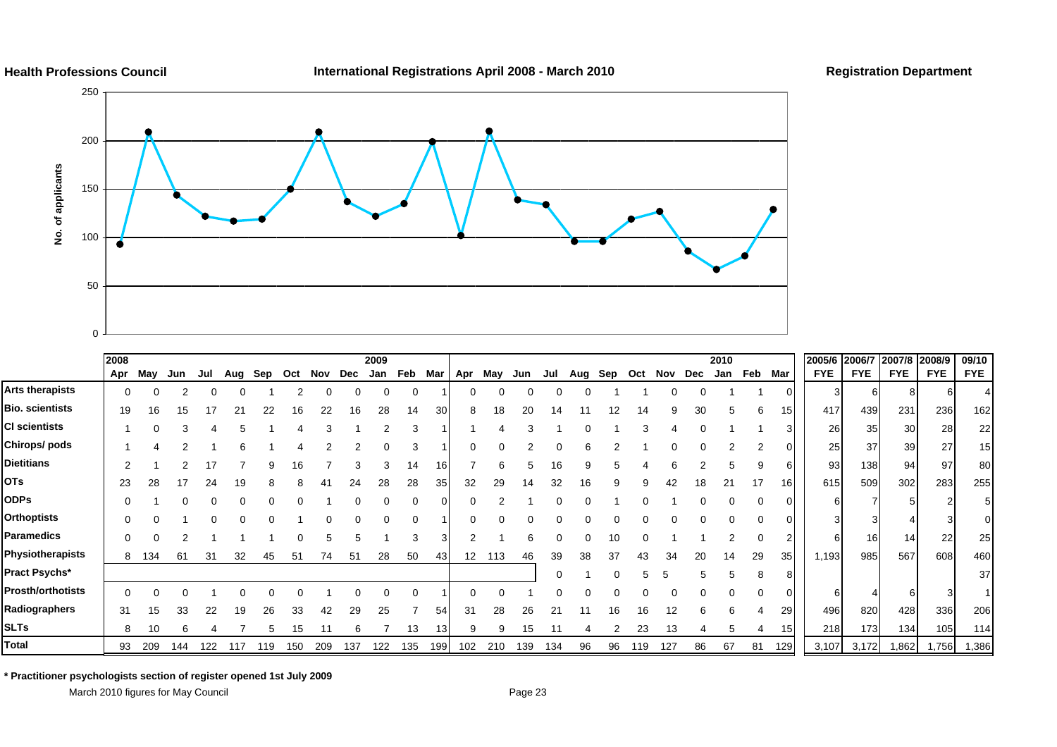![](_page_58_Figure_0.jpeg)

**International Registrations April 2008 - March 2010 Registration Department**

![](_page_58_Figure_3.jpeg)

|                          | 2008 |     |     |     |     |     |     |     |     | 2009 |     |     |     |     |     |     |     |     |     |     |     | 2010 |     |          | 2005/6     | 2006/7 2007/8 2008/9 |                 |            | 09/10      |
|--------------------------|------|-----|-----|-----|-----|-----|-----|-----|-----|------|-----|-----|-----|-----|-----|-----|-----|-----|-----|-----|-----|------|-----|----------|------------|----------------------|-----------------|------------|------------|
|                          | Apr  | May | Jun | Jul | Aug | Sep | Oct | Nov | Dec | Jan  | Feb | Mar | Apr | May | Jun | Jul | Aug | Sep | Oct | Nov | Dec | Jan  | Feb | Mar      | <b>FYE</b> | <b>FYE</b>           | <b>FYE</b>      | <b>FYE</b> | <b>FYE</b> |
| Arts therapists          | 0    |     |     |     |     |     |     |     |     |      | 0   |     |     | ი   |     |     |     |     |     |     |     |      |     | $\Omega$ |            |                      |                 |            |            |
| <b>Bio. scientists</b>   | 19   | 16  | 15  |     | 21  | 22  | 16  | 22  | 16  | 28   | 14  | 30  | 8   | 18  | 20  | 14  |     | 12  | 14  |     | 30  |      | 6   | 15       | 417        | 439                  | 231             | 236        | 162        |
| <b>CI scientists</b>     |      |     |     |     |     |     |     |     |     |      |     |     |     |     |     |     |     |     |     |     |     |      |     |          | 26         | 35                   | 30 <sup>1</sup> | 28         | 22         |
| Chirops/ pods            |      |     |     |     |     |     |     |     |     |      |     |     |     |     |     |     |     |     |     |     |     |      |     |          | 25         | 37                   | 39              | 27         | 15         |
| <b>Dietitians</b>        |      |     |     |     |     |     | 16  |     |     |      | 14  | 16  |     | ี่ค |     | 16  |     |     |     |     |     |      |     | 6        | 93         | 138                  | 94              | 97         | 80         |
| <b>OTs</b>               | 23   | 28  |     | 24  | 19  |     |     |     | 24  | 28   | 28  | 35  | 32  | 29  | 14  | 32  | 16  | a   |     | 42  | 18  | 21   | 17  | 16       | 615        | 509                  | 302             | 283        | 255        |
| <b>ODPs</b>              |      |     |     |     |     |     |     |     |     |      | 0   |     |     |     |     |     |     |     |     |     |     |      |     | $\Omega$ |            |                      |                 |            |            |
| <b>Orthoptists</b>       |      |     |     |     |     |     |     |     |     |      |     |     |     |     |     |     |     |     |     |     |     |      |     |          |            |                      |                 |            |            |
| <b>Paramedics</b>        |      |     |     |     |     |     |     | 5   |     |      | 3   |     |     |     |     |     |     |     |     |     |     |      |     | 2        |            | 16                   | 14              | 22         | 25         |
| Physiotherapists         | 8    | 134 | 61  | 31  | 32  | 45  | 51  | 74  | 51  | 28   | 50  | 43  | 12  | 113 | 46  | 39  | 38  | 37  | 43  | 34  | 20  | 14   | 29  | 35       | 1,193      | 985                  | 567             | 608        | 460        |
| Pract Psychs*            |      |     |     |     |     |     |     |     |     |      |     |     |     |     |     | 0   |     |     |     |     |     |      |     | 8        |            |                      |                 |            | 37         |
| <b>Prosth/orthotists</b> |      |     |     |     |     |     |     |     |     |      |     |     |     |     |     |     |     |     |     |     |     |      |     |          |            |                      |                 |            |            |
| Radiographers            | 31   | 15  | 33  | 22  | 19  | 26  | 33  | 42  | 29  | 25   |     | 54  | 31  | 28  | 26  | 21  |     | 16  | 16  | 12  |     |      |     | 29       | 496        | 820                  | 428             | 336        | 206        |
| <b>SLTs</b>              | 8    | 10  | 6   |     |     | 5   | 15  | 11  | 6   |      | 13  | 13  | 9   | 9   | 15  |     |     | 2   | 23  | 13  |     | 5    |     | 15       | 218        | 173                  | 134             | 105        | 114        |
| <b>Total</b>             | 93   | 209 | 144 | 122 | 117 | 119 | 150 | 209 | 137 | 122  | 135 | 199 | 102 | 210 | 139 | 134 | 96  | 96  | 119 | 127 | 86  | 67   | 81  | 129      | 3,107      | 3,172                | 1,862           | 1,756      | 1,386      |

**\* Practitioner psychologists section of register opened 1st July 2009**

March 2010 figures for May Council **Page 23** Page 23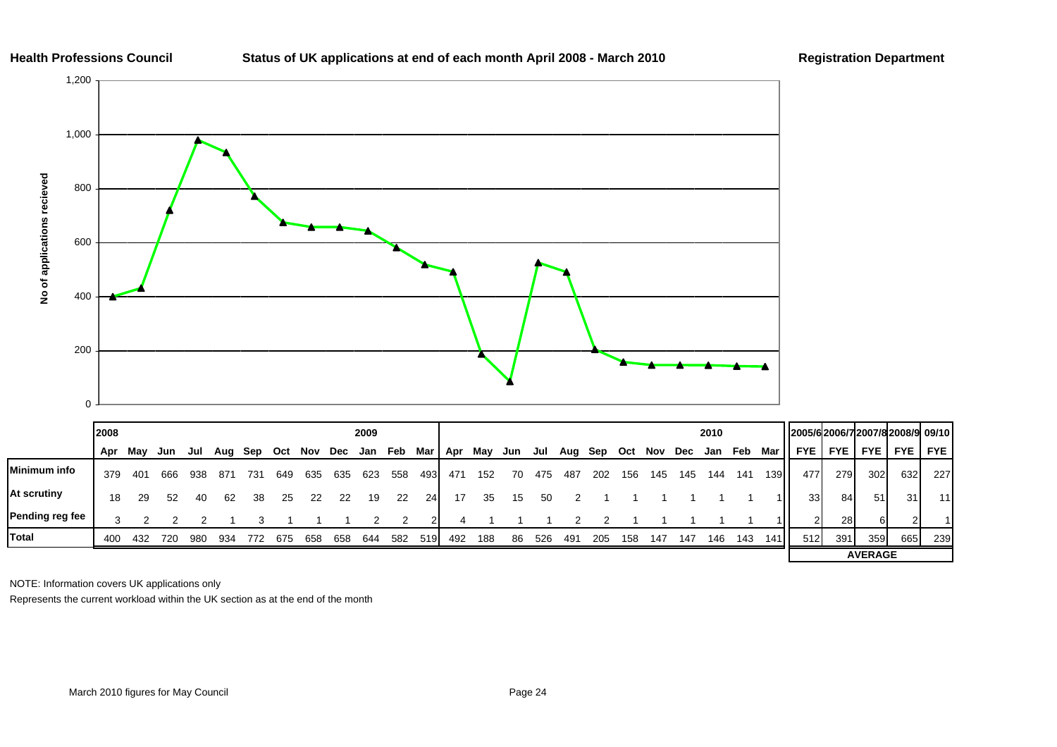#### **Status of UK applications at end of each month April 2008 - March 2010 Registration Department**

![](_page_59_Figure_3.jpeg)

|                     | 2008    |     |     |     |     |     |     |     |     | 2009 |     |     |     |     |     |     |     |     |     |     |     | 2010 |     |                  | 2005/62006/72007/82008/9 09/10 |              |                |            |                 |
|---------------------|---------|-----|-----|-----|-----|-----|-----|-----|-----|------|-----|-----|-----|-----|-----|-----|-----|-----|-----|-----|-----|------|-----|------------------|--------------------------------|--------------|----------------|------------|-----------------|
|                     | Apr May |     | Jun | Jul | Aug | Sep | Oct | Nov | Dec | Jan  | Feb | Mar | Apr | Mav | Jun | Jul | Aug | Sep | Oct | Nov | Dec | Jan  | Feb | Mar              | <b>FYE</b>                     | <b>FYE</b> I | <b>FYE</b>     | <b>FYE</b> | <b>FYE</b>      |
| <b>Minimum info</b> | 379     | 401 | 666 | 938 | 871 | 731 | 649 | 635 | 635 | 623  | 558 | 493 | 471 | 152 | 70  | 475 | 487 | 202 | 156 | 145 | 145 | 144  | 141 | 139 <sup>l</sup> | 477                            | 279          | 302            | 632        | 227             |
| At scrutiny         | 18      | 29  | 52  | 40  | 62  | 38  | 25  | 22  | 22  | 19   | 22  | 24  |     | 35  | 15  | 50  |     |     |     |     |     |      |     |                  | 33                             | 84           | 51             | 31         | 11 <sup>1</sup> |
| Pending reg fee     |         |     |     |     |     |     |     |     |     |      |     |     |     |     |     |     |     |     |     |     |     |      |     |                  | $\sim$                         | <b>28</b>    | 61             |            |                 |
| <b>Total</b>        | -400    | 432 | 720 | 980 | 934 | 772 | 675 | 658 | 658 | 644  | 582 | 519 | 492 | 188 | 86  | 526 | 491 | 205 | 158 | 147 | 147 | 146  | 143 | 141              | 512                            | 391          | 359            | 665        | 239             |
|                     |         |     |     |     |     |     |     |     |     |      |     |     |     |     |     |     |     |     |     |     |     |      |     |                  |                                |              | <b>AVERAGE</b> |            |                 |

NOTE: Information covers UK applications only

Represents the current workload within the UK section as at the end of the month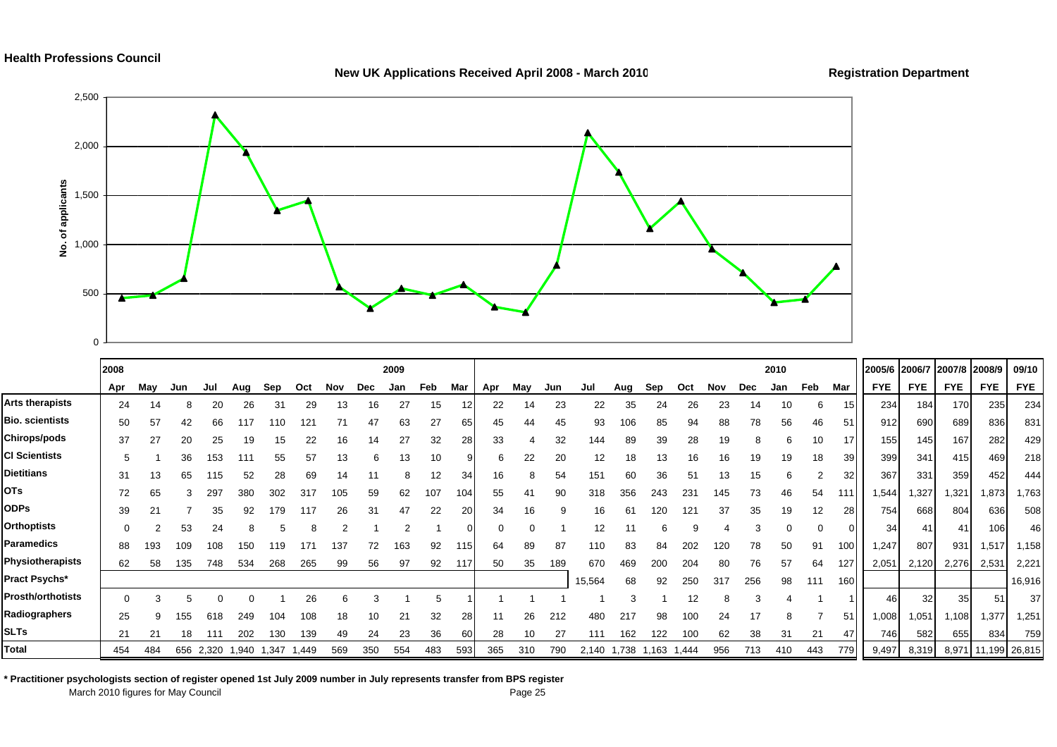#### New UK Applications Received April 2008 - March 2010 **Registration Department**

![](_page_60_Figure_3.jpeg)

|                          | 2008     |     |     |              |       |       |       |                |            | 2009     |     |     |     |     |     |        |       |       |       |     |            | 2010     |          |                  | 2005/6 2006/7 2007/8 2008/9 |            |            |                     | 09/10      |
|--------------------------|----------|-----|-----|--------------|-------|-------|-------|----------------|------------|----------|-----|-----|-----|-----|-----|--------|-------|-------|-------|-----|------------|----------|----------|------------------|-----------------------------|------------|------------|---------------------|------------|
|                          | Apr      | May | Jun | Jul          | Aug   | Sep   | Oct   | Nov            | <b>Dec</b> | Jan      | Feb | Mar | Apr | May | Jun | Jul    | Aug   | Sep   | Oct   | Nov | <b>Dec</b> | Jan      | Feb      | Mar              | <b>FYE</b>                  | <b>FYE</b> | <b>FYE</b> | <b>FYE</b>          | <b>FYE</b> |
| <b>Arts therapists</b>   | 24       | 14  |     | 20           | 26    | 31    | 29    | 13             | 16         | 27       | 15  |     | 22  | 14  | 23  | 22     | 35    | 24    | 26    | 23  | 14         | 10       | 6        |                  | 234                         | 184        | 170        | 235                 | 234        |
| <b>Bio. scientists</b>   | 50       | 57  | 42  | 66           | 117   | 110   | 121   | 71             | 47         | 63       | 27  | 65  | 45  | 44  | 45  | 93     | 106   | 85    | 94    | 88  | 78         | 56       | 46       | 51               | 912                         | 690        | 689        | 836                 | 831        |
| Chirops/pods             | 37       | 27  | 20  | 25           | 19    | 15    | 22    | 16             | 14         | 27       | 32  | 28  | 33  |     | 32  | 144    | 89    | 39    | 28    | 19  | 8          | 6        | 10       | 17               | 155                         | 145        | 167        | 282                 | 429        |
| <b>CI Scientists</b>     | 5        |     | 36  | 153          | 111   | 55    | 57    | 13             | 6          | 13       | 10  |     | 6   | 22  | 20  | 12     | 18    | 13    | 16    | 16  | 19         | 19       | 18       | <b>39</b>        | 399                         | 341        | 415        | 469                 | 218        |
| <b>Dietitians</b>        | 31       | 13  | 65  | 115          | 52    | 28    | 69    |                |            | 8        | 12  | 34  | 16  | 8   | 54  | 151    | 60    | 36    | 51    | 13  | 15         | 6        |          | 32               | 367                         | 331        | 359        | 452                 | 444        |
| <b>OTs</b>               | 72       | 65  |     | 297          | 380   | 302   | 317   | 05             | 59         | 62       | 107 | 104 | 55  | 4   | 90  | 318    | 356   | 243   | 231   | 145 | 73         | 46       | 54       | 11'              | 1,544                       | 1,327      | 1,321      | 1,873               | 1,763      |
| <b>ODPs</b>              | 39       | 21  |     | 35           | 92    | 179   | 117   | 26             | 31         | 47       | 22  | 20  | 34  | 16  |     | 16     | 61    | 120   | 121   | 37  | 35         | 19       | 12       | 28               | 754                         | 668        | 804        | 636                 | 508        |
| <b>Orthoptists</b>       | $\Omega$ | 2   | 53  | 24           | 8     | 5     | 8     | $\overline{2}$ |            | $\Omega$ |     |     |     |     |     | 12     |       | 6     |       |     |            | $\Omega$ | $\Omega$ | 0                | 34                          | 41         | 41         | 106                 | 46         |
| <b>Paramedics</b>        | 88       | 193 | 109 | 108          | 150   | 119   |       | 137            | 72         | 163      | 92  | 115 | 64  | 89  | 87  | 110    | 83    | 84    | 202   | 120 | 78         | 50       | 91       | 100 <sub>1</sub> | 1,247                       | 807        | 931        | 1,517               | 1,158      |
| Physiotherapists         | 62       | 58  | 135 | 748          | 534   | 268   | 265   | 99             | 56         | 97       | 92  | 117 | 50  | 35  | 189 | 670    | 469   | 200   | 204   | 80  | 76         | 57       | 64       | 127              | 2,051                       | 2,120      | 2,276      | 2,531               | 2,221      |
| Pract Psychs*            |          |     |     |              |       |       |       |                |            |          |     |     |     |     |     | 15,564 | 68    | 92    | 250   | 317 | 256        | 98       | 111      | 160              |                             |            |            |                     | 16,916     |
| <b>Prosth/orthotists</b> | 0        | 3   |     |              |       |       | 26    | 6              | 3          |          |     |     |     |     |     |        |       |       | 12    | 8   |            |          |          |                  | 46                          | 32         | 35         | 51                  | 37         |
| Radiographers            | 25       | 9   | 155 | 618          | 249   | 104   | 108   | 18             |            | 21       | 32  | 28  |     | 26  | 212 | 480    | 217   | 98    | 100   | 24  | 17         | 8        |          | 51               | 1,008                       | .051       | 1,108      | 1,377               | 1,251      |
| <b>SLTs</b>              | 21       | 21  | 18  | $11^{\circ}$ | 202   | 130   | 139   | 49             | 24         | 23       | 36  | 60  | 28  | 10  | 27  | 111    | 162   | 122   | 100   | 62  | 38         | 31       | 21       | 47               | 746                         | 582        | 655        | 834                 | 759        |
| <b>Total</b>             | 454      | 484 | 656 | 2,320        | 1,940 | 1,347 | 1,449 | 569            | 350        | 554      | 483 | 593 | 365 | 310 | 790 | 2,140  | 1,738 | 1,163 | 1,444 | 956 | 713        | 410      | 443      | 779              | 9,497                       | 8,319      |            | 8,971 11,199 26,815 |            |

**\* Practitioner psychologists section of register opened 1st July 2009 number in July represents transfer from BPS register** March 2010 figures for May Council **Page 25**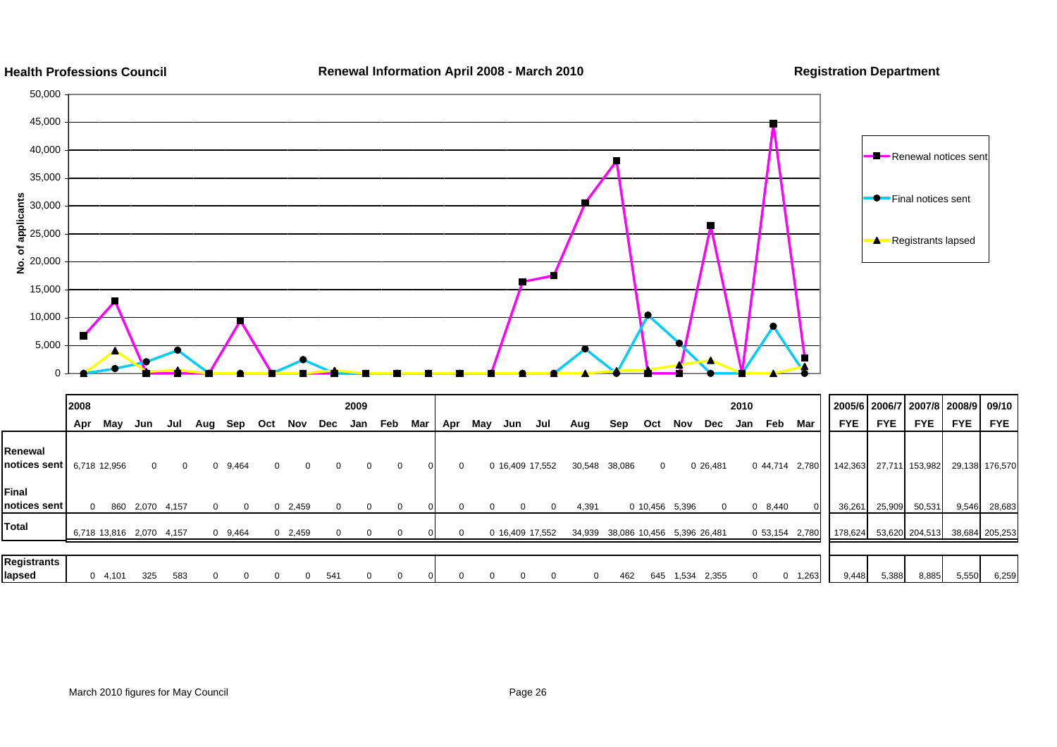![](_page_61_Figure_0.jpeg)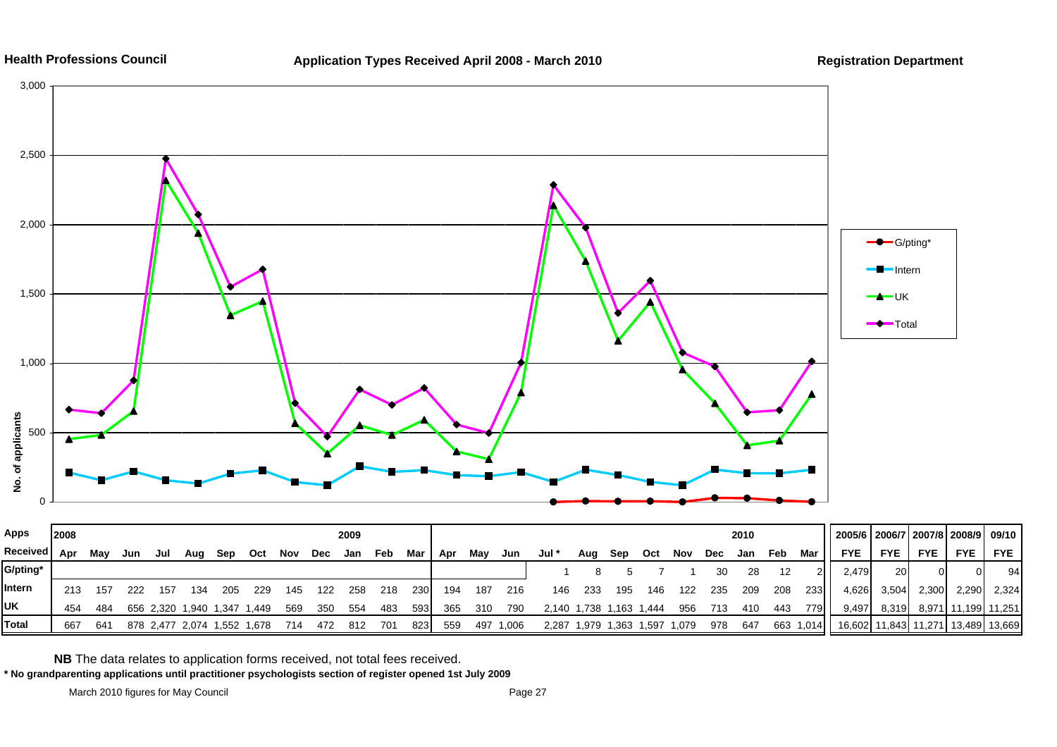![](_page_62_Figure_0.jpeg)

![](_page_62_Figure_3.jpeg)

| Apps         | 2008 |     |     |     |                       |             |       |     |     | 2009 |     |     |     |     |           |                         |                         |     |     |     |            | 2010 |     |           | 2005/6   2006/7   2007/8   2008/9   09/10 |            |                      |               |            |
|--------------|------|-----|-----|-----|-----------------------|-------------|-------|-----|-----|------|-----|-----|-----|-----|-----------|-------------------------|-------------------------|-----|-----|-----|------------|------|-----|-----------|-------------------------------------------|------------|----------------------|---------------|------------|
| Received Apr |      | Mav | Jun | Jul | Aua                   | Sep         | Oct   | Nov | Dec | Jan  | Feb | Mar | Apr | Mav | Jun       | Jul *                   | Aug                     | Sep | Oct | Nov | <b>Dec</b> | Jan  | Feb | Mar       | <b>FYE</b>                                | <b>FYE</b> | <b>FYE</b>           | <b>FYE</b>    | <b>FYE</b> |
| G/pting*     |      |     |     |     |                       |             |       |     |     |      |     |     |     |     |           |                         |                         |     |     |     | 30         | 28   | 12  |           | 2.479                                     | <b>20</b>  |                      |               | 94         |
| Intern       | 213  | 157 | 222 | 157 | 134                   | 205         | 229   | 145 | 122 | 258  | 218 | 230 | 194 | 187 | 216       | 146                     | -233                    | 195 | 146 | 122 | 235        | 209  | 208 | 233       | 4,626                                     | 3,504      | 2,300                | 2,290         | 2.324      |
| UK           | 454  | 484 |     |     | 656 2.320 1.940 1.347 |             | 1.449 | 569 | 350 | 554  | 483 | 593 | 365 | 310 | 790       | 2,140 1,738 1,163 1,444 |                         |     |     | 956 | 713        | 410  | 443 | 7791.     | 9.497                                     | 8,319      | 8,971                | 11,199 11,251 |            |
| <b>Total</b> | 667  | 641 |     |     | 878 2.477 2.074       | 1,552 1,678 |       | 714 | 472 | 812  | 701 | 823 | 559 |     | 497 1,006 | 2.287                   | 1,979 1,363 1,597 1,079 |     |     |     | 978        | 647  |     | 663 1,014 |                                           |            | 16,602 11,843 11,271 | 13,489 13,669 |            |

**NB** The data relates to application forms received, not total fees received.

**\* No grandparenting applications until practitioner psychologists section of register opened 1st July 2009**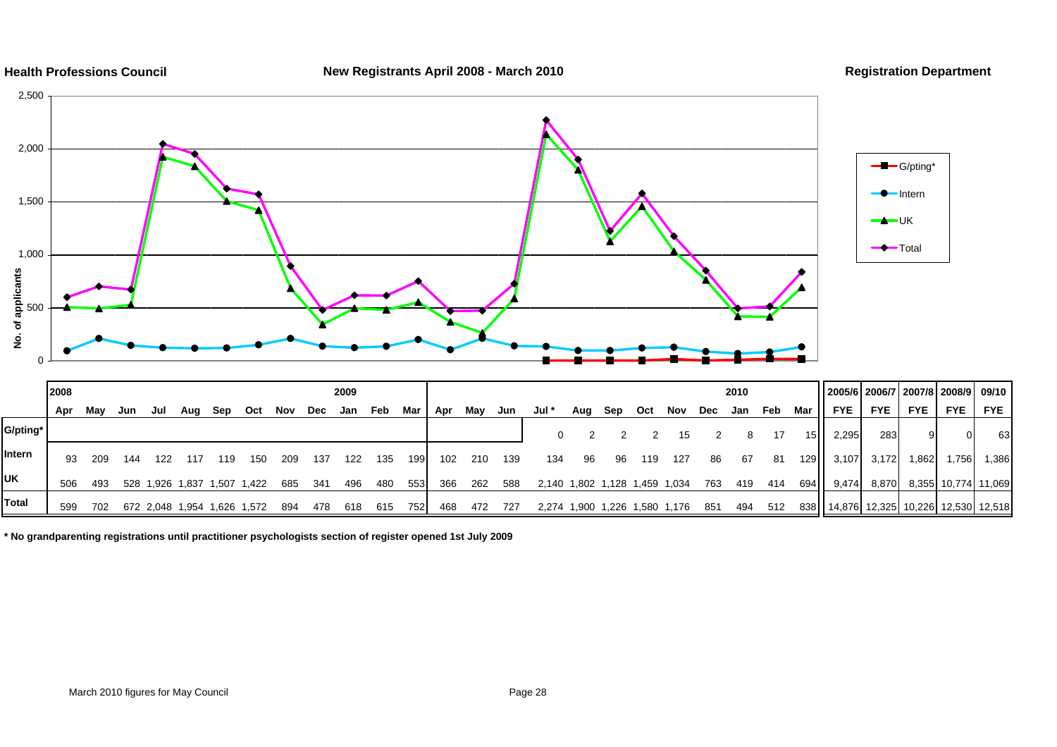![](_page_63_Figure_0.jpeg)

**\* No grandparenting registrations until practitioner psychologists section of register opened 1st July 2009**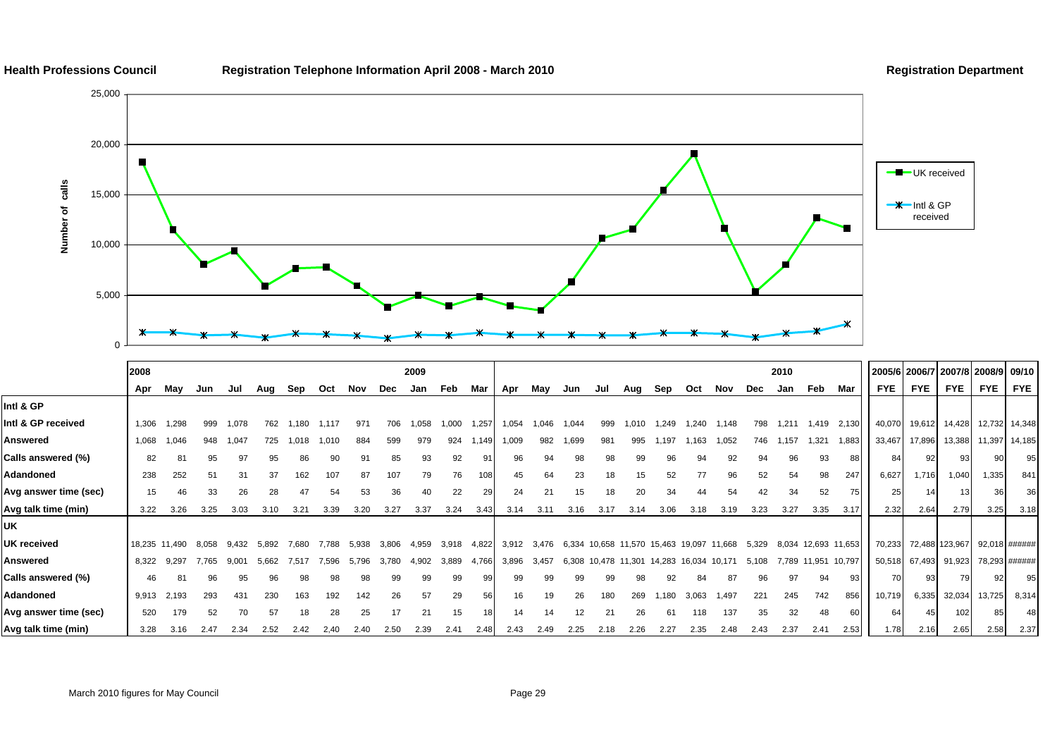![](_page_64_Figure_0.jpeg)

#### **Health Professions Council Registration Telephone Information April 2008 - March 2010 Registration Department**

![](_page_64_Figure_2.jpeg)

|                       | 2008  |               |       |       |       |       |       |       |            | 2009  |       |       |       |       |       |               |                      |        |        |        |       | 2010  |                     |        |            | 2005/6 2006/7 2007/8 2008/9 09/10 |                |            |               |
|-----------------------|-------|---------------|-------|-------|-------|-------|-------|-------|------------|-------|-------|-------|-------|-------|-------|---------------|----------------------|--------|--------|--------|-------|-------|---------------------|--------|------------|-----------------------------------|----------------|------------|---------------|
|                       | Apr   | Mav           | Jun   | Jul   | Aug   | Sep   | Oct   | Nov   | <b>Dec</b> | Jan   | Feb   | Mar   | Apr   | May   | Jun   | Jul           | Aug                  | Sep    | Oct    | Nov    | Dec   | Jan   | Feb                 | Mar    | <b>FYE</b> | <b>FYE</b>                        | <b>FYE</b>     | <b>FYE</b> | <b>FYE</b>    |
| Intl & GP             |       |               |       |       |       |       |       |       |            |       |       |       |       |       |       |               |                      |        |        |        |       |       |                     |        |            |                                   |                |            |               |
| Intl & GP received    | 1,306 | 1,298         | 999   | 1,078 | 762   | .180  | 1,117 | 971   | 706        | .058  | 1,000 | 1,257 | 1,054 | 1,046 | 1,044 | 999           | .010                 | 1.249  | .240   | 1.148  | 798   | 1,211 | 1,419               | 2,130  | 40,070     | 19,612                            | 14,428         |            | 12,732 14,348 |
| Answered              | 1,068 | 1,046         | 948   | 1,047 | 725   | .018  | 1,010 | 884   | 599        | 979   | 924   | 1,149 | 1,009 | 982   | 1,699 | 981           | 995                  | 197    | 163    | ,052   | 746   | ,157  | 1,321               | 1,883  | 33,467     | 17,896                            | 13,388         |            | 11,397 14,185 |
| Calls answered (%)    | 82    |               | 95    | 97    | 95    | 86    |       |       | 85         | 93    | 92    |       | 96    | 94    | 98    |               | 99                   | 96     | 94     | 92     | 94    | 96    | 93                  | 88     | 84         | 92                                | 93             |            | 95            |
| Adandoned             | 238   | 252           | 51    | 31    | 37    | 162   | 107   | 87    | 107        | 79    | 76    | 108   | 45    | 64    | 23    | 18            | 15                   | 52     | 77     | 96     | 52    | 54    | 98                  | 247    | 6,627      | 1,716                             | 1,040          | 1,335      | 841           |
| Avg answer time (sec) | 15    | 46            | 33    | 26    | 28    | 47    | 54    | 53    | 36         | 40    | 22    | 29    | 24    | 21    | 15    | 18            | 20                   | 34     | 44     | 54     | 42    | 34    | 52                  | 75     | 25         | 14                                |                |            | 36            |
| Avg talk time (min)   | 3.22  | 3.26          | 3.25  | 3.03  | 3.10  | 3.21  | 3.39  | 3.20  | 3.27       | 3.37  | 3.24  | 3.43  | 3.14  | 3.11  | 3.16  | 3.17          | 3.14                 | 3.06   | 3.18   | 3.19   | 3.23  | 3.27  | 3.35                | 3.17   | 2.32       | 2.64                              | 2.79           | 3.25       | 3.18          |
| UK                    |       |               |       |       |       |       |       |       |            |       |       |       |       |       |       |               |                      |        |        |        |       |       |                     |        |            |                                   |                |            |               |
| <b>UK received</b>    |       | 18,235 11,490 | 8.058 | 9.432 | 5.892 | 7.680 | 7.788 | 5.938 | 3.806      | 4,959 | 3,918 | 4,822 | 3,912 | 3.476 | 6,334 |               | 10,658 11,570 15,463 |        | 19.097 | 11.668 | 5,329 |       | 8,034 12,693 11,653 |        | 70,233     |                                   | 72,488 123,967 |            | 92,018 ###### |
| Answered              | 8,322 | 9.297         | 7.765 | 9.001 | 5.662 | 7.517 | 7.596 | 5.796 | 3.780      | 4,902 | 3,889 | 4,766 | 3,896 | 3,457 | 6,308 | 10,478 11,301 |                      | 14,283 | 16.034 | 10.171 | 5,108 |       | 7,789 11,951        | 10,797 |            | 50,518 67,493 91,923              |                |            | 78,293 ###### |
| Calls answered (%)    | 46    |               | 96    | 95    | 96    | 98    | 98    | 98    | 99         | 99    | 99    | 99    | 99    | 99    | 99    | 99            |                      | 92     | 84     | 87     | 96    | 97    | 94                  | 931    | 70         | 93                                | 79             |            | 95            |
| Adandoned             | 9,913 | 2,193         | 293   | 431   | 230   | 163   | 192   | 142   | 26         | 57    | 29    | 56    | 16    | 19    | 26    | 180           | 269                  | .180   | 3,063  | 1,497  | 221   | 245   | 742                 | 856    | 10,719     | 6,335                             | 32,034         | 13,725     | 8,314         |
| Avg answer time (sec) | 520   | 179           | 52    | 70    | 57    | 18    | 28    | 25    |            | 21    | 15    |       | 14    | 14    |       |               | 26                   | 61     | 118    | 137    | 35    | 32    | 48                  | 60     | 64         | 45                                | 102            |            | 48            |
| Avg talk time (min)   | 3.28  | 3.16          | 2.47  | 2.34  | 2.52  | 2.42  | 2,40  | 2.40  | 2.50       | 2.39  | 2.41  | 2.48  | 2.43  | 2.49  | 2.25  | 2.18          | 2.26                 | 2.27   | 2.35   | 2.48   | 2.43  | 2.37  | 2.41                | 2.53   | 1.78       | 2.16                              | 2.65           | 2.58       | 2.37          |

March 2010 figures for May Council **Page 29** Page 29